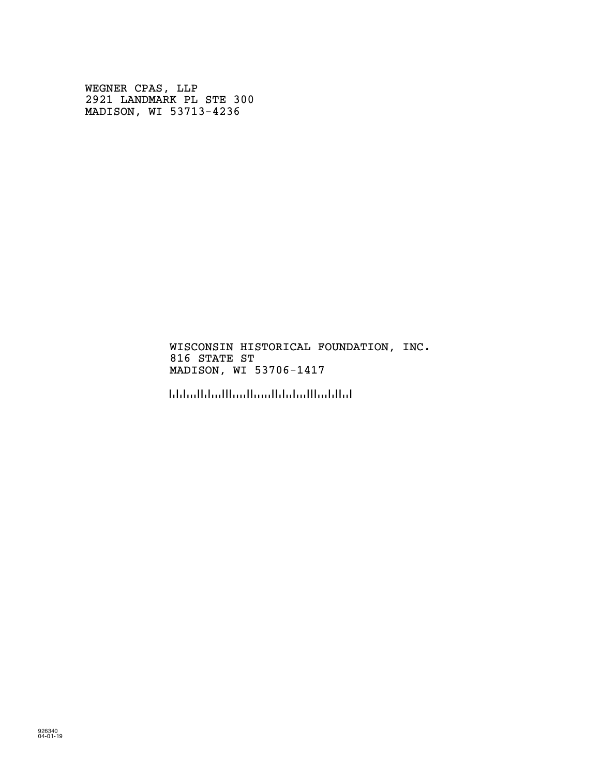WEGNER CPAS, LLP 2921 LANDMARK PL STE 300 MADISON, WI 53713-4236

> WISCONSIN HISTORICAL FOUNDATION, INC. 816 STATE ST MADISON, WI 53706-1417

!5370614176!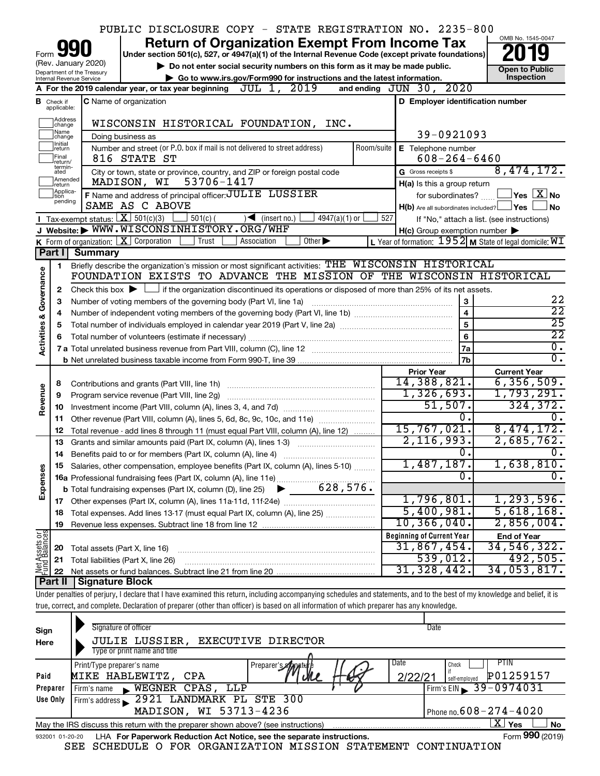|                         |                                                                                                                                                |                                                        | PUBLIC DISCLOSURE COPY - STATE REGISTRATION NO. 2235-800                                                                                                                   |     |                                                     |                                                             |  |  |  |  |  |
|-------------------------|------------------------------------------------------------------------------------------------------------------------------------------------|--------------------------------------------------------|----------------------------------------------------------------------------------------------------------------------------------------------------------------------------|-----|-----------------------------------------------------|-------------------------------------------------------------|--|--|--|--|--|
|                         |                                                                                                                                                |                                                        | <b>Return of Organization Exempt From Income Tax</b>                                                                                                                       |     |                                                     | OMB No. 1545-0047                                           |  |  |  |  |  |
|                         | Under section 501(c), 527, or 4947(a)(1) of the Internal Revenue Code (except private foundations)<br>Form                                     |                                                        |                                                                                                                                                                            |     |                                                     |                                                             |  |  |  |  |  |
|                         | (Rev. January 2020)<br>Do not enter social security numbers on this form as it may be made public.<br><b>Open to Public</b>                    |                                                        |                                                                                                                                                                            |     |                                                     |                                                             |  |  |  |  |  |
|                         | Department of the Treasury<br>Inspection<br>Go to www.irs.gov/Form990 for instructions and the latest information.<br>Internal Revenue Service |                                                        |                                                                                                                                                                            |     |                                                     |                                                             |  |  |  |  |  |
|                         |                                                                                                                                                |                                                        | JUL 1, 2019<br>A For the 2019 calendar year, or tax year beginning                                                                                                         |     | and ending JUN 30, 2020                             |                                                             |  |  |  |  |  |
|                         | <b>B</b> Check if<br>applicable:                                                                                                               |                                                        | C Name of organization                                                                                                                                                     |     | D Employer identification number                    |                                                             |  |  |  |  |  |
|                         | Address                                                                                                                                        |                                                        |                                                                                                                                                                            |     |                                                     |                                                             |  |  |  |  |  |
|                         | change<br>Name                                                                                                                                 |                                                        | WISCONSIN HISTORICAL FOUNDATION, INC.                                                                                                                                      |     |                                                     |                                                             |  |  |  |  |  |
|                         | change<br>Ilnitial                                                                                                                             |                                                        | Doing business as                                                                                                                                                          |     | 39-0921093                                          |                                                             |  |  |  |  |  |
|                         | return<br>Final                                                                                                                                |                                                        | Number and street (or P.O. box if mail is not delivered to street address)<br>Room/suite<br>816 STATE ST                                                                   |     | E Telephone number<br>$608 - 264 - 6460$            |                                                             |  |  |  |  |  |
|                         | return/<br>termin-                                                                                                                             |                                                        |                                                                                                                                                                            |     | G Gross receipts \$                                 | 8,474,172.                                                  |  |  |  |  |  |
|                         | ated<br>Amended                                                                                                                                |                                                        | City or town, state or province, country, and ZIP or foreign postal code<br>MADISON, WI<br>53706-1417                                                                      |     | H(a) Is this a group return                         |                                                             |  |  |  |  |  |
|                         | return<br>Applica-                                                                                                                             |                                                        | F Name and address of principal officer: JULIE LUSSIER                                                                                                                     |     | for subordinates?                                   | $\exists$ Yes $\boxed{\text{X}}$ No                         |  |  |  |  |  |
|                         | tion<br>pending                                                                                                                                |                                                        | SAME AS C ABOVE                                                                                                                                                            |     | $H(b)$ Are all subordinates included? $\Box$ Yes    | ∣No                                                         |  |  |  |  |  |
|                         |                                                                                                                                                | <b>I</b> Tax-exempt status: $X \overline{X}$ 501(c)(3) | $\frac{1}{2}$ 501(c) (<br>$\sqrt{\frac{1}{1}}$ (insert no.)<br>$4947(a)(1)$ or                                                                                             | 527 |                                                     | If "No," attach a list. (see instructions)                  |  |  |  |  |  |
|                         |                                                                                                                                                |                                                        | J Website: WWW.WISCONSINHISTORY.ORG/WHF                                                                                                                                    |     | $H(c)$ Group exemption number $\blacktriangleright$ |                                                             |  |  |  |  |  |
|                         |                                                                                                                                                |                                                        | <b>K</b> Form of organization: $\boxed{\mathbf{X}}$ Corporation<br>Trust<br>Association<br>Other $\blacktriangleright$                                                     |     |                                                     | L Year of formation: $1952$ M State of legal domicile: $WT$ |  |  |  |  |  |
|                         | Part I                                                                                                                                         | <b>Summary</b>                                         |                                                                                                                                                                            |     |                                                     |                                                             |  |  |  |  |  |
|                         | 1                                                                                                                                              |                                                        | Briefly describe the organization's mission or most significant activities: THE WISCONSIN HISTORICAL                                                                       |     |                                                     |                                                             |  |  |  |  |  |
|                         |                                                                                                                                                |                                                        | FOUNDATION EXISTS TO ADVANCE THE MISSION OF THE WISCONSIN HISTORICAL                                                                                                       |     |                                                     |                                                             |  |  |  |  |  |
| Activities & Governance | 2                                                                                                                                              |                                                        | Check this box $\blacktriangleright$ $\Box$ if the organization discontinued its operations or disposed of more than 25% of its net assets.                                |     |                                                     |                                                             |  |  |  |  |  |
|                         | 3                                                                                                                                              |                                                        | Number of voting members of the governing body (Part VI, line 1a)                                                                                                          |     | 3                                                   | 22                                                          |  |  |  |  |  |
|                         | 4                                                                                                                                              |                                                        | $\overline{22}$                                                                                                                                                            |     |                                                     |                                                             |  |  |  |  |  |
|                         | 5                                                                                                                                              |                                                        |                                                                                                                                                                            |     | $\overline{5}$                                      | $\overline{25}$                                             |  |  |  |  |  |
|                         | 6                                                                                                                                              |                                                        |                                                                                                                                                                            |     | 6                                                   | $\overline{22}$                                             |  |  |  |  |  |
|                         |                                                                                                                                                |                                                        |                                                                                                                                                                            |     | 7a                                                  | $\overline{0}$ .                                            |  |  |  |  |  |
|                         |                                                                                                                                                |                                                        |                                                                                                                                                                            |     | 7b                                                  | $\overline{0}$ .                                            |  |  |  |  |  |
|                         |                                                                                                                                                |                                                        |                                                                                                                                                                            |     | <b>Prior Year</b>                                   | <b>Current Year</b>                                         |  |  |  |  |  |
|                         | 8                                                                                                                                              |                                                        | Contributions and grants (Part VIII, line 1h)                                                                                                                              |     | 14,388,821.<br>1,326,693.                           | 6, 356, 509.<br>1,793,291.                                  |  |  |  |  |  |
| Revenue                 | 9                                                                                                                                              |                                                        | Program service revenue (Part VIII, line 2g)                                                                                                                               |     | 51,507.                                             | 324, 372.                                                   |  |  |  |  |  |
|                         | 10                                                                                                                                             |                                                        |                                                                                                                                                                            |     | 0.                                                  | υ.                                                          |  |  |  |  |  |
|                         | 11<br>12                                                                                                                                       |                                                        | Other revenue (Part VIII, column (A), lines 5, 6d, 8c, 9c, 10c, and 11e)<br>Total revenue - add lines 8 through 11 (must equal Part VIII, column (A), line 12)             |     | 15,767,021.                                         | 8,474,172.                                                  |  |  |  |  |  |
|                         | 13                                                                                                                                             |                                                        | Grants and similar amounts paid (Part IX, column (A), lines 1-3)                                                                                                           |     | 2,116,993.                                          | 2,685,762.                                                  |  |  |  |  |  |
|                         | 14                                                                                                                                             |                                                        | Benefits paid to or for members (Part IX, column (A), line 4)                                                                                                              |     | σ.                                                  | 0.                                                          |  |  |  |  |  |
|                         |                                                                                                                                                |                                                        | 15 Salaries, other compensation, employee benefits (Part IX, column (A), lines 5-10)                                                                                       |     | 1,487,187.                                          | 1,638,810.                                                  |  |  |  |  |  |
|                         |                                                                                                                                                |                                                        |                                                                                                                                                                            |     | σ.                                                  | $\overline{0}$ .                                            |  |  |  |  |  |
| Expenses                |                                                                                                                                                |                                                        |                                                                                                                                                                            |     |                                                     |                                                             |  |  |  |  |  |
|                         | 17                                                                                                                                             |                                                        |                                                                                                                                                                            |     | 1,796,801.                                          | 1, 293, 596.                                                |  |  |  |  |  |
|                         | 18                                                                                                                                             |                                                        | Total expenses. Add lines 13-17 (must equal Part IX, column (A), line 25)                                                                                                  |     | 5,400,981.                                          | 5,618,168.                                                  |  |  |  |  |  |
|                         | 19                                                                                                                                             |                                                        |                                                                                                                                                                            |     | 10,366,040.                                         | 2,856,004.                                                  |  |  |  |  |  |
|                         |                                                                                                                                                |                                                        |                                                                                                                                                                            |     | <b>Beginning of Current Year</b>                    | <b>End of Year</b>                                          |  |  |  |  |  |
| t Assets or             | 20                                                                                                                                             | Total assets (Part X, line 16)                         |                                                                                                                                                                            |     | 31,867,454.                                         | 34,546,322.                                                 |  |  |  |  |  |
|                         | 21                                                                                                                                             |                                                        | Total liabilities (Part X, line 26)                                                                                                                                        |     | 539,012.                                            | 492,505.                                                    |  |  |  |  |  |
| 뽏                       | 22                                                                                                                                             |                                                        |                                                                                                                                                                            |     | 31, 328, 442.                                       | 34,053,817.                                                 |  |  |  |  |  |
|                         | Part II                                                                                                                                        | Signature Block                                        |                                                                                                                                                                            |     |                                                     |                                                             |  |  |  |  |  |
|                         |                                                                                                                                                |                                                        | Under penalties of perjury, I declare that I have examined this return, including accompanying schedules and statements, and to the best of my knowledge and belief, it is |     |                                                     |                                                             |  |  |  |  |  |
|                         |                                                                                                                                                |                                                        | true, correct, and complete. Declaration of preparer (other than officer) is based on all information of which preparer has any knowledge.                                 |     |                                                     |                                                             |  |  |  |  |  |

| Sign<br>Here | Signature of officer<br><b>JULIE LUSSIER,</b><br>EXECUTIVE DIRECTOR                                               | Date                                 |  |  |  |  |  |  |
|--------------|-------------------------------------------------------------------------------------------------------------------|--------------------------------------|--|--|--|--|--|--|
|              | Type or print name and title<br>Print/Type preparer's name<br>Preparer's <i>ella</i> mate                         | Date<br>PTIN<br>Check                |  |  |  |  |  |  |
| Paid         | MIKE HABLEWITZ, CPA                                                                                               | P01259157<br>2/22/2<br>self-employed |  |  |  |  |  |  |
| Preparer     | WEGNER CPAS, LLP<br>Firm's name<br>$\mathbf{E}$                                                                   | Firm's EIN $\frac{39 - 0974031}{ }$  |  |  |  |  |  |  |
| Use Only     | Firm's address 2921 LANDMARK PL STE 300                                                                           |                                      |  |  |  |  |  |  |
|              | MADISON, WI 53713-4236                                                                                            | Phone no. $608 - 274 - 4020$         |  |  |  |  |  |  |
|              | $X \mid$<br>Yes<br><b>No</b><br>May the IRS discuss this return with the preparer shown above? (see instructions) |                                      |  |  |  |  |  |  |
|              | Form 990 (2019)<br>LHA For Paperwork Reduction Act Notice, see the separate instructions.<br>932001 01-20-20      |                                      |  |  |  |  |  |  |

SEE SCHEDULE O FOR ORGANIZATION MISSION STATEMENT CONTINUATION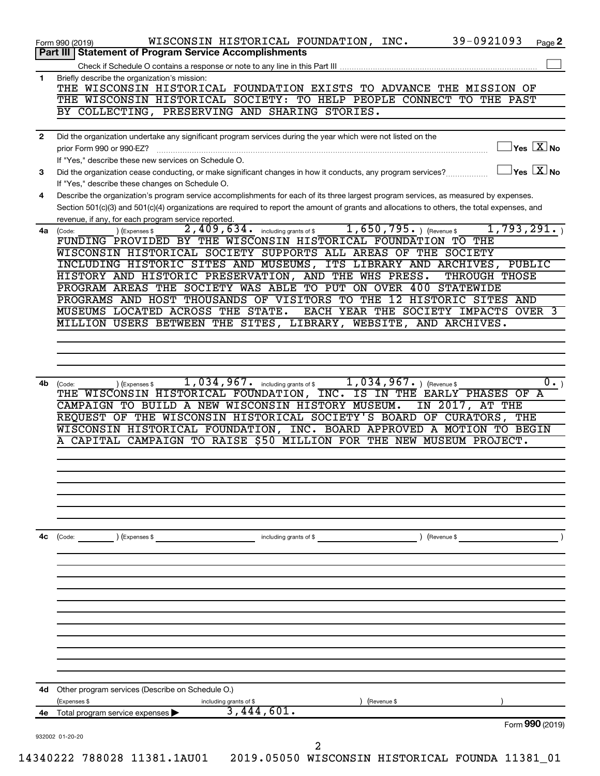|                | Form 990 (2019)                                                                                                                                                                                                                                                                               |
|----------------|-----------------------------------------------------------------------------------------------------------------------------------------------------------------------------------------------------------------------------------------------------------------------------------------------|
| 4е             | 3,444,601.<br>Total program service expenses                                                                                                                                                                                                                                                  |
| 4d             | Other program services (Describe on Schedule O.)<br>(Expenses \$<br>) (Revenue \$<br>including grants of \$                                                                                                                                                                                   |
|                |                                                                                                                                                                                                                                                                                               |
|                |                                                                                                                                                                                                                                                                                               |
|                |                                                                                                                                                                                                                                                                                               |
| 4с             | $\angle$ (Revenue \$<br>$\left(\text{Code:} \right)$ $\left(\text{Expenses $}\right)$<br>including grants of \$                                                                                                                                                                               |
|                |                                                                                                                                                                                                                                                                                               |
|                |                                                                                                                                                                                                                                                                                               |
|                | A CAPITAL CAMPAIGN TO RAISE \$50 MILLION FOR THE NEW MUSEUM PROJECT.                                                                                                                                                                                                                          |
|                | REQUEST OF THE WISCONSIN HISTORICAL SOCIETY'S BOARD OF CURATORS, THE<br>WISCONSIN HISTORICAL FOUNDATION, INC. BOARD APPROVED A MOTION TO BEGIN                                                                                                                                                |
| 4b             | 1,034,967. including grants of \$1,034,967. ) (Revenue \$<br>$0 \cdot$<br>(Code:<br>(Expenses \$<br>THE WISCONSIN HISTORICAL FOUNDATION, INC. IS IN THE EARLY PHASES OF A<br>CAMPAIGN TO BUILD A NEW WISCONSIN HISTORY MUSEUM.<br>IN 2017, AT THE                                             |
|                |                                                                                                                                                                                                                                                                                               |
|                | MILLION USERS BETWEEN THE SITES, LIBRARY, WEBSITE, AND ARCHIVES.                                                                                                                                                                                                                              |
|                | PROGRAMS AND HOST THOUSANDS OF VISITORS TO THE 12 HISTORIC SITES AND<br>MUSEUMS LOCATED ACROSS THE STATE.<br>EACH YEAR THE SOCIETY IMPACTS OVER 3                                                                                                                                             |
|                | HISTORY AND HISTORIC PRESERVATION, AND THE WHS PRESS.<br>THROUGH THOSE<br>PROGRAM AREAS THE SOCIETY WAS ABLE TO PUT ON OVER 400 STATEWIDE                                                                                                                                                     |
|                | WISCONSIN HISTORICAL SOCIETY SUPPORTS ALL AREAS OF THE SOCIETY<br>INCLUDING HISTORIC SITES AND MUSEUMS, ITS LIBRARY AND ARCHIVES, PUBLIC                                                                                                                                                      |
| 4a             | revenue, if any, for each program service reported.<br>2,409,634. including grants of \$1,650,795. ) (Revenue \$<br>1,793,291.<br>(Code:<br>(Expenses \$<br>FUNDING PROVIDED BY THE WISCONSIN HISTORICAL FOUNDATION TO THE                                                                    |
| 4              | Describe the organization's program service accomplishments for each of its three largest program services, as measured by expenses.<br>Section 501(c)(3) and 501(c)(4) organizations are required to report the amount of grants and allocations to others, the total expenses, and          |
|                | If "Yes," describe these changes on Schedule O.                                                                                                                                                                                                                                               |
| 3              | $ {\mathsf Y}\mathsf{es}\ \boxed{{\mathsf X}}$ No<br>prior Form 990 or 990-EZ?<br>If "Yes," describe these new services on Schedule O.<br>$\overline{Y}$ es $\overline{X}$ No<br>Did the organization cease conducting, or make significant changes in how it conducts, any program services? |
| $\overline{2}$ | Did the organization undertake any significant program services during the year which were not listed on the                                                                                                                                                                                  |
|                | THE WISCONSIN HISTORICAL SOCIETY: TO HELP PEOPLE CONNECT TO THE PAST<br>BY COLLECTING, PRESERVING AND SHARING STORIES.                                                                                                                                                                        |
|                | THE WISCONSIN HISTORICAL FOUNDATION EXISTS TO ADVANCE THE MISSION OF                                                                                                                                                                                                                          |
| $\mathbf{1}$   | Briefly describe the organization's mission:                                                                                                                                                                                                                                                  |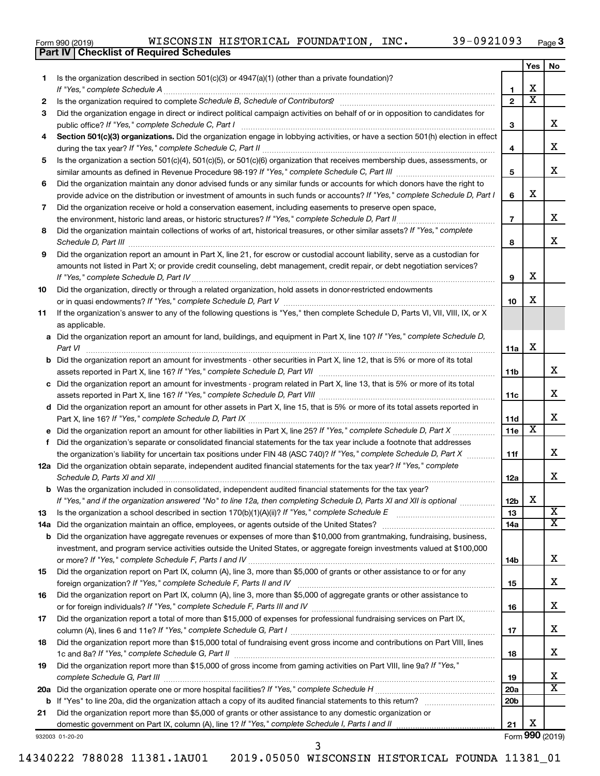|  | Form 990 (2019) |
|--|-----------------|
|  |                 |

**Part IV Checklist of Required Schedules**

|     |                                                                                                                                       |                 | Yes | No                      |
|-----|---------------------------------------------------------------------------------------------------------------------------------------|-----------------|-----|-------------------------|
| 1.  | Is the organization described in section 501(c)(3) or 4947(a)(1) (other than a private foundation)?<br>If "Yes," complete Schedule A  | 1               | x   |                         |
| 2   |                                                                                                                                       | $\mathbf{2}$    | х   |                         |
| 3   | Did the organization engage in direct or indirect political campaign activities on behalf of or in opposition to candidates for       |                 |     |                         |
|     | public office? If "Yes," complete Schedule C, Part I                                                                                  | З               |     | X.                      |
| 4   | Section 501(c)(3) organizations. Did the organization engage in lobbying activities, or have a section 501(h) election in effect      |                 |     |                         |
|     |                                                                                                                                       | 4               |     | x                       |
| 5   | Is the organization a section 501(c)(4), 501(c)(5), or 501(c)(6) organization that receives membership dues, assessments, or          |                 |     |                         |
|     |                                                                                                                                       | 5               |     | X.                      |
| 6   | Did the organization maintain any donor advised funds or any similar funds or accounts for which donors have the right to             |                 |     |                         |
|     | provide advice on the distribution or investment of amounts in such funds or accounts? If "Yes," complete Schedule D, Part I          | 6               | x   |                         |
| 7   | Did the organization receive or hold a conservation easement, including easements to preserve open space,                             |                 |     |                         |
|     | the environment, historic land areas, or historic structures? If "Yes," complete Schedule D, Part II                                  | $\overline{7}$  |     | X.                      |
| 8   | Did the organization maintain collections of works of art, historical treasures, or other similar assets? If "Yes," complete          |                 |     |                         |
|     | Schedule D, Part III                                                                                                                  | 8               |     | X.                      |
| 9   | Did the organization report an amount in Part X, line 21, for escrow or custodial account liability, serve as a custodian for         |                 |     |                         |
|     | amounts not listed in Part X; or provide credit counseling, debt management, credit repair, or debt negotiation services?             |                 |     |                         |
|     |                                                                                                                                       | 9               | x   |                         |
| 10  | Did the organization, directly or through a related organization, hold assets in donor-restricted endowments                          |                 |     |                         |
|     |                                                                                                                                       | 10              | x   |                         |
| 11  | If the organization's answer to any of the following questions is "Yes," then complete Schedule D, Parts VI, VII, VIII, IX, or X      |                 |     |                         |
|     | as applicable.                                                                                                                        |                 |     |                         |
|     | a Did the organization report an amount for land, buildings, and equipment in Part X, line 10? If "Yes," complete Schedule D,         |                 |     |                         |
|     | Part VI                                                                                                                               | 11a             | x   |                         |
|     | <b>b</b> Did the organization report an amount for investments - other securities in Part X, line 12, that is 5% or more of its total |                 |     |                         |
|     | assets reported in Part X, line 16? If "Yes," complete Schedule D, Part VII                                                           | 11b             |     | x                       |
|     | c Did the organization report an amount for investments - program related in Part X, line 13, that is 5% or more of its total         |                 |     |                         |
|     |                                                                                                                                       | 11c             |     | X.                      |
|     | d Did the organization report an amount for other assets in Part X, line 15, that is 5% or more of its total assets reported in       |                 |     | x                       |
|     |                                                                                                                                       | 11d             | X   |                         |
|     | Did the organization's separate or consolidated financial statements for the tax year include a footnote that addresses               | 11e             |     |                         |
| f.  | the organization's liability for uncertain tax positions under FIN 48 (ASC 740)? If "Yes," complete Schedule D, Part X                | 11f             |     | X.                      |
|     | 12a Did the organization obtain separate, independent audited financial statements for the tax year? If "Yes," complete               |                 |     |                         |
|     | Schedule D, Parts XI and XII                                                                                                          | 12a             |     | X.                      |
|     | <b>b</b> Was the organization included in consolidated, independent audited financial statements for the tax year?                    |                 |     |                         |
|     | If "Yes," and if the organization answered "No" to line 12a, then completing Schedule D, Parts XI and XII is optional <i>www.</i>     | 12 <sub>b</sub> | x   |                         |
| 13  |                                                                                                                                       | 13              |     | $\overline{\mathbf{X}}$ |
| 14a | Did the organization maintain an office, employees, or agents outside of the United States?                                           | 14a             |     | x                       |
|     | <b>b</b> Did the organization have aggregate revenues or expenses of more than \$10,000 from grantmaking, fundraising, business,      |                 |     |                         |
|     | investment, and program service activities outside the United States, or aggregate foreign investments valued at \$100,000            |                 |     |                         |
|     |                                                                                                                                       | 14b             |     | X.                      |
| 15  | Did the organization report on Part IX, column (A), line 3, more than \$5,000 of grants or other assistance to or for any             |                 |     |                         |
|     |                                                                                                                                       | 15              |     | x                       |
| 16  | Did the organization report on Part IX, column (A), line 3, more than \$5,000 of aggregate grants or other assistance to              |                 |     |                         |
|     |                                                                                                                                       | 16              |     | x                       |
| 17  | Did the organization report a total of more than \$15,000 of expenses for professional fundraising services on Part IX,               |                 |     |                         |
|     |                                                                                                                                       | 17              |     | x                       |
| 18  | Did the organization report more than \$15,000 total of fundraising event gross income and contributions on Part VIII, lines          |                 |     |                         |
|     |                                                                                                                                       | 18              |     | x                       |
| 19  | Did the organization report more than \$15,000 of gross income from gaming activities on Part VIII, line 9a? If "Yes,"                |                 |     |                         |
|     |                                                                                                                                       | 19              |     | х                       |
|     |                                                                                                                                       | <b>20a</b>      |     | х                       |
|     |                                                                                                                                       | 20 <sub>b</sub> |     |                         |
| 21  | Did the organization report more than \$5,000 of grants or other assistance to any domestic organization or                           |                 |     |                         |
|     |                                                                                                                                       | 21              | x   |                         |

932003 01-20-20

Form (2019) **990**

14340222 788028 11381.1AU01 2019.05050 WISCONSIN HISTORICAL FOUNDA 11381\_01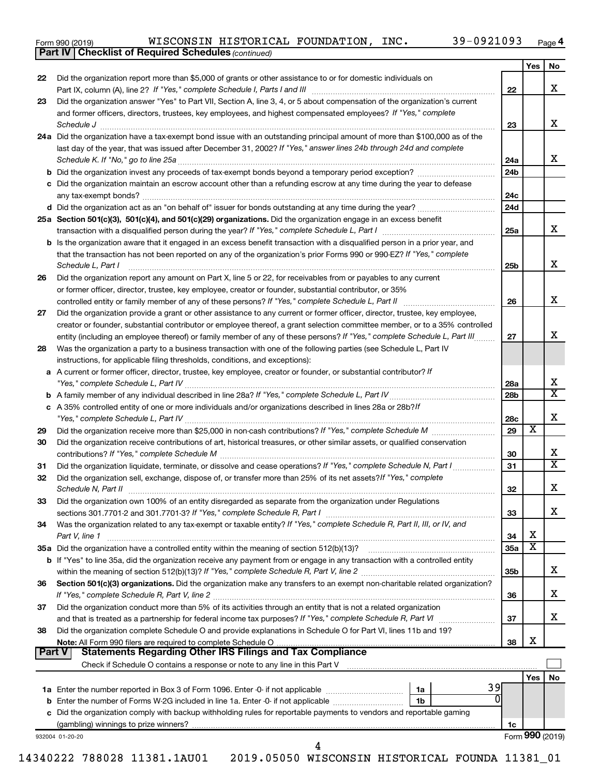| Form 990 (2019) |  |  |  |
|-----------------|--|--|--|
|-----------------|--|--|--|

*(continued)* **Part IV Checklist of Required Schedules**

|        |                                                                                                                                                                                                                                                         |                 | Yes                     | No                      |
|--------|---------------------------------------------------------------------------------------------------------------------------------------------------------------------------------------------------------------------------------------------------------|-----------------|-------------------------|-------------------------|
| 22     | Did the organization report more than \$5,000 of grants or other assistance to or for domestic individuals on                                                                                                                                           | 22              |                         | x                       |
| 23     | Did the organization answer "Yes" to Part VII, Section A, line 3, 4, or 5 about compensation of the organization's current                                                                                                                              |                 |                         |                         |
|        | and former officers, directors, trustees, key employees, and highest compensated employees? If "Yes," complete                                                                                                                                          |                 |                         |                         |
|        | Schedule J <b>Execute Schedule J Execute Schedule J Execute Schedule J Execute Schedule J</b>                                                                                                                                                           | 23              |                         | x                       |
|        | 24a Did the organization have a tax-exempt bond issue with an outstanding principal amount of more than \$100,000 as of the                                                                                                                             |                 |                         |                         |
|        | last day of the year, that was issued after December 31, 2002? If "Yes," answer lines 24b through 24d and complete                                                                                                                                      |                 |                         |                         |
|        |                                                                                                                                                                                                                                                         | 24a             |                         | x.                      |
|        |                                                                                                                                                                                                                                                         | 24 <sub>b</sub> |                         |                         |
|        | c Did the organization maintain an escrow account other than a refunding escrow at any time during the year to defease                                                                                                                                  |                 |                         |                         |
|        |                                                                                                                                                                                                                                                         | 24c             |                         |                         |
|        |                                                                                                                                                                                                                                                         | 24d             |                         |                         |
|        | 25a Section 501(c)(3), 501(c)(4), and 501(c)(29) organizations. Did the organization engage in an excess benefit                                                                                                                                        |                 |                         |                         |
|        |                                                                                                                                                                                                                                                         | 25a             |                         | X.                      |
|        | b Is the organization aware that it engaged in an excess benefit transaction with a disqualified person in a prior year, and                                                                                                                            |                 |                         |                         |
|        | that the transaction has not been reported on any of the organization's prior Forms 990 or 990-EZ? If "Yes," complete                                                                                                                                   |                 |                         |                         |
|        | Schedule L, Part I                                                                                                                                                                                                                                      | 25b             |                         | x                       |
| 26     | Did the organization report any amount on Part X, line 5 or 22, for receivables from or payables to any current                                                                                                                                         |                 |                         |                         |
|        | or former officer, director, trustee, key employee, creator or founder, substantial contributor, or 35%                                                                                                                                                 |                 |                         | x.                      |
|        | controlled entity or family member of any of these persons? If "Yes," complete Schedule L, Part II                                                                                                                                                      | 26              |                         |                         |
| 27     | Did the organization provide a grant or other assistance to any current or former officer, director, trustee, key employee,                                                                                                                             |                 |                         |                         |
|        | creator or founder, substantial contributor or employee thereof, a grant selection committee member, or to a 35% controlled<br>entity (including an employee thereof) or family member of any of these persons? If "Yes," complete Schedule L, Part III | 27              |                         | x                       |
| 28     | Was the organization a party to a business transaction with one of the following parties (see Schedule L, Part IV                                                                                                                                       |                 |                         |                         |
|        | instructions, for applicable filing thresholds, conditions, and exceptions):                                                                                                                                                                            |                 |                         |                         |
| a      | A current or former officer, director, trustee, key employee, creator or founder, or substantial contributor? If                                                                                                                                        |                 |                         |                         |
|        |                                                                                                                                                                                                                                                         | 28a             |                         | х                       |
|        |                                                                                                                                                                                                                                                         | 28 <sub>b</sub> |                         | $\overline{\mathtt{x}}$ |
|        | c A 35% controlled entity of one or more individuals and/or organizations described in lines 28a or 28b?If                                                                                                                                              |                 |                         |                         |
|        |                                                                                                                                                                                                                                                         | 28c             |                         | x                       |
| 29     |                                                                                                                                                                                                                                                         | 29              | X                       |                         |
| 30     | Did the organization receive contributions of art, historical treasures, or other similar assets, or qualified conservation                                                                                                                             |                 |                         |                         |
|        |                                                                                                                                                                                                                                                         | 30              |                         | x                       |
| 31     | Did the organization liquidate, terminate, or dissolve and cease operations? If "Yes," complete Schedule N, Part I                                                                                                                                      | 31              |                         | $\overline{\text{x}}$   |
| 32     | Did the organization sell, exchange, dispose of, or transfer more than 25% of its net assets? If "Yes," complete                                                                                                                                        |                 |                         | x                       |
|        | Schedule N, Part II                                                                                                                                                                                                                                     | 32              |                         |                         |
| 33     | Did the organization own 100% of an entity disregarded as separate from the organization under Regulations                                                                                                                                              |                 |                         | x                       |
| 34     | Was the organization related to any tax-exempt or taxable entity? If "Yes," complete Schedule R, Part II, III, or IV, and                                                                                                                               | 33              |                         |                         |
|        | Part V, line 1                                                                                                                                                                                                                                          | 34              | x                       |                         |
|        | 35a Did the organization have a controlled entity within the meaning of section 512(b)(13)?                                                                                                                                                             | 35a             | $\overline{\mathbf{X}}$ |                         |
|        | <b>b</b> If "Yes" to line 35a, did the organization receive any payment from or engage in any transaction with a controlled entity                                                                                                                      |                 |                         |                         |
|        |                                                                                                                                                                                                                                                         | 35b             |                         | х                       |
| 36     | Section 501(c)(3) organizations. Did the organization make any transfers to an exempt non-charitable related organization?                                                                                                                              |                 |                         |                         |
|        |                                                                                                                                                                                                                                                         | 36              |                         | х                       |
| 37     | Did the organization conduct more than 5% of its activities through an entity that is not a related organization                                                                                                                                        |                 |                         |                         |
|        |                                                                                                                                                                                                                                                         | 37              |                         | x.                      |
| 38     | Did the organization complete Schedule O and provide explanations in Schedule O for Part VI, lines 11b and 19?                                                                                                                                          |                 |                         |                         |
|        | Note: All Form 990 filers are required to complete Schedule O                                                                                                                                                                                           | 38              | х                       |                         |
| Part V | <b>Statements Regarding Other IRS Filings and Tax Compliance</b>                                                                                                                                                                                        |                 |                         |                         |
|        |                                                                                                                                                                                                                                                         |                 | Yes                     | No                      |
|        | 39<br>1a                                                                                                                                                                                                                                                |                 |                         |                         |
|        | b Enter the number of Forms W-2G included in line 1a. Enter -0- if not applicable<br>1b                                                                                                                                                                 |                 |                         |                         |
|        | c Did the organization comply with backup withholding rules for reportable payments to vendors and reportable gaming                                                                                                                                    |                 |                         |                         |
|        |                                                                                                                                                                                                                                                         | 1c              |                         |                         |
|        | 932004 01-20-20                                                                                                                                                                                                                                         |                 |                         | Form 990 (2019)         |
|        | 4                                                                                                                                                                                                                                                       |                 |                         |                         |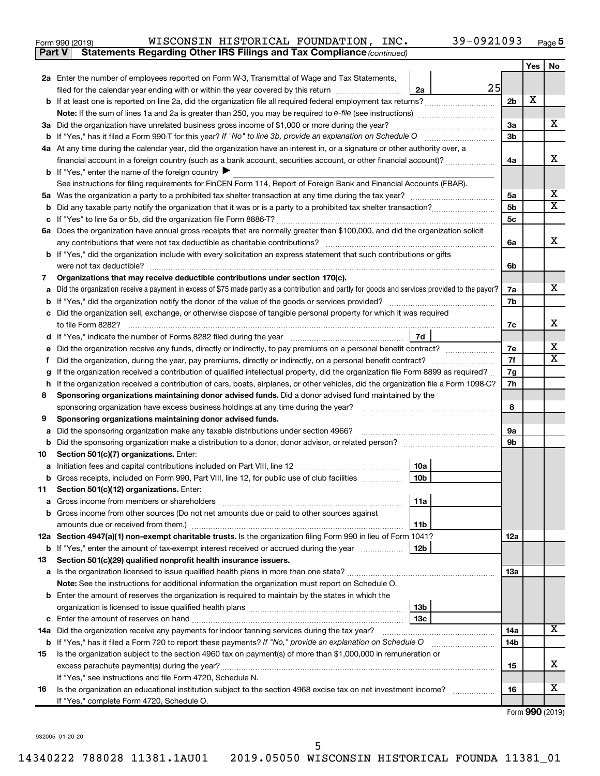| Form 990 (2019) |  |  | WISCONSIN HISTORICAL FOUNDATION, | INC. | 39-0921093 | Page |
|-----------------|--|--|----------------------------------|------|------------|------|
|-----------------|--|--|----------------------------------|------|------------|------|

**Part V Statements Regarding Other IRS Filings and Tax Compliance**

*(continued)*

|    |                                                                                                                                                                                                                |                | Yes | No                    |  |  |
|----|----------------------------------------------------------------------------------------------------------------------------------------------------------------------------------------------------------------|----------------|-----|-----------------------|--|--|
|    | 2a Enter the number of employees reported on Form W-3, Transmittal of Wage and Tax Statements,                                                                                                                 |                |     |                       |  |  |
|    | 25<br>2a<br>filed for the calendar year ending with or within the year covered by this return                                                                                                                  |                |     |                       |  |  |
|    |                                                                                                                                                                                                                | 2 <sub>b</sub> | х   |                       |  |  |
|    | <b>Note:</b> If the sum of lines 1a and 2a is greater than 250, you may be required to e-file (see instructions) <i>manumanous</i>                                                                             |                |     |                       |  |  |
|    | 3a Did the organization have unrelated business gross income of \$1,000 or more during the year?                                                                                                               | За             |     | X.                    |  |  |
|    |                                                                                                                                                                                                                | 3b             |     |                       |  |  |
|    | 4a At any time during the calendar year, did the organization have an interest in, or a signature or other authority over, a                                                                                   |                |     |                       |  |  |
|    | financial account in a foreign country (such as a bank account, securities account, or other financial account)?                                                                                               | 4a             |     | x                     |  |  |
|    | <b>b</b> If "Yes," enter the name of the foreign country                                                                                                                                                       |                |     |                       |  |  |
|    | See instructions for filing requirements for FinCEN Form 114, Report of Foreign Bank and Financial Accounts (FBAR).                                                                                            |                |     |                       |  |  |
|    |                                                                                                                                                                                                                | 5a             |     | x                     |  |  |
|    |                                                                                                                                                                                                                | 5 <sub>b</sub> |     | $\overline{\text{x}}$ |  |  |
|    |                                                                                                                                                                                                                | 5c             |     |                       |  |  |
|    | 6a Does the organization have annual gross receipts that are normally greater than \$100,000, and did the organization solicit                                                                                 |                |     |                       |  |  |
|    | any contributions that were not tax deductible as charitable contributions?                                                                                                                                    | 6a             |     | x                     |  |  |
|    | b If "Yes," did the organization include with every solicitation an express statement that such contributions or gifts                                                                                         |                |     |                       |  |  |
|    | were not tax deductible?                                                                                                                                                                                       | 6b             |     |                       |  |  |
| 7  | Organizations that may receive deductible contributions under section 170(c).                                                                                                                                  |                |     | X.                    |  |  |
|    | Did the organization receive a payment in excess of \$75 made partly as a contribution and partly for goods and services provided to the payor?                                                                | 7a<br>7b       |     |                       |  |  |
|    | c Did the organization sell, exchange, or otherwise dispose of tangible personal property for which it was required                                                                                            |                |     |                       |  |  |
|    | to file Form 8282?                                                                                                                                                                                             | 7c             |     | x                     |  |  |
|    | 7d                                                                                                                                                                                                             |                |     |                       |  |  |
|    | Did the organization receive any funds, directly or indirectly, to pay premiums on a personal benefit contract?                                                                                                | 7е             |     | x                     |  |  |
| Ť. |                                                                                                                                                                                                                |                |     |                       |  |  |
| g  | If the organization received a contribution of qualified intellectual property, did the organization file Form 8899 as required?                                                                               | 7f<br>7g       |     |                       |  |  |
|    | If the organization received a contribution of cars, boats, airplanes, or other vehicles, did the organization file a Form 1098-C?                                                                             |                |     |                       |  |  |
| 8  | Sponsoring organizations maintaining donor advised funds. Did a donor advised fund maintained by the                                                                                                           |                |     |                       |  |  |
|    | sponsoring organization have excess business holdings at any time during the year?                                                                                                                             | 8              |     |                       |  |  |
| 9  | Sponsoring organizations maintaining donor advised funds.                                                                                                                                                      |                |     |                       |  |  |
|    | Did the sponsoring organization make any taxable distributions under section 4966?                                                                                                                             | 9а             |     |                       |  |  |
| b  |                                                                                                                                                                                                                | 9b             |     |                       |  |  |
| 10 | Section 501(c)(7) organizations. Enter:                                                                                                                                                                        |                |     |                       |  |  |
| а  | 10a                                                                                                                                                                                                            |                |     |                       |  |  |
| b  | 10 <sub>b</sub><br>Gross receipts, included on Form 990, Part VIII, line 12, for public use of club facilities                                                                                                 |                |     |                       |  |  |
| 11 | Section 501(c)(12) organizations. Enter:                                                                                                                                                                       |                |     |                       |  |  |
|    | 11a                                                                                                                                                                                                            |                |     |                       |  |  |
|    | <b>b</b> Gross income from other sources (Do not net amounts due or paid to other sources against                                                                                                              |                |     |                       |  |  |
|    | 11b                                                                                                                                                                                                            |                |     |                       |  |  |
|    | 12a Section 4947(a)(1) non-exempt charitable trusts. Is the organization filing Form 990 in lieu of Form 1041?                                                                                                 | 12a            |     |                       |  |  |
|    | <b>b</b> If "Yes," enter the amount of tax-exempt interest received or accrued during the year<br>12b                                                                                                          |                |     |                       |  |  |
| 13 | Section 501(c)(29) qualified nonprofit health insurance issuers.                                                                                                                                               | 1За            |     |                       |  |  |
|    |                                                                                                                                                                                                                |                |     |                       |  |  |
|    | Note: See the instructions for additional information the organization must report on Schedule O.<br><b>b</b> Enter the amount of reserves the organization is required to maintain by the states in which the |                |     |                       |  |  |
|    | 13b                                                                                                                                                                                                            |                |     |                       |  |  |
|    | 13c                                                                                                                                                                                                            |                |     |                       |  |  |
|    | 14a Did the organization receive any payments for indoor tanning services during the tax year?                                                                                                                 | 14a            |     | х                     |  |  |
|    | <b>b</b> If "Yes," has it filed a Form 720 to report these payments? If "No," provide an explanation on Schedule O                                                                                             | 14b            |     |                       |  |  |
| 15 | Is the organization subject to the section 4960 tax on payment(s) of more than \$1,000,000 in remuneration or                                                                                                  |                |     |                       |  |  |
|    |                                                                                                                                                                                                                | 15             |     | x                     |  |  |
|    | If "Yes," see instructions and file Form 4720, Schedule N.                                                                                                                                                     |                |     |                       |  |  |
| 16 | Is the organization an educational institution subject to the section 4968 excise tax on net investment income?                                                                                                | 16             |     | х                     |  |  |
|    | If "Yes," complete Form 4720, Schedule O.                                                                                                                                                                      |                |     |                       |  |  |

Form (2019) **990**

932005 01-20-20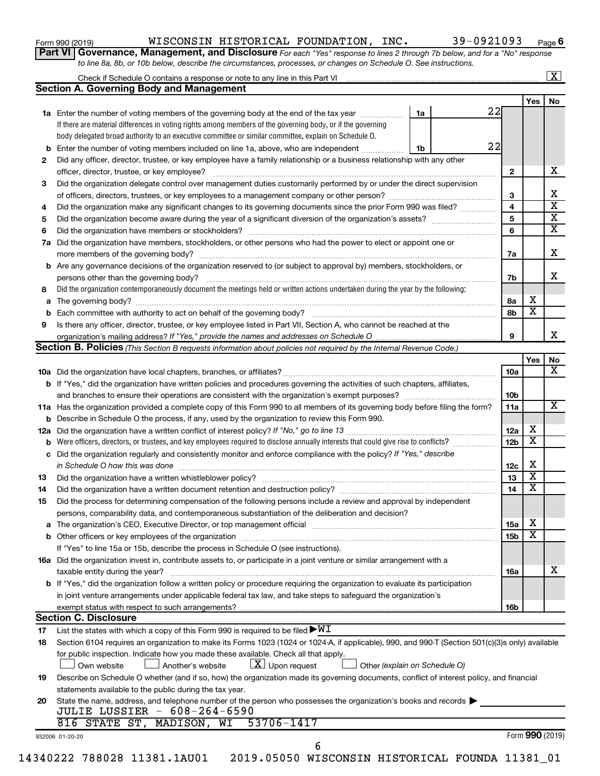| Form 990 (2019) |  |
|-----------------|--|
|-----------------|--|

#### Form 990 (2019)  $NISCONSIM\ HISTORICAL\ FOUNDATION,\ INC. \hspace{1cm} 39-0921093 \hspace{0.2cm} Page$

**Part VI** Governance, Management, and Disclosure For each "Yes" response to lines 2 through 7b below, and for a "No" response *to line 8a, 8b, or 10b below, describe the circumstances, processes, or changes on Schedule O. See instructions.*

|          |                                                                                                                                                  |    |    |                 |                         | $\boxed{\textbf{X}}$    |
|----------|--------------------------------------------------------------------------------------------------------------------------------------------------|----|----|-----------------|-------------------------|-------------------------|
|          | <b>Section A. Governing Body and Management</b>                                                                                                  |    |    |                 |                         |                         |
|          |                                                                                                                                                  |    |    |                 | Yes $ $                 | No                      |
|          | 1a Enter the number of voting members of the governing body at the end of the tax year                                                           | 1a | 22 |                 |                         |                         |
|          | If there are material differences in voting rights among members of the governing body, or if the governing                                      |    |    |                 |                         |                         |
|          | body delegated broad authority to an executive committee or similar committee, explain on Schedule O.                                            |    |    |                 |                         |                         |
|          | <b>b</b> Enter the number of voting members included on line 1a, above, who are independent                                                      | 1b | 22 |                 |                         |                         |
| 2        | Did any officer, director, trustee, or key employee have a family relationship or a business relationship with any other                         |    |    |                 |                         |                         |
|          |                                                                                                                                                  |    |    | $\mathbf{2}$    |                         | x                       |
| 3        | Did the organization delegate control over management duties customarily performed by or under the direct supervision                            |    |    |                 |                         |                         |
|          |                                                                                                                                                  |    |    | 3               |                         | х                       |
| 4        | Did the organization make any significant changes to its governing documents since the prior Form 990 was filed?                                 |    |    | 4               |                         | $\overline{\textbf{x}}$ |
| 5        |                                                                                                                                                  |    |    | 5               |                         | $\overline{\textbf{x}}$ |
| 6        |                                                                                                                                                  |    |    | 6               |                         | $\overline{\texttt{x}}$ |
|          | 7a Did the organization have members, stockholders, or other persons who had the power to elect or appoint one or                                |    |    |                 |                         |                         |
|          |                                                                                                                                                  |    |    | 7a              |                         | х                       |
|          | <b>b</b> Are any governance decisions of the organization reserved to (or subject to approval by) members, stockholders, or                      |    |    |                 |                         |                         |
|          | persons other than the governing body?                                                                                                           |    |    | 7b              |                         | x                       |
| 8        | Did the organization contemporaneously document the meetings held or written actions undertaken during the year by the following:                |    |    |                 |                         |                         |
|          |                                                                                                                                                  |    |    | 8a              | х                       |                         |
|          |                                                                                                                                                  |    |    | 8b              | $\overline{\textbf{x}}$ |                         |
| 9        |                                                                                                                                                  |    |    |                 |                         |                         |
|          | Is there any officer, director, trustee, or key employee listed in Part VII, Section A, who cannot be reached at the                             |    |    | 9               |                         |                         |
|          | Section B. Policies (This Section B requests information about policies not required by the Internal Revenue Code.)                              |    |    |                 |                         |                         |
|          |                                                                                                                                                  |    |    |                 | Yes                     |                         |
|          |                                                                                                                                                  |    |    |                 |                         |                         |
|          |                                                                                                                                                  |    |    | 10a             |                         |                         |
|          | <b>b</b> If "Yes," did the organization have written policies and procedures governing the activities of such chapters, affiliates,              |    |    |                 |                         |                         |
|          |                                                                                                                                                  |    |    | 10b             |                         |                         |
|          | 11a Has the organization provided a complete copy of this Form 990 to all members of its governing body before filing the form?                  |    |    | 11a             |                         |                         |
|          | <b>b</b> Describe in Schedule O the process, if any, used by the organization to review this Form 990.                                           |    |    |                 |                         |                         |
|          |                                                                                                                                                  |    |    | 12a             | х                       |                         |
| b        |                                                                                                                                                  |    |    | 12 <sub>b</sub> | $\overline{\textbf{x}}$ |                         |
|          | c Did the organization regularly and consistently monitor and enforce compliance with the policy? If "Yes," describe                             |    |    |                 |                         |                         |
|          | in Schedule O how this was done manufactured and continuum and contact the was done manufactured and contact t                                   |    |    | 12c             | X                       |                         |
| 13       |                                                                                                                                                  |    |    | 13              | $\overline{\textbf{x}}$ |                         |
| 14       | Did the organization have a written document retention and destruction policy? [11] manufaction manufaction in                                   |    |    | 14              | $\overline{\textbf{x}}$ |                         |
| 15       | Did the process for determining compensation of the following persons include a review and approval by independent                               |    |    |                 |                         |                         |
|          | persons, comparability data, and contemporaneous substantiation of the deliberation and decision?                                                |    |    |                 |                         |                         |
|          |                                                                                                                                                  |    |    | 15a             | х                       |                         |
|          |                                                                                                                                                  |    |    | 15b             | $\overline{\textbf{x}}$ |                         |
|          | If "Yes" to line 15a or 15b, describe the process in Schedule O (see instructions).                                                              |    |    |                 |                         |                         |
|          | 16a Did the organization invest in, contribute assets to, or participate in a joint venture or similar arrangement with a                        |    |    |                 |                         |                         |
|          | taxable entity during the year?                                                                                                                  |    |    | 16a             |                         |                         |
|          | b If "Yes," did the organization follow a written policy or procedure requiring the organization to evaluate its participation                   |    |    |                 |                         |                         |
|          | in joint venture arrangements under applicable federal tax law, and take steps to safeguard the organization's                                   |    |    |                 |                         |                         |
|          | exempt status with respect to such arrangements?                                                                                                 |    |    | 16b             |                         |                         |
|          | <b>Section C. Disclosure</b>                                                                                                                     |    |    |                 |                         |                         |
|          | List the states with which a copy of this Form 990 is required to be filed $\blacktriangleright\texttt{WI}$                                      |    |    |                 |                         |                         |
|          |                                                                                                                                                  |    |    |                 |                         |                         |
| 17       |                                                                                                                                                  |    |    |                 |                         |                         |
| 18       | Section 6104 requires an organization to make its Forms 1023 (1024 or 1024-A, if applicable), 990, and 990-T (Section 501(c)(3)s only) available |    |    |                 |                         |                         |
|          | for public inspection. Indicate how you made these available. Check all that apply.                                                              |    |    |                 |                         |                         |
|          | $\lfloor x \rfloor$ Upon request<br>Own website<br>Another's website<br>Other (explain on Schedule O)                                            |    |    |                 |                         |                         |
|          | Describe on Schedule O whether (and if so, how) the organization made its governing documents, conflict of interest policy, and financial        |    |    |                 |                         |                         |
|          | statements available to the public during the tax year.                                                                                          |    |    |                 |                         |                         |
| 19<br>20 | State the name, address, and telephone number of the person who possesses the organization's books and records                                   |    |    |                 |                         |                         |
|          | <b>JULIE LUSSIER - 608-264-6590</b>                                                                                                              |    |    |                 |                         |                         |
|          | 53706-1417<br>816 STATE ST, MADISON, WI                                                                                                          |    |    |                 |                         |                         |
|          | 932006 01-20-20<br>6                                                                                                                             |    |    |                 | Form 990 (2019)         |                         |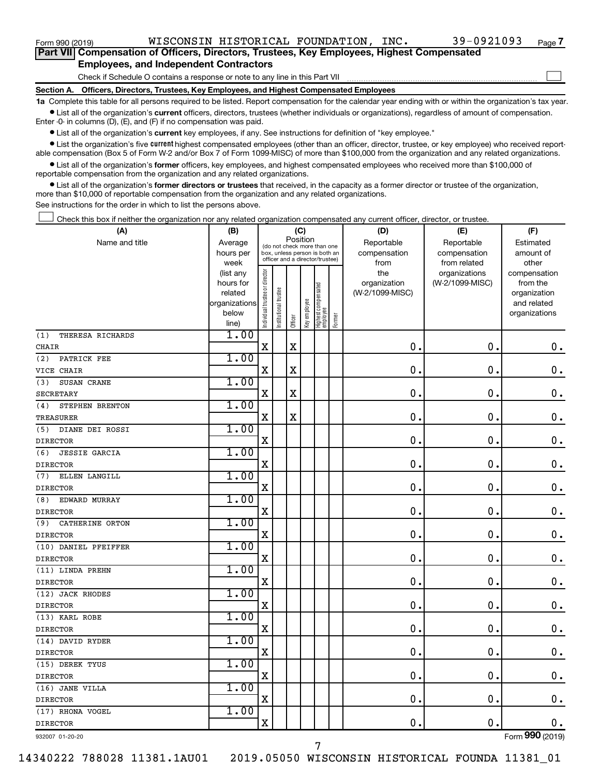Form 990 (2019)  $NISCONSIM\ HISTORICAL\ FOUNDATION,\ INC. \hspace{1cm} 39-0921093 \hspace{0.2cm} Page$ 

 $\Box$ 

| Part VII Compensation of Officers, Directors, Trustees, Key Employees, Highest Compensated |
|--------------------------------------------------------------------------------------------|
| <b>Employees, and Independent Contractors</b>                                              |

Check if Schedule O contains a response or note to any line in this Part VII

**Section A. Officers, Directors, Trustees, Key Employees, and Highest Compensated Employees**

**1a**  Complete this table for all persons required to be listed. Report compensation for the calendar year ending with or within the organization's tax year.  $\bullet$  List all of the organization's current officers, directors, trustees (whether individuals or organizations), regardless of amount of compensation.

Enter -0- in columns (D), (E), and (F) if no compensation was paid.

**•** List all of the organization's current key employees, if any. See instructions for definition of "key employee."

• List the organization's five *current* highest compensated employees (other than an officer, director, trustee, or key employee) who received reportable compensation (Box 5 of Form W-2 and/or Box 7 of Form 1099-MISC) of more than \$100,000 from the organization and any related organizations.

 $\bullet$  List all of the organization's former officers, key employees, and highest compensated employees who received more than \$100,000 of reportable compensation from the organization and any related organizations.

**•** List all of the organization's former directors or trustees that received, in the capacity as a former director or trustee of the organization, more than \$10,000 of reportable compensation from the organization and any related organizations.

See instructions for the order in which to list the persons above.

Check this box if neither the organization nor any related organization compensated any current officer, director, or trustee.  $\Box$ 

| Position<br>Name and title<br>Reportable<br>Reportable<br>Average<br>Estimated<br>(do not check more than one<br>compensation<br>compensation<br>amount of<br>hours per<br>box, unless person is both an<br>officer and a director/trustee)<br>week<br>from<br>from related<br>other<br>ndividual trustee or director<br>the<br>organizations<br>compensation<br>(list any<br>(W-2/1099-MISC)<br>hours for<br>organization<br>from the<br>Highest compensated<br>employee<br>Institutional trustee<br>related<br>(W-2/1099-MISC)<br>organization<br>Key employee<br>organizations<br>and related<br>below<br>organizations<br>Former<br>Officer<br>line)<br>1.00<br>(1)<br>THERESA RICHARDS<br>$\mathbf X$<br>$\mathbf X$<br>$\mathbf 0$<br>$\mathbf 0$ .<br>0.<br><b>CHAIR</b><br>1.00<br>PATRICK FEE<br>(2)<br>$\rm X$<br>$\mathbf 0$ .<br>X<br>0<br>$\mathbf 0$ .<br>VICE CHAIR<br>1.00<br>SUSAN CRANE<br>(3)<br>$\mathbf x$<br>$\mathbf 0$<br>$\mathbf 0$ .<br>$\mathbf X$<br>$\mathbf 0$ .<br><b>SECRETARY</b><br>1.00<br>(4)<br>STEPHEN BRENTON<br>$\mathbf X$<br>$\mathbf X$<br>$\mathbf 0$ .<br>0.<br>$\mathbf 0$ .<br>TREASURER<br>1.00<br>DIANE DEI ROSSI<br>(5)<br>$\mathbf 0$<br>X<br>0<br>$\mathbf 0$ .<br><b>DIRECTOR</b><br>1.00<br><b>JESSIE GARCIA</b><br>(6)<br>$\mathbf X$<br>$\mathbf 0$<br>0<br>0.<br><b>DIRECTOR</b><br>1.00<br>ELLEN LANGILL<br>(7)<br>$\mathbf 0$<br>X<br>0.<br>0.<br><b>DIRECTOR</b><br>1.00<br>EDWARD MURRAY<br>(8)<br>$\mathbf 0$ .<br>0.<br>$\mathbf 0$ .<br>X<br><b>DIRECTOR</b><br>1.00<br>(9)<br>CATHERINE ORTON<br>$\mathbf 0$ .<br>$\mathbf 0$ .<br>$0$ .<br>X<br><b>DIRECTOR</b><br>1.00<br>(10) DANIEL PFEIFFER<br>$\mathbf 0$ .<br>$\mathbf 0$ .<br>$0$ .<br>X<br><b>DIRECTOR</b><br>1.00<br>(11) LINDA PREHN<br>0.<br>$\mathbf 0$ .<br>$\mathbf 0$ .<br>$\mathbf X$<br><b>DIRECTOR</b><br>1.00<br>(12) JACK RHODES<br>0.<br>$\mathbf 0$ .<br>$\mathbf 0$ .<br>$\mathbf X$<br><b>DIRECTOR</b><br>1.00<br>(13) KARL ROBE<br>0.<br>$\mathbf 0$ .<br>$0$ .<br>$\mathbf X$<br><b>DIRECTOR</b><br>1.00<br>(14) DAVID RYDER<br>$\mathbf X$<br>$\mathbf{0}$ .<br>$\mathbf 0$ .<br>$\mathbf 0$ .<br><b>DIRECTOR</b><br>1.00<br>(15) DEREK TYUS<br>$\mathbf 0$<br>$\mathbf 0$ .<br>$\mathbf X$<br>0.<br><b>DIRECTOR</b><br>1.00<br>(16) JANE VILLA<br>$\rm X$<br>$\mathbf 0$<br>$\mathbf 0$<br>$\mathbf 0$ .<br><b>DIRECTOR</b><br>1.00<br>(17) RHONA VOGEL<br>$\overline{\mathbf{X}}$<br>0<br>$\mathbf 0$ .<br>$\mathbf 0$ .<br><b>DIRECTOR</b><br>000 | (A) | (B) |  | (C) |  | (D) | (E) | (F) |
|----------------------------------------------------------------------------------------------------------------------------------------------------------------------------------------------------------------------------------------------------------------------------------------------------------------------------------------------------------------------------------------------------------------------------------------------------------------------------------------------------------------------------------------------------------------------------------------------------------------------------------------------------------------------------------------------------------------------------------------------------------------------------------------------------------------------------------------------------------------------------------------------------------------------------------------------------------------------------------------------------------------------------------------------------------------------------------------------------------------------------------------------------------------------------------------------------------------------------------------------------------------------------------------------------------------------------------------------------------------------------------------------------------------------------------------------------------------------------------------------------------------------------------------------------------------------------------------------------------------------------------------------------------------------------------------------------------------------------------------------------------------------------------------------------------------------------------------------------------------------------------------------------------------------------------------------------------------------------------------------------------------------------------------------------------------------------------------------------------------------------------------------------------------------------------------------------------------------------------------------------------------------------------------------------------------------------------------------------------------------------------------------------------------------------------------------------------------------------------------------------|-----|-----|--|-----|--|-----|-----|-----|
|                                                                                                                                                                                                                                                                                                                                                                                                                                                                                                                                                                                                                                                                                                                                                                                                                                                                                                                                                                                                                                                                                                                                                                                                                                                                                                                                                                                                                                                                                                                                                                                                                                                                                                                                                                                                                                                                                                                                                                                                                                                                                                                                                                                                                                                                                                                                                                                                                                                                                                    |     |     |  |     |  |     |     |     |
|                                                                                                                                                                                                                                                                                                                                                                                                                                                                                                                                                                                                                                                                                                                                                                                                                                                                                                                                                                                                                                                                                                                                                                                                                                                                                                                                                                                                                                                                                                                                                                                                                                                                                                                                                                                                                                                                                                                                                                                                                                                                                                                                                                                                                                                                                                                                                                                                                                                                                                    |     |     |  |     |  |     |     |     |
|                                                                                                                                                                                                                                                                                                                                                                                                                                                                                                                                                                                                                                                                                                                                                                                                                                                                                                                                                                                                                                                                                                                                                                                                                                                                                                                                                                                                                                                                                                                                                                                                                                                                                                                                                                                                                                                                                                                                                                                                                                                                                                                                                                                                                                                                                                                                                                                                                                                                                                    |     |     |  |     |  |     |     |     |
|                                                                                                                                                                                                                                                                                                                                                                                                                                                                                                                                                                                                                                                                                                                                                                                                                                                                                                                                                                                                                                                                                                                                                                                                                                                                                                                                                                                                                                                                                                                                                                                                                                                                                                                                                                                                                                                                                                                                                                                                                                                                                                                                                                                                                                                                                                                                                                                                                                                                                                    |     |     |  |     |  |     |     |     |
|                                                                                                                                                                                                                                                                                                                                                                                                                                                                                                                                                                                                                                                                                                                                                                                                                                                                                                                                                                                                                                                                                                                                                                                                                                                                                                                                                                                                                                                                                                                                                                                                                                                                                                                                                                                                                                                                                                                                                                                                                                                                                                                                                                                                                                                                                                                                                                                                                                                                                                    |     |     |  |     |  |     |     |     |
|                                                                                                                                                                                                                                                                                                                                                                                                                                                                                                                                                                                                                                                                                                                                                                                                                                                                                                                                                                                                                                                                                                                                                                                                                                                                                                                                                                                                                                                                                                                                                                                                                                                                                                                                                                                                                                                                                                                                                                                                                                                                                                                                                                                                                                                                                                                                                                                                                                                                                                    |     |     |  |     |  |     |     |     |
|                                                                                                                                                                                                                                                                                                                                                                                                                                                                                                                                                                                                                                                                                                                                                                                                                                                                                                                                                                                                                                                                                                                                                                                                                                                                                                                                                                                                                                                                                                                                                                                                                                                                                                                                                                                                                                                                                                                                                                                                                                                                                                                                                                                                                                                                                                                                                                                                                                                                                                    |     |     |  |     |  |     |     |     |
|                                                                                                                                                                                                                                                                                                                                                                                                                                                                                                                                                                                                                                                                                                                                                                                                                                                                                                                                                                                                                                                                                                                                                                                                                                                                                                                                                                                                                                                                                                                                                                                                                                                                                                                                                                                                                                                                                                                                                                                                                                                                                                                                                                                                                                                                                                                                                                                                                                                                                                    |     |     |  |     |  |     |     |     |
|                                                                                                                                                                                                                                                                                                                                                                                                                                                                                                                                                                                                                                                                                                                                                                                                                                                                                                                                                                                                                                                                                                                                                                                                                                                                                                                                                                                                                                                                                                                                                                                                                                                                                                                                                                                                                                                                                                                                                                                                                                                                                                                                                                                                                                                                                                                                                                                                                                                                                                    |     |     |  |     |  |     |     |     |
|                                                                                                                                                                                                                                                                                                                                                                                                                                                                                                                                                                                                                                                                                                                                                                                                                                                                                                                                                                                                                                                                                                                                                                                                                                                                                                                                                                                                                                                                                                                                                                                                                                                                                                                                                                                                                                                                                                                                                                                                                                                                                                                                                                                                                                                                                                                                                                                                                                                                                                    |     |     |  |     |  |     |     |     |
|                                                                                                                                                                                                                                                                                                                                                                                                                                                                                                                                                                                                                                                                                                                                                                                                                                                                                                                                                                                                                                                                                                                                                                                                                                                                                                                                                                                                                                                                                                                                                                                                                                                                                                                                                                                                                                                                                                                                                                                                                                                                                                                                                                                                                                                                                                                                                                                                                                                                                                    |     |     |  |     |  |     |     |     |
|                                                                                                                                                                                                                                                                                                                                                                                                                                                                                                                                                                                                                                                                                                                                                                                                                                                                                                                                                                                                                                                                                                                                                                                                                                                                                                                                                                                                                                                                                                                                                                                                                                                                                                                                                                                                                                                                                                                                                                                                                                                                                                                                                                                                                                                                                                                                                                                                                                                                                                    |     |     |  |     |  |     |     |     |
|                                                                                                                                                                                                                                                                                                                                                                                                                                                                                                                                                                                                                                                                                                                                                                                                                                                                                                                                                                                                                                                                                                                                                                                                                                                                                                                                                                                                                                                                                                                                                                                                                                                                                                                                                                                                                                                                                                                                                                                                                                                                                                                                                                                                                                                                                                                                                                                                                                                                                                    |     |     |  |     |  |     |     |     |
|                                                                                                                                                                                                                                                                                                                                                                                                                                                                                                                                                                                                                                                                                                                                                                                                                                                                                                                                                                                                                                                                                                                                                                                                                                                                                                                                                                                                                                                                                                                                                                                                                                                                                                                                                                                                                                                                                                                                                                                                                                                                                                                                                                                                                                                                                                                                                                                                                                                                                                    |     |     |  |     |  |     |     |     |
|                                                                                                                                                                                                                                                                                                                                                                                                                                                                                                                                                                                                                                                                                                                                                                                                                                                                                                                                                                                                                                                                                                                                                                                                                                                                                                                                                                                                                                                                                                                                                                                                                                                                                                                                                                                                                                                                                                                                                                                                                                                                                                                                                                                                                                                                                                                                                                                                                                                                                                    |     |     |  |     |  |     |     |     |
|                                                                                                                                                                                                                                                                                                                                                                                                                                                                                                                                                                                                                                                                                                                                                                                                                                                                                                                                                                                                                                                                                                                                                                                                                                                                                                                                                                                                                                                                                                                                                                                                                                                                                                                                                                                                                                                                                                                                                                                                                                                                                                                                                                                                                                                                                                                                                                                                                                                                                                    |     |     |  |     |  |     |     |     |
|                                                                                                                                                                                                                                                                                                                                                                                                                                                                                                                                                                                                                                                                                                                                                                                                                                                                                                                                                                                                                                                                                                                                                                                                                                                                                                                                                                                                                                                                                                                                                                                                                                                                                                                                                                                                                                                                                                                                                                                                                                                                                                                                                                                                                                                                                                                                                                                                                                                                                                    |     |     |  |     |  |     |     |     |
|                                                                                                                                                                                                                                                                                                                                                                                                                                                                                                                                                                                                                                                                                                                                                                                                                                                                                                                                                                                                                                                                                                                                                                                                                                                                                                                                                                                                                                                                                                                                                                                                                                                                                                                                                                                                                                                                                                                                                                                                                                                                                                                                                                                                                                                                                                                                                                                                                                                                                                    |     |     |  |     |  |     |     |     |
|                                                                                                                                                                                                                                                                                                                                                                                                                                                                                                                                                                                                                                                                                                                                                                                                                                                                                                                                                                                                                                                                                                                                                                                                                                                                                                                                                                                                                                                                                                                                                                                                                                                                                                                                                                                                                                                                                                                                                                                                                                                                                                                                                                                                                                                                                                                                                                                                                                                                                                    |     |     |  |     |  |     |     |     |
|                                                                                                                                                                                                                                                                                                                                                                                                                                                                                                                                                                                                                                                                                                                                                                                                                                                                                                                                                                                                                                                                                                                                                                                                                                                                                                                                                                                                                                                                                                                                                                                                                                                                                                                                                                                                                                                                                                                                                                                                                                                                                                                                                                                                                                                                                                                                                                                                                                                                                                    |     |     |  |     |  |     |     |     |
|                                                                                                                                                                                                                                                                                                                                                                                                                                                                                                                                                                                                                                                                                                                                                                                                                                                                                                                                                                                                                                                                                                                                                                                                                                                                                                                                                                                                                                                                                                                                                                                                                                                                                                                                                                                                                                                                                                                                                                                                                                                                                                                                                                                                                                                                                                                                                                                                                                                                                                    |     |     |  |     |  |     |     |     |
|                                                                                                                                                                                                                                                                                                                                                                                                                                                                                                                                                                                                                                                                                                                                                                                                                                                                                                                                                                                                                                                                                                                                                                                                                                                                                                                                                                                                                                                                                                                                                                                                                                                                                                                                                                                                                                                                                                                                                                                                                                                                                                                                                                                                                                                                                                                                                                                                                                                                                                    |     |     |  |     |  |     |     |     |
|                                                                                                                                                                                                                                                                                                                                                                                                                                                                                                                                                                                                                                                                                                                                                                                                                                                                                                                                                                                                                                                                                                                                                                                                                                                                                                                                                                                                                                                                                                                                                                                                                                                                                                                                                                                                                                                                                                                                                                                                                                                                                                                                                                                                                                                                                                                                                                                                                                                                                                    |     |     |  |     |  |     |     |     |
|                                                                                                                                                                                                                                                                                                                                                                                                                                                                                                                                                                                                                                                                                                                                                                                                                                                                                                                                                                                                                                                                                                                                                                                                                                                                                                                                                                                                                                                                                                                                                                                                                                                                                                                                                                                                                                                                                                                                                                                                                                                                                                                                                                                                                                                                                                                                                                                                                                                                                                    |     |     |  |     |  |     |     |     |
|                                                                                                                                                                                                                                                                                                                                                                                                                                                                                                                                                                                                                                                                                                                                                                                                                                                                                                                                                                                                                                                                                                                                                                                                                                                                                                                                                                                                                                                                                                                                                                                                                                                                                                                                                                                                                                                                                                                                                                                                                                                                                                                                                                                                                                                                                                                                                                                                                                                                                                    |     |     |  |     |  |     |     |     |
|                                                                                                                                                                                                                                                                                                                                                                                                                                                                                                                                                                                                                                                                                                                                                                                                                                                                                                                                                                                                                                                                                                                                                                                                                                                                                                                                                                                                                                                                                                                                                                                                                                                                                                                                                                                                                                                                                                                                                                                                                                                                                                                                                                                                                                                                                                                                                                                                                                                                                                    |     |     |  |     |  |     |     |     |
|                                                                                                                                                                                                                                                                                                                                                                                                                                                                                                                                                                                                                                                                                                                                                                                                                                                                                                                                                                                                                                                                                                                                                                                                                                                                                                                                                                                                                                                                                                                                                                                                                                                                                                                                                                                                                                                                                                                                                                                                                                                                                                                                                                                                                                                                                                                                                                                                                                                                                                    |     |     |  |     |  |     |     |     |
|                                                                                                                                                                                                                                                                                                                                                                                                                                                                                                                                                                                                                                                                                                                                                                                                                                                                                                                                                                                                                                                                                                                                                                                                                                                                                                                                                                                                                                                                                                                                                                                                                                                                                                                                                                                                                                                                                                                                                                                                                                                                                                                                                                                                                                                                                                                                                                                                                                                                                                    |     |     |  |     |  |     |     |     |
|                                                                                                                                                                                                                                                                                                                                                                                                                                                                                                                                                                                                                                                                                                                                                                                                                                                                                                                                                                                                                                                                                                                                                                                                                                                                                                                                                                                                                                                                                                                                                                                                                                                                                                                                                                                                                                                                                                                                                                                                                                                                                                                                                                                                                                                                                                                                                                                                                                                                                                    |     |     |  |     |  |     |     |     |
|                                                                                                                                                                                                                                                                                                                                                                                                                                                                                                                                                                                                                                                                                                                                                                                                                                                                                                                                                                                                                                                                                                                                                                                                                                                                                                                                                                                                                                                                                                                                                                                                                                                                                                                                                                                                                                                                                                                                                                                                                                                                                                                                                                                                                                                                                                                                                                                                                                                                                                    |     |     |  |     |  |     |     |     |
|                                                                                                                                                                                                                                                                                                                                                                                                                                                                                                                                                                                                                                                                                                                                                                                                                                                                                                                                                                                                                                                                                                                                                                                                                                                                                                                                                                                                                                                                                                                                                                                                                                                                                                                                                                                                                                                                                                                                                                                                                                                                                                                                                                                                                                                                                                                                                                                                                                                                                                    |     |     |  |     |  |     |     |     |
|                                                                                                                                                                                                                                                                                                                                                                                                                                                                                                                                                                                                                                                                                                                                                                                                                                                                                                                                                                                                                                                                                                                                                                                                                                                                                                                                                                                                                                                                                                                                                                                                                                                                                                                                                                                                                                                                                                                                                                                                                                                                                                                                                                                                                                                                                                                                                                                                                                                                                                    |     |     |  |     |  |     |     |     |
|                                                                                                                                                                                                                                                                                                                                                                                                                                                                                                                                                                                                                                                                                                                                                                                                                                                                                                                                                                                                                                                                                                                                                                                                                                                                                                                                                                                                                                                                                                                                                                                                                                                                                                                                                                                                                                                                                                                                                                                                                                                                                                                                                                                                                                                                                                                                                                                                                                                                                                    |     |     |  |     |  |     |     |     |
|                                                                                                                                                                                                                                                                                                                                                                                                                                                                                                                                                                                                                                                                                                                                                                                                                                                                                                                                                                                                                                                                                                                                                                                                                                                                                                                                                                                                                                                                                                                                                                                                                                                                                                                                                                                                                                                                                                                                                                                                                                                                                                                                                                                                                                                                                                                                                                                                                                                                                                    |     |     |  |     |  |     |     |     |
|                                                                                                                                                                                                                                                                                                                                                                                                                                                                                                                                                                                                                                                                                                                                                                                                                                                                                                                                                                                                                                                                                                                                                                                                                                                                                                                                                                                                                                                                                                                                                                                                                                                                                                                                                                                                                                                                                                                                                                                                                                                                                                                                                                                                                                                                                                                                                                                                                                                                                                    |     |     |  |     |  |     |     |     |
|                                                                                                                                                                                                                                                                                                                                                                                                                                                                                                                                                                                                                                                                                                                                                                                                                                                                                                                                                                                                                                                                                                                                                                                                                                                                                                                                                                                                                                                                                                                                                                                                                                                                                                                                                                                                                                                                                                                                                                                                                                                                                                                                                                                                                                                                                                                                                                                                                                                                                                    |     |     |  |     |  |     |     |     |
|                                                                                                                                                                                                                                                                                                                                                                                                                                                                                                                                                                                                                                                                                                                                                                                                                                                                                                                                                                                                                                                                                                                                                                                                                                                                                                                                                                                                                                                                                                                                                                                                                                                                                                                                                                                                                                                                                                                                                                                                                                                                                                                                                                                                                                                                                                                                                                                                                                                                                                    |     |     |  |     |  |     |     |     |
|                                                                                                                                                                                                                                                                                                                                                                                                                                                                                                                                                                                                                                                                                                                                                                                                                                                                                                                                                                                                                                                                                                                                                                                                                                                                                                                                                                                                                                                                                                                                                                                                                                                                                                                                                                                                                                                                                                                                                                                                                                                                                                                                                                                                                                                                                                                                                                                                                                                                                                    |     |     |  |     |  |     |     |     |
|                                                                                                                                                                                                                                                                                                                                                                                                                                                                                                                                                                                                                                                                                                                                                                                                                                                                                                                                                                                                                                                                                                                                                                                                                                                                                                                                                                                                                                                                                                                                                                                                                                                                                                                                                                                                                                                                                                                                                                                                                                                                                                                                                                                                                                                                                                                                                                                                                                                                                                    |     |     |  |     |  |     |     |     |
|                                                                                                                                                                                                                                                                                                                                                                                                                                                                                                                                                                                                                                                                                                                                                                                                                                                                                                                                                                                                                                                                                                                                                                                                                                                                                                                                                                                                                                                                                                                                                                                                                                                                                                                                                                                                                                                                                                                                                                                                                                                                                                                                                                                                                                                                                                                                                                                                                                                                                                    |     |     |  |     |  |     |     |     |
|                                                                                                                                                                                                                                                                                                                                                                                                                                                                                                                                                                                                                                                                                                                                                                                                                                                                                                                                                                                                                                                                                                                                                                                                                                                                                                                                                                                                                                                                                                                                                                                                                                                                                                                                                                                                                                                                                                                                                                                                                                                                                                                                                                                                                                                                                                                                                                                                                                                                                                    |     |     |  |     |  |     |     |     |
|                                                                                                                                                                                                                                                                                                                                                                                                                                                                                                                                                                                                                                                                                                                                                                                                                                                                                                                                                                                                                                                                                                                                                                                                                                                                                                                                                                                                                                                                                                                                                                                                                                                                                                                                                                                                                                                                                                                                                                                                                                                                                                                                                                                                                                                                                                                                                                                                                                                                                                    |     |     |  |     |  |     |     |     |

932007 01-20-20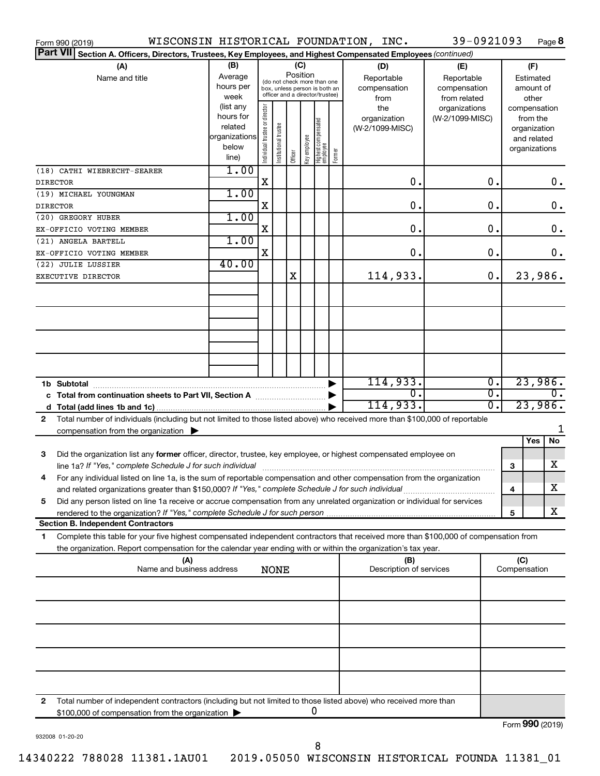|              | Form 990 (2019)                                                                                                                      |               |                                |                       |         |              |                                                              |        | WISCONSIN HISTORICAL FOUNDATION, INC. | 39-0921093      |                  |              |               | Page 8           |
|--------------|--------------------------------------------------------------------------------------------------------------------------------------|---------------|--------------------------------|-----------------------|---------|--------------|--------------------------------------------------------------|--------|---------------------------------------|-----------------|------------------|--------------|---------------|------------------|
|              | <b>Part VII</b><br>Section A. Officers, Directors, Trustees, Key Employees, and Highest Compensated Employees (continued)            |               |                                |                       |         |              |                                                              |        |                                       |                 |                  |              |               |                  |
|              | (A)                                                                                                                                  | (B)           |                                |                       |         | (C)          |                                                              |        | (D)                                   | (E)             |                  |              | (F)           |                  |
|              | Name and title                                                                                                                       | Average       |                                |                       |         | Position     |                                                              |        | Reportable                            | Reportable      |                  |              | Estimated     |                  |
|              |                                                                                                                                      | hours per     |                                |                       |         |              | (do not check more than one<br>box, unless person is both an |        | compensation                          | compensation    |                  |              | amount of     |                  |
|              |                                                                                                                                      | week          |                                |                       |         |              | officer and a director/trustee)                              |        | from                                  | from related    |                  |              | other         |                  |
|              |                                                                                                                                      | (list any     |                                |                       |         |              |                                                              |        | the                                   | organizations   |                  |              | compensation  |                  |
|              |                                                                                                                                      | hours for     |                                |                       |         |              |                                                              |        | organization                          | (W-2/1099-MISC) |                  |              | from the      |                  |
|              |                                                                                                                                      | related       |                                |                       |         |              |                                                              |        | (W-2/1099-MISC)                       |                 |                  |              | organization  |                  |
|              |                                                                                                                                      | organizations |                                |                       |         |              |                                                              |        |                                       |                 |                  |              | and related   |                  |
|              |                                                                                                                                      | below         | Individual trustee or director | Institutional trustee | Officer | Key employee | Highest compensated<br>  employee                            | Former |                                       |                 |                  |              | organizations |                  |
|              |                                                                                                                                      | line)         |                                |                       |         |              |                                                              |        |                                       |                 |                  |              |               |                  |
|              | (18) CATHI WIEBRECHT-SEARER                                                                                                          | 1.00          |                                |                       |         |              |                                                              |        |                                       |                 |                  |              |               |                  |
|              | <b>DIRECTOR</b>                                                                                                                      |               | X                              |                       |         |              |                                                              |        | 0.                                    |                 | 0.               |              |               | 0.               |
|              | (19) MICHAEL YOUNGMAN                                                                                                                | 1.00          |                                |                       |         |              |                                                              |        |                                       |                 |                  |              |               |                  |
|              | <b>DIRECTOR</b>                                                                                                                      |               | X                              |                       |         |              |                                                              |        | 0.                                    |                 | $\mathbf 0$ .    |              |               | $\mathbf 0$ .    |
|              | (20) GREGORY HUBER                                                                                                                   | 1.00          |                                |                       |         |              |                                                              |        |                                       |                 |                  |              |               |                  |
|              | EX-OFFICIO VOTING MEMBER                                                                                                             |               | X                              |                       |         |              |                                                              |        | 0.                                    |                 | $\mathbf 0$ .    |              |               | $\mathbf 0$ .    |
|              | (21) ANGELA BARTELL                                                                                                                  | 1.00          |                                |                       |         |              |                                                              |        |                                       |                 |                  |              |               |                  |
|              | EX-OFFICIO VOTING MEMBER                                                                                                             |               | X                              |                       |         |              |                                                              |        | 0.                                    |                 | $\mathbf 0$ .    |              |               | 0.               |
|              | (22) JULIE LUSSIER                                                                                                                   | 40.00         |                                |                       |         |              |                                                              |        |                                       |                 |                  |              |               |                  |
|              | EXECUTIVE DIRECTOR                                                                                                                   |               |                                |                       | Χ       |              |                                                              |        | 114,933.                              |                 | 0.               |              |               | 23,986.          |
|              |                                                                                                                                      |               |                                |                       |         |              |                                                              |        |                                       |                 |                  |              |               |                  |
|              |                                                                                                                                      |               |                                |                       |         |              |                                                              |        |                                       |                 |                  |              |               |                  |
|              |                                                                                                                                      |               |                                |                       |         |              |                                                              |        |                                       |                 |                  |              |               |                  |
|              |                                                                                                                                      |               |                                |                       |         |              |                                                              |        |                                       |                 |                  |              |               |                  |
|              |                                                                                                                                      |               |                                |                       |         |              |                                                              |        |                                       |                 |                  |              |               |                  |
|              |                                                                                                                                      |               |                                |                       |         |              |                                                              |        |                                       |                 |                  |              |               |                  |
|              |                                                                                                                                      |               |                                |                       |         |              |                                                              |        |                                       |                 |                  |              |               |                  |
|              |                                                                                                                                      |               |                                |                       |         |              |                                                              |        |                                       |                 |                  |              |               |                  |
|              |                                                                                                                                      |               |                                |                       |         |              |                                                              |        |                                       |                 |                  |              |               |                  |
|              |                                                                                                                                      |               |                                |                       |         |              |                                                              |        | 114,933.                              |                 | $\overline{0}$ . |              |               | 23,986.          |
|              | c Total from continuation sheets to Part VII, Section A manuscreen continuum                                                         |               |                                |                       |         |              |                                                              |        | $\overline{0}$ .                      |                 | $\overline{0}$ . |              |               | $\overline{0}$ . |
|              |                                                                                                                                      |               |                                |                       |         |              |                                                              |        | 114,933.                              |                 | σ.               |              |               | 23,986.          |
| $\mathbf{2}$ | Total number of individuals (including but not limited to those listed above) who received more than \$100,000 of reportable         |               |                                |                       |         |              |                                                              |        |                                       |                 |                  |              |               |                  |
|              | compensation from the organization $\blacktriangleright$                                                                             |               |                                |                       |         |              |                                                              |        |                                       |                 |                  |              |               |                  |
|              |                                                                                                                                      |               |                                |                       |         |              |                                                              |        |                                       |                 |                  |              | Yes           | No               |
| 3            | Did the organization list any former officer, director, trustee, key employee, or highest compensated employee on                    |               |                                |                       |         |              |                                                              |        |                                       |                 |                  |              |               |                  |
|              | line 1a? If "Yes," complete Schedule J for such individual [11] manufacture in the term in the set of the set o                      |               |                                |                       |         |              |                                                              |        |                                       |                 |                  | 3            |               | х                |
|              | For any individual listed on line 1a, is the sum of reportable compensation and other compensation from the organization             |               |                                |                       |         |              |                                                              |        |                                       |                 |                  |              |               |                  |
|              | and related organizations greater than \$150,000? If "Yes," complete Schedule J for such individual                                  |               |                                |                       |         |              |                                                              |        |                                       |                 |                  | 4            |               | х                |
| 5            | Did any person listed on line 1a receive or accrue compensation from any unrelated organization or individual for services           |               |                                |                       |         |              |                                                              |        |                                       |                 |                  |              |               |                  |
|              |                                                                                                                                      |               |                                |                       |         |              |                                                              |        |                                       |                 |                  | 5            |               | х                |
|              | <b>Section B. Independent Contractors</b>                                                                                            |               |                                |                       |         |              |                                                              |        |                                       |                 |                  |              |               |                  |
| 1            | Complete this table for your five highest compensated independent contractors that received more than \$100,000 of compensation from |               |                                |                       |         |              |                                                              |        |                                       |                 |                  |              |               |                  |
|              | the organization. Report compensation for the calendar year ending with or within the organization's tax year.                       |               |                                |                       |         |              |                                                              |        |                                       |                 |                  |              |               |                  |
|              | (A)                                                                                                                                  |               |                                |                       |         |              |                                                              |        | (B)                                   |                 |                  | (C)          |               |                  |
|              | Name and business address                                                                                                            |               |                                | <b>NONE</b>           |         |              |                                                              |        | Description of services               |                 |                  | Compensation |               |                  |
|              |                                                                                                                                      |               |                                |                       |         |              |                                                              |        |                                       |                 |                  |              |               |                  |
|              |                                                                                                                                      |               |                                |                       |         |              |                                                              |        |                                       |                 |                  |              |               |                  |
|              |                                                                                                                                      |               |                                |                       |         |              |                                                              |        |                                       |                 |                  |              |               |                  |
|              |                                                                                                                                      |               |                                |                       |         |              |                                                              |        |                                       |                 |                  |              |               |                  |
|              |                                                                                                                                      |               |                                |                       |         |              |                                                              |        |                                       |                 |                  |              |               |                  |
|              |                                                                                                                                      |               |                                |                       |         |              |                                                              |        |                                       |                 |                  |              |               |                  |
|              |                                                                                                                                      |               |                                |                       |         |              |                                                              |        |                                       |                 |                  |              |               |                  |
|              |                                                                                                                                      |               |                                |                       |         |              |                                                              |        |                                       |                 |                  |              |               |                  |
|              |                                                                                                                                      |               |                                |                       |         |              |                                                              |        |                                       |                 |                  |              |               |                  |
|              |                                                                                                                                      |               |                                |                       |         |              |                                                              |        |                                       |                 |                  |              |               |                  |
|              |                                                                                                                                      |               |                                |                       |         |              |                                                              |        |                                       |                 |                  |              |               |                  |
| 2            | Total number of independent contractors (including but not limited to those listed above) who received more than                     |               |                                |                       |         |              |                                                              |        |                                       |                 |                  |              |               |                  |
|              | \$100,000 of compensation from the organization                                                                                      |               |                                |                       |         |              | 0                                                            |        |                                       |                 |                  |              |               |                  |
|              |                                                                                                                                      |               |                                |                       |         |              |                                                              |        |                                       |                 |                  |              |               | Form 990 (2019)  |

932008 01-20-20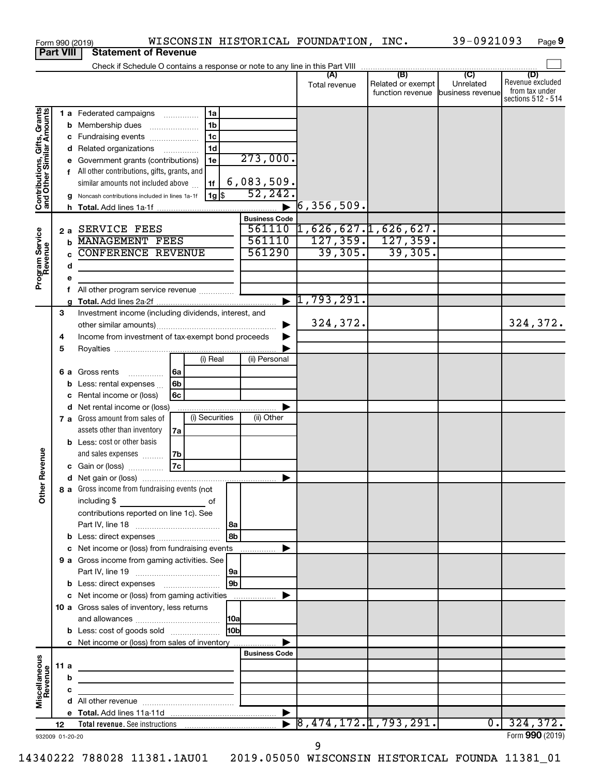|                                                           |                 |    | WISCONSIN HISTORICAL FOUNDATION, INC.<br>Form 990 (2019)                                                               |                       |                                       |                                              | 39-0921093                                      | Page 9                                                          |
|-----------------------------------------------------------|-----------------|----|------------------------------------------------------------------------------------------------------------------------|-----------------------|---------------------------------------|----------------------------------------------|-------------------------------------------------|-----------------------------------------------------------------|
| <b>Part VIII</b>                                          |                 |    | <b>Statement of Revenue</b>                                                                                            |                       |                                       |                                              |                                                 |                                                                 |
|                                                           |                 |    |                                                                                                                        |                       |                                       |                                              |                                                 |                                                                 |
|                                                           |                 |    |                                                                                                                        |                       | (A)<br>Total revenue                  | (B)<br>Related or exempt<br>function revenue | $\overline{C}$<br>Unrelated<br>business revenue | (D)<br>Revenue excluded<br>from tax under<br>sections 512 - 514 |
|                                                           |                 |    | 1a<br><b>1 a</b> Federated campaigns                                                                                   |                       |                                       |                                              |                                                 |                                                                 |
|                                                           |                 | b  | 1 <sub>b</sub><br>Membership dues<br>$\ldots \ldots \ldots \ldots \ldots$                                              |                       |                                       |                                              |                                                 |                                                                 |
|                                                           |                 |    | 1 <sub>c</sub><br>c Fundraising events                                                                                 |                       |                                       |                                              |                                                 |                                                                 |
|                                                           |                 | d  | 1 <sub>d</sub><br>Related organizations                                                                                |                       |                                       |                                              |                                                 |                                                                 |
|                                                           |                 | е  | 1e<br>Government grants (contributions)                                                                                | 273,000.              |                                       |                                              |                                                 |                                                                 |
| Contributions, Gifts, Grants<br>and Other Similar Amounts |                 |    | f All other contributions, gifts, grants, and<br>similar amounts not included above<br>1f                              | 6,083,509.            |                                       |                                              |                                                 |                                                                 |
|                                                           |                 |    | $1g$ s<br>Noncash contributions included in lines 1a-1f                                                                | 52, 242.              |                                       |                                              |                                                 |                                                                 |
|                                                           |                 | h  |                                                                                                                        | $\blacktriangleright$ | . 509, 356 آ                          |                                              |                                                 |                                                                 |
|                                                           |                 |    |                                                                                                                        | <b>Business Code</b>  |                                       |                                              |                                                 |                                                                 |
|                                                           |                 | 2a | <b>SERVICE FEES</b>                                                                                                    | 561110                | 1,626,627.1,626,627.                  |                                              |                                                 |                                                                 |
|                                                           |                 | b  | <b>MANAGEMENT FEES</b>                                                                                                 | 561110                |                                       | $127, 359.$ 127, 359.                        |                                                 |                                                                 |
| Program Service<br>Revenue                                |                 | C  | <b>CONFERENCE REVENUE</b>                                                                                              | 561290                | 39,305.                               | 39,305.                                      |                                                 |                                                                 |
|                                                           |                 | d  |                                                                                                                        |                       |                                       |                                              |                                                 |                                                                 |
|                                                           |                 | е  |                                                                                                                        |                       |                                       |                                              |                                                 |                                                                 |
|                                                           |                 | f  | All other program service revenue                                                                                      |                       | 1,793,291.                            |                                              |                                                 |                                                                 |
|                                                           | 3               | a  | Investment income (including dividends, interest, and                                                                  | $\blacktriangleright$ |                                       |                                              |                                                 |                                                                 |
|                                                           |                 |    |                                                                                                                        |                       | 324,372.                              |                                              |                                                 | 324,372.                                                        |
|                                                           | 4               |    | Income from investment of tax-exempt bond proceeds                                                                     |                       |                                       |                                              |                                                 |                                                                 |
|                                                           | 5               |    |                                                                                                                        |                       |                                       |                                              |                                                 |                                                                 |
|                                                           |                 |    | (i) Real                                                                                                               | (ii) Personal         |                                       |                                              |                                                 |                                                                 |
|                                                           |                 | 6а | 6a<br>Gross rents<br>.                                                                                                 |                       |                                       |                                              |                                                 |                                                                 |
|                                                           |                 | b  | 6 <sub>b</sub><br>Less: rental expenses                                                                                |                       |                                       |                                              |                                                 |                                                                 |
|                                                           |                 | с  | 6c<br>Rental income or (loss)                                                                                          |                       |                                       |                                              |                                                 |                                                                 |
|                                                           |                 | d  | Net rental income or (loss)                                                                                            |                       |                                       |                                              |                                                 |                                                                 |
|                                                           |                 |    | (i) Securities<br>7 a Gross amount from sales of                                                                       | (ii) Other            |                                       |                                              |                                                 |                                                                 |
|                                                           |                 |    | assets other than inventory<br>7a                                                                                      |                       |                                       |                                              |                                                 |                                                                 |
|                                                           |                 |    | <b>b</b> Less: cost or other basis                                                                                     |                       |                                       |                                              |                                                 |                                                                 |
| evenue                                                    |                 |    | and sales expenses<br>7b<br>7c<br>c Gain or (loss)                                                                     |                       |                                       |                                              |                                                 |                                                                 |
|                                                           |                 |    |                                                                                                                        |                       |                                       |                                              |                                                 |                                                                 |
| Other F                                                   |                 |    | 8 a Gross income from fundraising events (not                                                                          |                       |                                       |                                              |                                                 |                                                                 |
|                                                           |                 |    | including $$$<br><u> 1989 - Andrea State</u><br>of                                                                     |                       |                                       |                                              |                                                 |                                                                 |
|                                                           |                 |    | contributions reported on line 1c). See                                                                                |                       |                                       |                                              |                                                 |                                                                 |
|                                                           |                 |    |                                                                                                                        |                       |                                       |                                              |                                                 |                                                                 |
|                                                           |                 | b  | Less: direct expenses                                                                                                  |                       |                                       |                                              |                                                 |                                                                 |
|                                                           |                 | c  | Net income or (loss) from fundraising events                                                                           |                       |                                       |                                              |                                                 |                                                                 |
|                                                           |                 |    | 9 a Gross income from gaming activities. See                                                                           |                       |                                       |                                              |                                                 |                                                                 |
|                                                           |                 |    |                                                                                                                        |                       |                                       |                                              |                                                 |                                                                 |
|                                                           |                 |    |                                                                                                                        | l 9b                  |                                       |                                              |                                                 |                                                                 |
|                                                           |                 |    | c Net income or (loss) from gaming activities<br>10 a Gross sales of inventory, less returns                           |                       |                                       |                                              |                                                 |                                                                 |
|                                                           |                 |    |                                                                                                                        |                       |                                       |                                              |                                                 |                                                                 |
|                                                           |                 |    | <b>b</b> Less: cost of goods sold                                                                                      | 10 <sub>b</sub>       |                                       |                                              |                                                 |                                                                 |
|                                                           |                 |    | c Net income or (loss) from sales of inventory                                                                         |                       |                                       |                                              |                                                 |                                                                 |
|                                                           |                 |    |                                                                                                                        | <b>Business Code</b>  |                                       |                                              |                                                 |                                                                 |
|                                                           | 11 a            |    | <u> 1989 - Johann Stein, marwolaethau a bhann an t-Albann an t-Albann an t-Albann an t-Albann an t-Albann an t-Alb</u> |                       |                                       |                                              |                                                 |                                                                 |
|                                                           |                 | b  |                                                                                                                        |                       |                                       |                                              |                                                 |                                                                 |
| Miscellaneous<br>Revenue                                  |                 | c  |                                                                                                                        |                       |                                       |                                              |                                                 |                                                                 |
|                                                           |                 |    |                                                                                                                        |                       |                                       |                                              |                                                 |                                                                 |
|                                                           |                 |    |                                                                                                                        |                       | $\triangleright$ 8,474,172.1,793,291. |                                              | $\overline{0}$ .                                | 324,372.                                                        |
|                                                           | 12 <sup>2</sup> |    |                                                                                                                        |                       |                                       |                                              |                                                 | Form 990 (2019)                                                 |
| 932009 01-20-20                                           |                 |    |                                                                                                                        |                       |                                       |                                              |                                                 |                                                                 |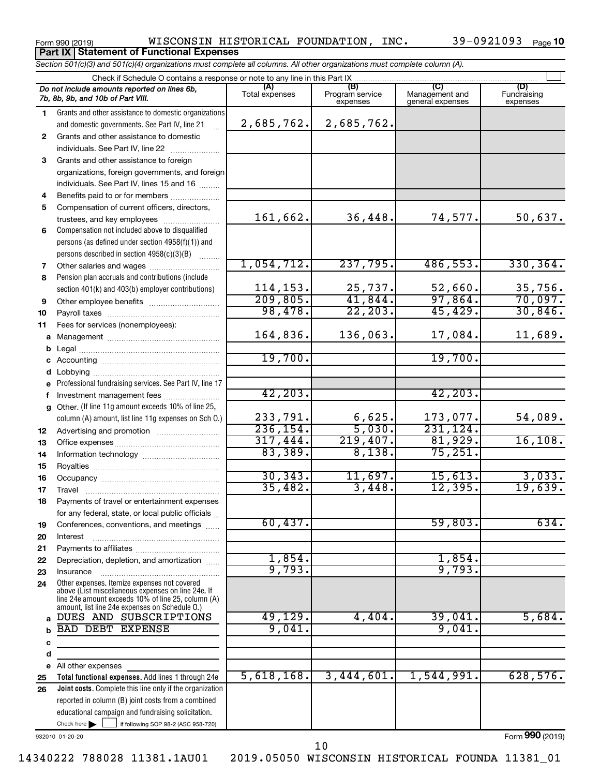Form 990 (2019)  $NISCONSIM HISTORICAL FOUNDATION, INC.$  39-0921093  $Page$ **Part IX Statement of Functional Expenses**

39-0921093 Page 10

*Section 501(c)(3) and 501(c)(4) organizations must complete all columns. All other organizations must complete column (A).*

|              | Check if Schedule O contains a response or note to any line in this Part IX.                                                                             |                       |                                    |                                    |                                |  |  |
|--------------|----------------------------------------------------------------------------------------------------------------------------------------------------------|-----------------------|------------------------------------|------------------------------------|--------------------------------|--|--|
|              | Do not include amounts reported on lines 6b,<br>7b, 8b, 9b, and 10b of Part VIII.                                                                        | (A)<br>Total expenses | (B)<br>Program service<br>expenses | Management and<br>general expenses | (D)<br>Fundraising<br>expenses |  |  |
| 1.           | Grants and other assistance to domestic organizations                                                                                                    |                       |                                    |                                    |                                |  |  |
|              | and domestic governments. See Part IV, line 21                                                                                                           | 2,685,762.            | 2,685,762.                         |                                    |                                |  |  |
| $\mathbf{2}$ | Grants and other assistance to domestic                                                                                                                  |                       |                                    |                                    |                                |  |  |
|              | individuals. See Part IV, line 22                                                                                                                        |                       |                                    |                                    |                                |  |  |
| 3            | Grants and other assistance to foreign                                                                                                                   |                       |                                    |                                    |                                |  |  |
|              | organizations, foreign governments, and foreign                                                                                                          |                       |                                    |                                    |                                |  |  |
|              | individuals. See Part IV, lines 15 and 16                                                                                                                |                       |                                    |                                    |                                |  |  |
| 4            | Benefits paid to or for members                                                                                                                          |                       |                                    |                                    |                                |  |  |
| 5            | Compensation of current officers, directors,                                                                                                             |                       |                                    |                                    |                                |  |  |
|              | trustees, and key employees                                                                                                                              | 161,662.              | 36,448.                            | 74,577.                            | 50,637.                        |  |  |
| 6            | Compensation not included above to disqualified                                                                                                          |                       |                                    |                                    |                                |  |  |
|              | persons (as defined under section 4958(f)(1)) and                                                                                                        |                       |                                    |                                    |                                |  |  |
|              | persons described in section 4958(c)(3)(B)                                                                                                               |                       |                                    |                                    |                                |  |  |
| 7            | Other salaries and wages                                                                                                                                 | 1,054,712.            | 237,795.                           | 486, 553.                          | 330, 364.                      |  |  |
| 8            | Pension plan accruals and contributions (include                                                                                                         |                       |                                    |                                    |                                |  |  |
|              | section 401(k) and 403(b) employer contributions)                                                                                                        | 114, 153.             |                                    | $\frac{52,660}{97,864}$            |                                |  |  |
| 9            | Other employee benefits                                                                                                                                  | 209, 805.             | $\frac{25,737}{41,844}$            |                                    | $\frac{35,756}{70,097}$        |  |  |
| 10           |                                                                                                                                                          | 98,478.               | 22, 203.                           | 45,429.                            | 30,846.                        |  |  |
| 11           | Fees for services (nonemployees):                                                                                                                        |                       |                                    |                                    |                                |  |  |
| a            |                                                                                                                                                          | 164,836.              | 136,063.                           | 17,084.                            | 11,689.                        |  |  |
| b            |                                                                                                                                                          |                       |                                    |                                    |                                |  |  |
|              |                                                                                                                                                          | 19,700.               |                                    | 19,700.                            |                                |  |  |
|              | Lobbying                                                                                                                                                 |                       |                                    |                                    |                                |  |  |
| e            | Professional fundraising services. See Part IV, line 17                                                                                                  |                       |                                    |                                    |                                |  |  |
| f            | Investment management fees                                                                                                                               | 42, 203.              |                                    | 42, 203.                           |                                |  |  |
| a            | Other. (If line 11g amount exceeds 10% of line 25,                                                                                                       |                       |                                    |                                    |                                |  |  |
|              | column (A) amount, list line 11g expenses on Sch O.)                                                                                                     | 233,791.              | 6,625.                             | 173,077.                           | 54,089.                        |  |  |
| 12           |                                                                                                                                                          | 236, 154.             | 5,030.                             | 231,124.                           |                                |  |  |
| 13           |                                                                                                                                                          | 317,444.              | 219,407.                           | 81,929.                            | 16, 108.                       |  |  |
| 14           |                                                                                                                                                          | 83,389.               | 8,138.                             | 75,251.                            |                                |  |  |
| 15           |                                                                                                                                                          |                       |                                    |                                    |                                |  |  |
| 16           |                                                                                                                                                          | 30, 343.              | 11,697.                            | 15,613.                            | 3,033.                         |  |  |
| 17           |                                                                                                                                                          | 35,482.               | 3,448.                             | 12, 395.                           | 19,639.                        |  |  |
| 18           | Payments of travel or entertainment expenses                                                                                                             |                       |                                    |                                    |                                |  |  |
|              | for any federal, state, or local public officials                                                                                                        |                       |                                    |                                    |                                |  |  |
| 19           | Conferences, conventions, and meetings                                                                                                                   | 60,437.               |                                    | 59,803.                            | 634.                           |  |  |
| 20           | Interest                                                                                                                                                 |                       |                                    |                                    |                                |  |  |
| 21           |                                                                                                                                                          |                       |                                    |                                    |                                |  |  |
| 22           | Depreciation, depletion, and amortization                                                                                                                | 1,854.<br>9,793.      |                                    | 1,854.<br>9,793.                   |                                |  |  |
| 23           | Insurance                                                                                                                                                |                       |                                    |                                    |                                |  |  |
| 24           | Other expenses. Itemize expenses not covered<br>above (List miscellaneous expenses on line 24e. If<br>line 24e amount exceeds 10% of line 25, column (A) |                       |                                    |                                    |                                |  |  |
|              | amount, list line 24e expenses on Schedule O.)                                                                                                           |                       |                                    |                                    |                                |  |  |
| a            | DUES AND SUBSCRIPTIONS                                                                                                                                   | 49, 129.              | 4,404.                             | 39,041.                            | 5,684.                         |  |  |
|              | <b>BAD DEBT EXPENSE</b>                                                                                                                                  | 9,041                 |                                    | 9,041                              |                                |  |  |
| c            |                                                                                                                                                          |                       |                                    |                                    |                                |  |  |
| d            |                                                                                                                                                          |                       |                                    |                                    |                                |  |  |
| е            | All other expenses                                                                                                                                       |                       |                                    |                                    |                                |  |  |
| 25           | Total functional expenses. Add lines 1 through 24e                                                                                                       | 5,618,168.            | 3,444,601.                         | 1,544,991.                         | 628,576.                       |  |  |
| 26           | Joint costs. Complete this line only if the organization                                                                                                 |                       |                                    |                                    |                                |  |  |
|              | reported in column (B) joint costs from a combined                                                                                                       |                       |                                    |                                    |                                |  |  |
|              | educational campaign and fundraising solicitation.                                                                                                       |                       |                                    |                                    |                                |  |  |
|              | Check here $\blacktriangleright$<br>if following SOP 98-2 (ASC 958-720)                                                                                  |                       |                                    |                                    |                                |  |  |

932010 01-20-20

Form (2019) **990**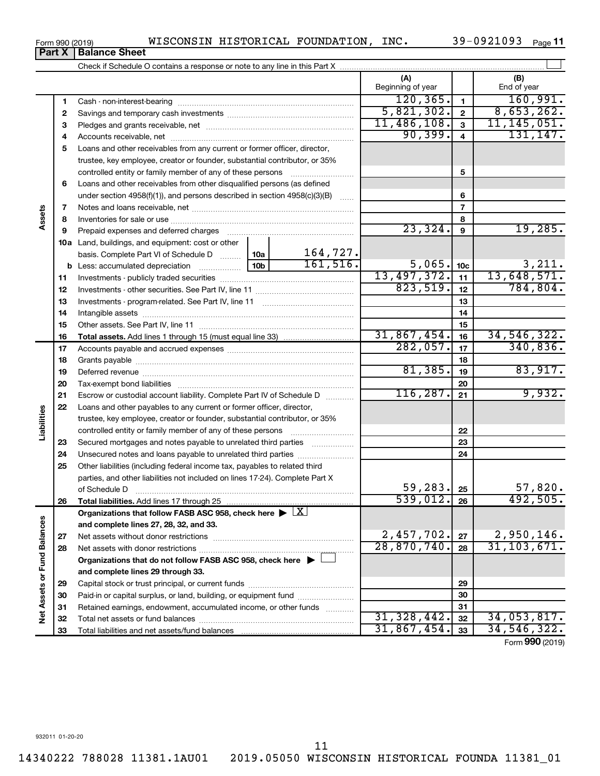**26**

**Liabilities**

**27 28**

**Net Assets or Fund Balances**

Net Assets or Fund Balances

|    |                                                                                 | (A)<br>Beginning of year |                 | (B)<br>End of year          |
|----|---------------------------------------------------------------------------------|--------------------------|-----------------|-----------------------------|
| 1  |                                                                                 | 120, 365.                | $\blacksquare$  | 160,991.                    |
| 2  |                                                                                 | 5,821,302.               | $\mathbf{2}$    | 8,653,262.                  |
| 3  |                                                                                 | 11,486,108.              | $\mathbf{3}$    | 11, 145, 051.               |
| 4  |                                                                                 | 90, 399.                 | $\overline{4}$  | 131, 147.                   |
| 5  | Loans and other receivables from any current or former officer, director,       |                          |                 |                             |
|    | trustee, key employee, creator or founder, substantial contributor, or 35%      |                          |                 |                             |
|    | controlled entity or family member of any of these persons                      |                          | 5               |                             |
| 6  | Loans and other receivables from other disqualified persons (as defined         |                          |                 |                             |
|    | under section $4958(f)(1)$ , and persons described in section $4958(c)(3)(B)$   |                          | 6               |                             |
| 7  |                                                                                 |                          | $\overline{7}$  |                             |
| 8  |                                                                                 |                          | 8               |                             |
| 9  | Prepaid expenses and deferred charges                                           | 23,324.                  | 9               | 19,285.                     |
|    | <b>10a</b> Land, buildings, and equipment: cost or other                        |                          |                 |                             |
|    | 164,727.<br>10a l<br>basis. Complete Part VI of Schedule D                      |                          |                 |                             |
|    | 161, 516.<br>10 <sub>b</sub><br><b>b</b> Less: accumulated depreciation <i></i> | 5,065.                   | 10 <sub>c</sub> | $\frac{3,211}{13,648,571.}$ |
| 11 |                                                                                 | 13,497,372.              | $-11$           |                             |
| 12 |                                                                                 | 823,519.                 | 12              | 784, 804.                   |
| 13 |                                                                                 |                          | 13              |                             |
| 14 |                                                                                 |                          | 14              |                             |
| 15 |                                                                                 |                          | 15              |                             |
| 16 |                                                                                 | 31,867,454.              | 16              | 34, 546, 322.               |
| 17 |                                                                                 | 282,057.                 | 17              | 340,836.                    |
| 18 |                                                                                 |                          | 18              |                             |
| 19 |                                                                                 | 81,385.                  | 19              | 83,917.                     |
| 20 |                                                                                 |                          | 20              |                             |
| 21 | Escrow or custodial account liability. Complete Part IV of Schedule D           | 116, 287.                | 21              | 9,932.                      |
| 22 | Loans and other payables to any current or former officer, director,            |                          |                 |                             |
|    | trustee, key employee, creator or founder, substantial contributor, or 35%      |                          |                 |                             |
|    | controlled entity or family member of any of these persons                      |                          | 22              |                             |
| 23 | Secured mortgages and notes payable to unrelated third parties                  |                          | 23              |                             |
| 24 | Unsecured notes and loans payable to unrelated third parties                    |                          | 24              |                             |
| 25 | Other liabilities (including federal income tax, payables to related third      |                          |                 |                             |
|    | parties, and other liabilities not included on lines 17-24). Complete Part X    |                          |                 |                             |

**Total liabilities.**  Add lines 17 through 25

Net assets with donor restrictions ~~~~~~~~~~~~~~~~~~~~~~

Capital stock or trust principal, or current funds ~~~~~~~~~~~~~~~ Paid-in or capital surplus, or land, building, or equipment fund ....................... Retained earnings, endowment, accumulated income, or other funds ............ Total net assets or fund balances ~~~~~~~~~~~~~~~~~~~~~~

~~~~~~~~~~~~~~~~~~~~

 $\Box$ 

of Schedule D ~~~~~~~~~~~~~~~~~~~~~~~~~~~~~~~

Organizations that follow FASB ASC 958, check here  $\blacktriangleright \boxed{\text{X}}$ 

**Organizations that do not follow FASB ASC 958, check here** |

**and complete lines 27, 28, 32, and 33.**

Net assets without donor restrictions

Total liabilities and net assets/fund balances

**and complete lines 29 through 33.**

Form (2019) **990**

**25 26**

59,283.  $|25|$  57,820.  $539,012. |26|$  492,505

> **27 28**

2,457,702. 27 2,950,146. 28,870,740. 31,103,671.

31,328,442. 34,053,817. 31,867,454. 34,546,322.

932011 01-20-20

**Part X** | Balance Sheet

**Assets**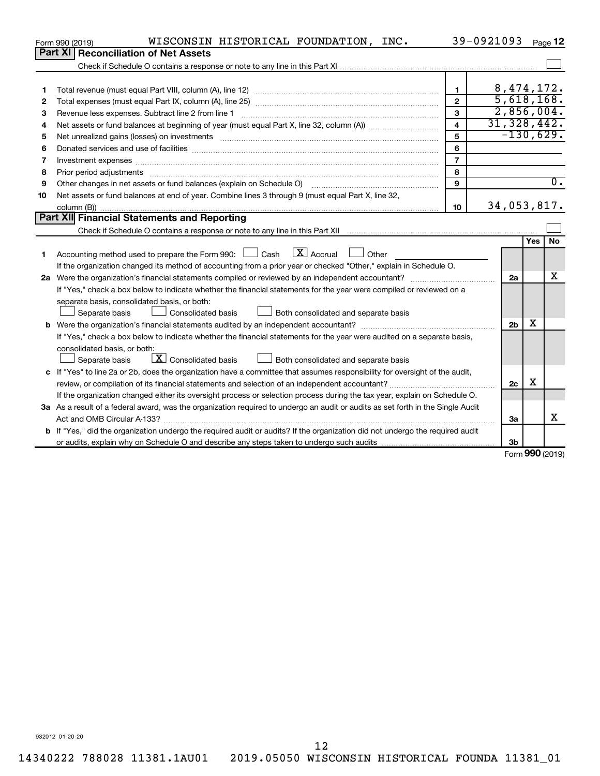|    | WISCONSIN HISTORICAL FOUNDATION, INC.<br>Form 990 (2019)                                                                             |                         | 39-0921093     |     | Page 12          |  |  |  |
|----|--------------------------------------------------------------------------------------------------------------------------------------|-------------------------|----------------|-----|------------------|--|--|--|
|    | <b>Part XI   Reconciliation of Net Assets</b>                                                                                        |                         |                |     |                  |  |  |  |
|    |                                                                                                                                      |                         |                |     |                  |  |  |  |
|    |                                                                                                                                      |                         |                |     |                  |  |  |  |
| 1  |                                                                                                                                      | 1.                      | 8, 474, 172.   |     |                  |  |  |  |
| 2  |                                                                                                                                      | $\overline{2}$          | 5,618,168.     |     |                  |  |  |  |
| З  |                                                                                                                                      | $\mathbf{3}$            | 2,856,004.     |     |                  |  |  |  |
| 4  |                                                                                                                                      | $\overline{\mathbf{4}}$ | 31,328,442.    |     | $-130,629.$      |  |  |  |
| 5  | 5                                                                                                                                    |                         |                |     |                  |  |  |  |
| 6  |                                                                                                                                      | 6                       |                |     |                  |  |  |  |
| 7  | Investment expenses www.communication.com/www.communication.com/www.communication.com/www.com                                        | $\overline{7}$          |                |     |                  |  |  |  |
| 8  |                                                                                                                                      | 8                       |                |     | $\overline{0}$ . |  |  |  |
| 9  | Other changes in net assets or fund balances (explain on Schedule O)<br>9                                                            |                         |                |     |                  |  |  |  |
| 10 | Net assets or fund balances at end of year. Combine lines 3 through 9 (must equal Part X, line 32,                                   |                         |                |     |                  |  |  |  |
|    |                                                                                                                                      | 10                      | 34,053,817.    |     |                  |  |  |  |
|    | Part XII Financial Statements and Reporting                                                                                          |                         |                |     |                  |  |  |  |
|    |                                                                                                                                      |                         |                |     |                  |  |  |  |
|    |                                                                                                                                      |                         |                | Yes | No               |  |  |  |
| 1  | $\lfloor x \rfloor$ Accrual<br>Accounting method used to prepare the Form 990: [13] Cash<br>$\Box$ Other                             |                         |                |     |                  |  |  |  |
|    | If the organization changed its method of accounting from a prior year or checked "Other," explain in Schedule O.                    |                         |                |     |                  |  |  |  |
|    |                                                                                                                                      |                         | 2a             |     | x                |  |  |  |
|    | If "Yes," check a box below to indicate whether the financial statements for the year were compiled or reviewed on a                 |                         |                |     |                  |  |  |  |
|    | separate basis, consolidated basis, or both:                                                                                         |                         |                |     |                  |  |  |  |
|    | Both consolidated and separate basis<br>Separate basis<br>Consolidated basis                                                         |                         |                |     |                  |  |  |  |
|    |                                                                                                                                      |                         | 2 <sub>b</sub> | х   |                  |  |  |  |
|    | If "Yes," check a box below to indicate whether the financial statements for the year were audited on a separate basis,              |                         |                |     |                  |  |  |  |
|    | consolidated basis, or both:                                                                                                         |                         |                |     |                  |  |  |  |
|    | $\lfloor x \rfloor$ Consolidated basis<br>Both consolidated and separate basis<br>Separate basis                                     |                         |                |     |                  |  |  |  |
|    | c If "Yes" to line 2a or 2b, does the organization have a committee that assumes responsibility for oversight of the audit,          |                         |                |     |                  |  |  |  |
|    |                                                                                                                                      |                         | 2c             | х   |                  |  |  |  |
|    | If the organization changed either its oversight process or selection process during the tax year, explain on Schedule O.            |                         |                |     |                  |  |  |  |
|    | 3a As a result of a federal award, was the organization required to undergo an audit or audits as set forth in the Single Audit      |                         |                |     |                  |  |  |  |
|    |                                                                                                                                      |                         | 3a             |     | x                |  |  |  |
|    | <b>b</b> If "Yes," did the organization undergo the required audit or audits? If the organization did not undergo the required audit |                         |                |     |                  |  |  |  |
|    |                                                                                                                                      |                         | 3b             |     |                  |  |  |  |
|    |                                                                                                                                      |                         |                |     | $000 \times 22$  |  |  |  |

Form (2019) **990**

932012 01-20-20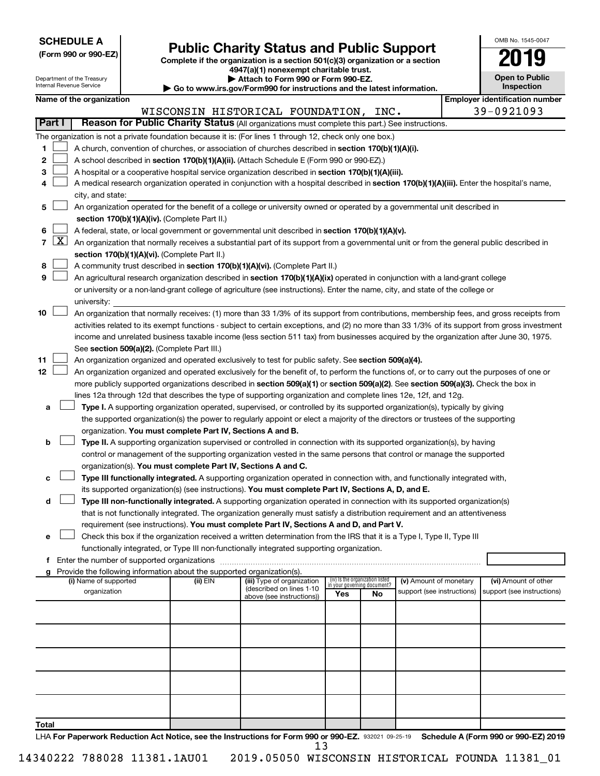| <b>SCHEDULE A</b> |  |
|-------------------|--|
|-------------------|--|

|  |  |  |  |  | (Form 990 or 990-EZ) |  |
|--|--|--|--|--|----------------------|--|
|--|--|--|--|--|----------------------|--|

Form 990 or 990-EZ) **Public Charity Status and Public Support**<br>
Complete if the organization is a section 501(c)(3) organization or a section<br> **2019 4947(a)(1) nonexempt charitable trust.**

**| Attach to Form 990 or Form 990-EZ.** 

| OMB No 1545-0047                    |
|-------------------------------------|
| 2019                                |
| <b>Open to Public</b><br>Inspection |

| Attach to Form 990 or Form 990-EZ.<br>Department of the Treasury<br>Internal Revenue Service<br><b>Inspection</b><br>Go to www.irs.gov/Form990 for instructions and the latest information. |              |                                                                                                                                    |  |                                                                                    |                                                                                                                                               |     | <b>Open to Public</b>             |                            |  |                                       |
|---------------------------------------------------------------------------------------------------------------------------------------------------------------------------------------------|--------------|------------------------------------------------------------------------------------------------------------------------------------|--|------------------------------------------------------------------------------------|-----------------------------------------------------------------------------------------------------------------------------------------------|-----|-----------------------------------|----------------------------|--|---------------------------------------|
|                                                                                                                                                                                             |              | Name of the organization                                                                                                           |  |                                                                                    |                                                                                                                                               |     |                                   |                            |  | <b>Employer identification number</b> |
|                                                                                                                                                                                             |              |                                                                                                                                    |  |                                                                                    | WISCONSIN HISTORICAL FOUNDATION, INC.                                                                                                         |     |                                   |                            |  | 39-0921093                            |
| Part I                                                                                                                                                                                      |              |                                                                                                                                    |  |                                                                                    | Reason for Public Charity Status (All organizations must complete this part.) See instructions.                                               |     |                                   |                            |  |                                       |
|                                                                                                                                                                                             |              |                                                                                                                                    |  |                                                                                    | The organization is not a private foundation because it is: (For lines 1 through 12, check only one box.)                                     |     |                                   |                            |  |                                       |
| 1                                                                                                                                                                                           |              |                                                                                                                                    |  |                                                                                    | A church, convention of churches, or association of churches described in section 170(b)(1)(A)(i).                                            |     |                                   |                            |  |                                       |
| 2                                                                                                                                                                                           |              |                                                                                                                                    |  |                                                                                    | A school described in section 170(b)(1)(A)(ii). (Attach Schedule E (Form 990 or 990-EZ).)                                                     |     |                                   |                            |  |                                       |
| З                                                                                                                                                                                           |              |                                                                                                                                    |  |                                                                                    | A hospital or a cooperative hospital service organization described in section 170(b)(1)(A)(iii).                                             |     |                                   |                            |  |                                       |
| 4                                                                                                                                                                                           |              |                                                                                                                                    |  |                                                                                    | A medical research organization operated in conjunction with a hospital described in section 170(b)(1)(A)(iii). Enter the hospital's name,    |     |                                   |                            |  |                                       |
|                                                                                                                                                                                             |              | city, and state:                                                                                                                   |  |                                                                                    |                                                                                                                                               |     |                                   |                            |  |                                       |
| 5                                                                                                                                                                                           |              |                                                                                                                                    |  |                                                                                    | An organization operated for the benefit of a college or university owned or operated by a governmental unit described in                     |     |                                   |                            |  |                                       |
|                                                                                                                                                                                             |              |                                                                                                                                    |  | section 170(b)(1)(A)(iv). (Complete Part II.)                                      |                                                                                                                                               |     |                                   |                            |  |                                       |
| 6                                                                                                                                                                                           |              |                                                                                                                                    |  |                                                                                    | A federal, state, or local government or governmental unit described in section 170(b)(1)(A)(v).                                              |     |                                   |                            |  |                                       |
| $\overline{7}$                                                                                                                                                                              | $\mathbf{X}$ |                                                                                                                                    |  |                                                                                    | An organization that normally receives a substantial part of its support from a governmental unit or from the general public described in     |     |                                   |                            |  |                                       |
|                                                                                                                                                                                             |              |                                                                                                                                    |  | section 170(b)(1)(A)(vi). (Complete Part II.)                                      |                                                                                                                                               |     |                                   |                            |  |                                       |
| 8                                                                                                                                                                                           |              |                                                                                                                                    |  |                                                                                    | A community trust described in section 170(b)(1)(A)(vi). (Complete Part II.)                                                                  |     |                                   |                            |  |                                       |
| 9                                                                                                                                                                                           |              |                                                                                                                                    |  |                                                                                    | An agricultural research organization described in section 170(b)(1)(A)(ix) operated in conjunction with a land-grant college                 |     |                                   |                            |  |                                       |
|                                                                                                                                                                                             |              |                                                                                                                                    |  |                                                                                    | or university or a non-land-grant college of agriculture (see instructions). Enter the name, city, and state of the college or                |     |                                   |                            |  |                                       |
|                                                                                                                                                                                             |              | university:                                                                                                                        |  |                                                                                    |                                                                                                                                               |     |                                   |                            |  |                                       |
| 10                                                                                                                                                                                          |              |                                                                                                                                    |  |                                                                                    | An organization that normally receives: (1) more than 33 1/3% of its support from contributions, membership fees, and gross receipts from     |     |                                   |                            |  |                                       |
|                                                                                                                                                                                             |              |                                                                                                                                    |  |                                                                                    | activities related to its exempt functions - subject to certain exceptions, and (2) no more than 33 1/3% of its support from gross investment |     |                                   |                            |  |                                       |
|                                                                                                                                                                                             |              |                                                                                                                                    |  |                                                                                    | income and unrelated business taxable income (less section 511 tax) from businesses acquired by the organization after June 30, 1975.         |     |                                   |                            |  |                                       |
|                                                                                                                                                                                             |              |                                                                                                                                    |  | See section 509(a)(2). (Complete Part III.)                                        |                                                                                                                                               |     |                                   |                            |  |                                       |
| 11                                                                                                                                                                                          |              |                                                                                                                                    |  |                                                                                    | An organization organized and operated exclusively to test for public safety. See section 509(a)(4).                                          |     |                                   |                            |  |                                       |
| 12                                                                                                                                                                                          |              |                                                                                                                                    |  |                                                                                    | An organization organized and operated exclusively for the benefit of, to perform the functions of, or to carry out the purposes of one or    |     |                                   |                            |  |                                       |
|                                                                                                                                                                                             |              | more publicly supported organizations described in section 509(a)(1) or section 509(a)(2). See section 509(a)(3). Check the box in |  |                                                                                    |                                                                                                                                               |     |                                   |                            |  |                                       |
|                                                                                                                                                                                             |              |                                                                                                                                    |  |                                                                                    | lines 12a through 12d that describes the type of supporting organization and complete lines 12e, 12f, and 12g.                                |     |                                   |                            |  |                                       |
| а                                                                                                                                                                                           |              |                                                                                                                                    |  |                                                                                    | Type I. A supporting organization operated, supervised, or controlled by its supported organization(s), typically by giving                   |     |                                   |                            |  |                                       |
|                                                                                                                                                                                             |              |                                                                                                                                    |  |                                                                                    | the supported organization(s) the power to regularly appoint or elect a majority of the directors or trustees of the supporting               |     |                                   |                            |  |                                       |
|                                                                                                                                                                                             |              |                                                                                                                                    |  | organization. You must complete Part IV, Sections A and B.                         |                                                                                                                                               |     |                                   |                            |  |                                       |
| b                                                                                                                                                                                           |              |                                                                                                                                    |  |                                                                                    | Type II. A supporting organization supervised or controlled in connection with its supported organization(s), by having                       |     |                                   |                            |  |                                       |
|                                                                                                                                                                                             |              |                                                                                                                                    |  |                                                                                    | control or management of the supporting organization vested in the same persons that control or manage the supported                          |     |                                   |                            |  |                                       |
|                                                                                                                                                                                             |              |                                                                                                                                    |  | organization(s). You must complete Part IV, Sections A and C.                      |                                                                                                                                               |     |                                   |                            |  |                                       |
| с                                                                                                                                                                                           |              |                                                                                                                                    |  |                                                                                    | Type III functionally integrated. A supporting organization operated in connection with, and functionally integrated with,                    |     |                                   |                            |  |                                       |
|                                                                                                                                                                                             |              |                                                                                                                                    |  |                                                                                    | its supported organization(s) (see instructions). You must complete Part IV, Sections A, D, and E.                                            |     |                                   |                            |  |                                       |
| d                                                                                                                                                                                           |              |                                                                                                                                    |  |                                                                                    | Type III non-functionally integrated. A supporting organization operated in connection with its supported organization(s)                     |     |                                   |                            |  |                                       |
|                                                                                                                                                                                             |              |                                                                                                                                    |  |                                                                                    | that is not functionally integrated. The organization generally must satisfy a distribution requirement and an attentiveness                  |     |                                   |                            |  |                                       |
|                                                                                                                                                                                             |              |                                                                                                                                    |  |                                                                                    | requirement (see instructions). You must complete Part IV, Sections A and D, and Part V.                                                      |     |                                   |                            |  |                                       |
| е                                                                                                                                                                                           |              |                                                                                                                                    |  |                                                                                    | Check this box if the organization received a written determination from the IRS that it is a Type I, Type II, Type III                       |     |                                   |                            |  |                                       |
|                                                                                                                                                                                             |              |                                                                                                                                    |  |                                                                                    | functionally integrated, or Type III non-functionally integrated supporting organization.                                                     |     |                                   |                            |  |                                       |
|                                                                                                                                                                                             |              |                                                                                                                                    |  | f Enter the number of supported organizations                                      |                                                                                                                                               |     |                                   |                            |  |                                       |
|                                                                                                                                                                                             |              | (i) Name of supported                                                                                                              |  | Provide the following information about the supported organization(s).<br>(ii) EIN | (iii) Type of organization                                                                                                                    |     | (iv) Is the organization listed   | (v) Amount of monetary     |  | (vi) Amount of other                  |
|                                                                                                                                                                                             |              | organization                                                                                                                       |  |                                                                                    | (described on lines 1-10                                                                                                                      | Yes | in your governing document?<br>No | support (see instructions) |  | support (see instructions)            |
|                                                                                                                                                                                             |              |                                                                                                                                    |  |                                                                                    | above (see instructions))                                                                                                                     |     |                                   |                            |  |                                       |
|                                                                                                                                                                                             |              |                                                                                                                                    |  |                                                                                    |                                                                                                                                               |     |                                   |                            |  |                                       |
|                                                                                                                                                                                             |              |                                                                                                                                    |  |                                                                                    |                                                                                                                                               |     |                                   |                            |  |                                       |
|                                                                                                                                                                                             |              |                                                                                                                                    |  |                                                                                    |                                                                                                                                               |     |                                   |                            |  |                                       |
|                                                                                                                                                                                             |              |                                                                                                                                    |  |                                                                                    |                                                                                                                                               |     |                                   |                            |  |                                       |
|                                                                                                                                                                                             |              |                                                                                                                                    |  |                                                                                    |                                                                                                                                               |     |                                   |                            |  |                                       |
|                                                                                                                                                                                             |              |                                                                                                                                    |  |                                                                                    |                                                                                                                                               |     |                                   |                            |  |                                       |
|                                                                                                                                                                                             |              |                                                                                                                                    |  |                                                                                    |                                                                                                                                               |     |                                   |                            |  |                                       |
|                                                                                                                                                                                             |              |                                                                                                                                    |  |                                                                                    |                                                                                                                                               |     |                                   |                            |  |                                       |
|                                                                                                                                                                                             |              |                                                                                                                                    |  |                                                                                    |                                                                                                                                               |     |                                   |                            |  |                                       |
| Total                                                                                                                                                                                       |              |                                                                                                                                    |  |                                                                                    |                                                                                                                                               |     |                                   |                            |  |                                       |

LHA For Paperwork Reduction Act Notice, see the Instructions for Form 990 or 990-EZ. 932021 09-25-19 Schedule A (Form 990 or 990-EZ) 2019 13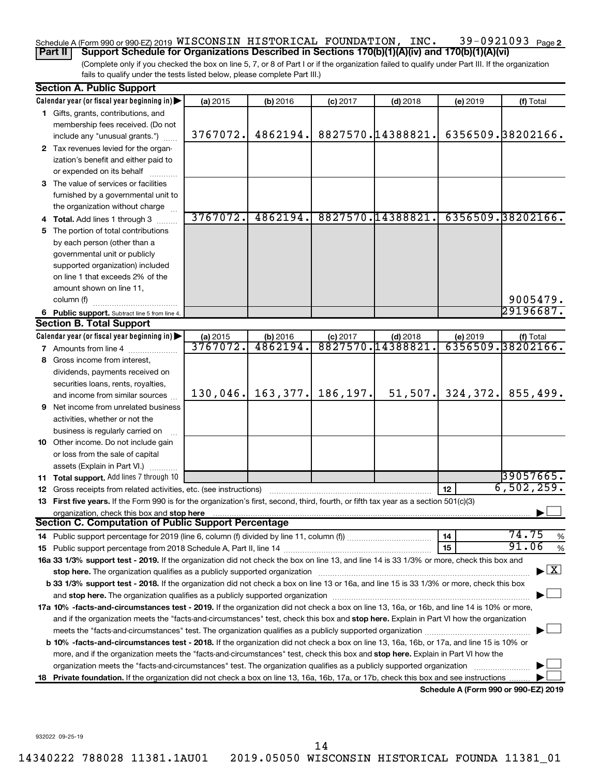#### 39-0921093 Page 2  $S$ chedule A (Form 990 or 990-EZ) 2019 WISCONSIN HISTORICAL FOUNDATION, INC  $\bullet$  39-0921093  $P_{\text{age}}$ WISCONSIN HISTORICAL FOUNDATION, INC. 39-0921093

(Complete only if you checked the box on line 5, 7, or 8 of Part I or if the organization failed to qualify under Part III. If the organization fails to qualify under the tests listed below, please complete Part III.) **Part II Support Schedule for Organizations Described in Sections 170(b)(1)(A)(iv) and 170(b)(1)(A)(vi)**

|    | <b>Section A. Public Support</b>                                                                                                                                                                                               |          |           |            |                   |                                      |                         |
|----|--------------------------------------------------------------------------------------------------------------------------------------------------------------------------------------------------------------------------------|----------|-----------|------------|-------------------|--------------------------------------|-------------------------|
|    | Calendar year (or fiscal year beginning in)                                                                                                                                                                                    | (a) 2015 | (b) 2016  | $(c)$ 2017 | $(d)$ 2018        | (e) 2019                             | (f) Total               |
|    | 1 Gifts, grants, contributions, and                                                                                                                                                                                            |          |           |            |                   |                                      |                         |
|    | membership fees received. (Do not                                                                                                                                                                                              |          |           |            |                   |                                      |                         |
|    | include any "unusual grants.")                                                                                                                                                                                                 | 3767072. | 4862194.  |            | 8827570.14388821. |                                      | 6356509.38202166.       |
|    | 2 Tax revenues levied for the organ-                                                                                                                                                                                           |          |           |            |                   |                                      |                         |
|    | ization's benefit and either paid to                                                                                                                                                                                           |          |           |            |                   |                                      |                         |
|    | or expended on its behalf                                                                                                                                                                                                      |          |           |            |                   |                                      |                         |
|    | 3 The value of services or facilities                                                                                                                                                                                          |          |           |            |                   |                                      |                         |
|    | furnished by a governmental unit to                                                                                                                                                                                            |          |           |            |                   |                                      |                         |
|    | the organization without charge                                                                                                                                                                                                |          |           |            |                   |                                      |                         |
|    | 4 Total. Add lines 1 through 3                                                                                                                                                                                                 | 3767072. | 4862194.  |            | 8827570.14388821. |                                      | 6356509.38202166.       |
| 5  | The portion of total contributions                                                                                                                                                                                             |          |           |            |                   |                                      |                         |
|    | by each person (other than a                                                                                                                                                                                                   |          |           |            |                   |                                      |                         |
|    | governmental unit or publicly                                                                                                                                                                                                  |          |           |            |                   |                                      |                         |
|    | supported organization) included                                                                                                                                                                                               |          |           |            |                   |                                      |                         |
|    | on line 1 that exceeds 2% of the                                                                                                                                                                                               |          |           |            |                   |                                      |                         |
|    | amount shown on line 11,                                                                                                                                                                                                       |          |           |            |                   |                                      |                         |
|    | column (f)                                                                                                                                                                                                                     |          |           |            |                   |                                      | 9005479.                |
|    | 6 Public support. Subtract line 5 from line 4.                                                                                                                                                                                 |          |           |            |                   |                                      | 29196687.               |
|    | <b>Section B. Total Support</b>                                                                                                                                                                                                |          |           |            |                   |                                      |                         |
|    | Calendar year (or fiscal year beginning in)                                                                                                                                                                                    | (a) 2015 | (b) 2016  | $(c)$ 2017 | $(d)$ 2018        | (e) 2019                             | (f) Total               |
|    | 7 Amounts from line 4                                                                                                                                                                                                          | 3767072. | 4862194.  | 8827570.   | 14388821          |                                      | 6356509.38202166.       |
| 8. | Gross income from interest,                                                                                                                                                                                                    |          |           |            |                   |                                      |                         |
|    | dividends, payments received on                                                                                                                                                                                                |          |           |            |                   |                                      |                         |
|    | securities loans, rents, royalties,                                                                                                                                                                                            |          |           |            |                   |                                      |                         |
|    | and income from similar sources                                                                                                                                                                                                | 130,046. | 163, 377. | 186,197.   | 51, 507.          | 324,372.                             | 855,499.                |
| 9  | Net income from unrelated business                                                                                                                                                                                             |          |           |            |                   |                                      |                         |
|    | activities, whether or not the                                                                                                                                                                                                 |          |           |            |                   |                                      |                         |
|    | business is regularly carried on                                                                                                                                                                                               |          |           |            |                   |                                      |                         |
|    | 10 Other income. Do not include gain                                                                                                                                                                                           |          |           |            |                   |                                      |                         |
|    | or loss from the sale of capital                                                                                                                                                                                               |          |           |            |                   |                                      |                         |
|    | assets (Explain in Part VI.)                                                                                                                                                                                                   |          |           |            |                   |                                      |                         |
|    | 11 Total support. Add lines 7 through 10                                                                                                                                                                                       |          |           |            |                   |                                      | 39057665.               |
|    | <b>12</b> Gross receipts from related activities, etc. (see instructions)                                                                                                                                                      |          |           |            |                   | 12 <sub>2</sub>                      | 6,502,259.              |
|    | 13 First five years. If the Form 990 is for the organization's first, second, third, fourth, or fifth tax year as a section 501(c)(3)                                                                                          |          |           |            |                   |                                      |                         |
|    | organization, check this box and stop here                                                                                                                                                                                     |          |           |            |                   |                                      |                         |
|    | <b>Section C. Computation of Public Support Percentage</b>                                                                                                                                                                     |          |           |            |                   |                                      |                         |
|    | 14 Public support percentage for 2019 (line 6, column (f) divided by line 11, column (f) <i>mummumumum</i>                                                                                                                     |          |           |            |                   | 14                                   | 74.75<br>%              |
|    |                                                                                                                                                                                                                                |          |           |            |                   | 15                                   | 91.06<br>$\%$           |
|    | 16a 33 1/3% support test - 2019. If the organization did not check the box on line 13, and line 14 is 33 1/3% or more, check this box and                                                                                      |          |           |            |                   |                                      |                         |
|    | stop here. The organization qualifies as a publicly supported organization manufactured content and the content of the state of the state of the state of the state of the state of the state of the state of the state of the |          |           |            |                   |                                      | $\overline{\mathbf{X}}$ |
|    | b 33 1/3% support test - 2018. If the organization did not check a box on line 13 or 16a, and line 15 is 33 1/3% or more, check this box                                                                                       |          |           |            |                   |                                      |                         |
|    |                                                                                                                                                                                                                                |          |           |            |                   |                                      |                         |
|    | 17a 10% -facts-and-circumstances test - 2019. If the organization did not check a box on line 13, 16a, or 16b, and line 14 is 10% or more,                                                                                     |          |           |            |                   |                                      |                         |
|    | and if the organization meets the "facts-and-circumstances" test, check this box and stop here. Explain in Part VI how the organization                                                                                        |          |           |            |                   |                                      |                         |
|    |                                                                                                                                                                                                                                |          |           |            |                   |                                      |                         |
|    | b 10% -facts-and-circumstances test - 2018. If the organization did not check a box on line 13, 16a, 16b, or 17a, and line 15 is 10% or                                                                                        |          |           |            |                   |                                      |                         |
|    | more, and if the organization meets the "facts-and-circumstances" test, check this box and stop here. Explain in Part VI how the                                                                                               |          |           |            |                   |                                      |                         |
|    | organization meets the "facts-and-circumstances" test. The organization qualifies as a publicly supported organization                                                                                                         |          |           |            |                   |                                      |                         |
| 18 | Private foundation. If the organization did not check a box on line 13, 16a, 16b, 17a, or 17b, check this box and see instructions                                                                                             |          |           |            |                   |                                      |                         |
|    |                                                                                                                                                                                                                                |          |           |            |                   | Schodule A (Form 000 or 000 F7) 2010 |                         |

**Schedule A (Form 990 or 990-EZ) 2019**

932022 09-25-19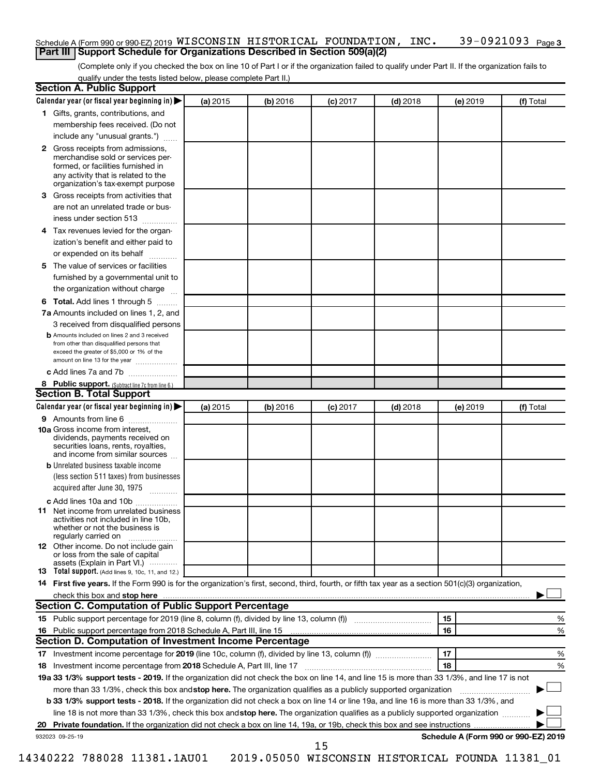#### 39-0921093 Page 3 Schedule A (Form 990 or 990-EZ) 2019 <code>WISCONSIN</code> <code>HISTORICAL FOUNDATION</code> , <code>INC. 39–0921093</code> <code>Page</code> **Part III Support Schedule for Organizations Described in Section 509(a)(2)**

(Complete only if you checked the box on line 10 of Part I or if the organization failed to qualify under Part II. If the organization fails to qualify under the tests listed below, please complete Part II.)

| <b>Section A. Public Support</b>                                                                                                                                                                                         |          |          |            |            |          |                                      |
|--------------------------------------------------------------------------------------------------------------------------------------------------------------------------------------------------------------------------|----------|----------|------------|------------|----------|--------------------------------------|
| Calendar year (or fiscal year beginning in)                                                                                                                                                                              | (a) 2015 | (b) 2016 | $(c)$ 2017 | $(d)$ 2018 | (e) 2019 | (f) Total                            |
| 1 Gifts, grants, contributions, and                                                                                                                                                                                      |          |          |            |            |          |                                      |
| membership fees received. (Do not                                                                                                                                                                                        |          |          |            |            |          |                                      |
| include any "unusual grants.")                                                                                                                                                                                           |          |          |            |            |          |                                      |
| 2 Gross receipts from admissions,<br>merchandise sold or services per-<br>formed, or facilities furnished in<br>any activity that is related to the<br>organization's tax-exempt purpose                                 |          |          |            |            |          |                                      |
| 3 Gross receipts from activities that                                                                                                                                                                                    |          |          |            |            |          |                                      |
| are not an unrelated trade or bus-                                                                                                                                                                                       |          |          |            |            |          |                                      |
| iness under section 513                                                                                                                                                                                                  |          |          |            |            |          |                                      |
| 4 Tax revenues levied for the organ-                                                                                                                                                                                     |          |          |            |            |          |                                      |
| ization's benefit and either paid to                                                                                                                                                                                     |          |          |            |            |          |                                      |
| or expended on its behalf                                                                                                                                                                                                |          |          |            |            |          |                                      |
| .<br>5 The value of services or facilities                                                                                                                                                                               |          |          |            |            |          |                                      |
| furnished by a governmental unit to                                                                                                                                                                                      |          |          |            |            |          |                                      |
| the organization without charge                                                                                                                                                                                          |          |          |            |            |          |                                      |
|                                                                                                                                                                                                                          |          |          |            |            |          |                                      |
| 6 Total. Add lines 1 through 5<br>7a Amounts included on lines 1, 2, and                                                                                                                                                 |          |          |            |            |          |                                      |
|                                                                                                                                                                                                                          |          |          |            |            |          |                                      |
| 3 received from disqualified persons<br><b>b</b> Amounts included on lines 2 and 3 received<br>from other than disqualified persons that<br>exceed the greater of \$5,000 or 1% of the<br>amount on line 13 for the year |          |          |            |            |          |                                      |
| c Add lines 7a and 7b                                                                                                                                                                                                    |          |          |            |            |          |                                      |
| 8 Public support. (Subtract line 7c from line 6.)                                                                                                                                                                        |          |          |            |            |          |                                      |
| <b>Section B. Total Support</b>                                                                                                                                                                                          |          |          |            |            |          |                                      |
| Calendar year (or fiscal year beginning in)                                                                                                                                                                              | (a) 2015 | (b) 2016 | $(c)$ 2017 | $(d)$ 2018 | (e) 2019 | (f) Total                            |
| <b>9</b> Amounts from line 6                                                                                                                                                                                             |          |          |            |            |          |                                      |
| <b>10a</b> Gross income from interest,<br>dividends, payments received on<br>securities loans, rents, royalties,<br>and income from similar sources                                                                      |          |          |            |            |          |                                      |
| <b>b</b> Unrelated business taxable income                                                                                                                                                                               |          |          |            |            |          |                                      |
| (less section 511 taxes) from businesses                                                                                                                                                                                 |          |          |            |            |          |                                      |
| acquired after June 30, 1975                                                                                                                                                                                             |          |          |            |            |          |                                      |
| c Add lines 10a and 10b                                                                                                                                                                                                  |          |          |            |            |          |                                      |
| 11 Net income from unrelated business<br>activities not included in line 10b.<br>whether or not the business is<br>regularly carried on                                                                                  |          |          |            |            |          |                                      |
| <b>12</b> Other income. Do not include gain<br>or loss from the sale of capital                                                                                                                                          |          |          |            |            |          |                                      |
| assets (Explain in Part VI.)<br><b>13</b> Total support. (Add lines 9, 10c, 11, and 12.)                                                                                                                                 |          |          |            |            |          |                                      |
| 14 First five years. If the Form 990 is for the organization's first, second, third, fourth, or fifth tax year as a section 501(c)(3) organization,                                                                      |          |          |            |            |          |                                      |
|                                                                                                                                                                                                                          |          |          |            |            |          |                                      |
| Section C. Computation of Public Support Percentage                                                                                                                                                                      |          |          |            |            |          |                                      |
| 15 Public support percentage for 2019 (line 8, column (f), divided by line 13, column (f) <i>manumeronominimal</i>                                                                                                       |          |          |            |            | 15       | ℅                                    |
| 16 Public support percentage from 2018 Schedule A, Part III, line 15                                                                                                                                                     |          |          |            |            | 16       | %                                    |
| Section D. Computation of Investment Income Percentage                                                                                                                                                                   |          |          |            |            |          |                                      |
|                                                                                                                                                                                                                          |          |          |            |            | 17       | %                                    |
| 18 Investment income percentage from 2018 Schedule A, Part III, line 17                                                                                                                                                  |          |          |            |            | 18       | %                                    |
| 19a 33 1/3% support tests - 2019. If the organization did not check the box on line 14, and line 15 is more than 33 1/3%, and line 17 is not                                                                             |          |          |            |            |          |                                      |
| more than 33 1/3%, check this box and stop here. The organization qualifies as a publicly supported organization                                                                                                         |          |          |            |            |          |                                      |
| b 33 1/3% support tests - 2018. If the organization did not check a box on line 14 or line 19a, and line 16 is more than 33 1/3%, and                                                                                    |          |          |            |            |          |                                      |
| line 18 is not more than 33 1/3%, check this box and stop here. The organization qualifies as a publicly supported organization                                                                                          |          |          |            |            |          |                                      |
|                                                                                                                                                                                                                          |          |          |            |            |          |                                      |
| 932023 09-25-19                                                                                                                                                                                                          |          |          |            |            |          | Schedule A (Form 990 or 990-EZ) 2019 |
|                                                                                                                                                                                                                          |          |          | 15         |            |          |                                      |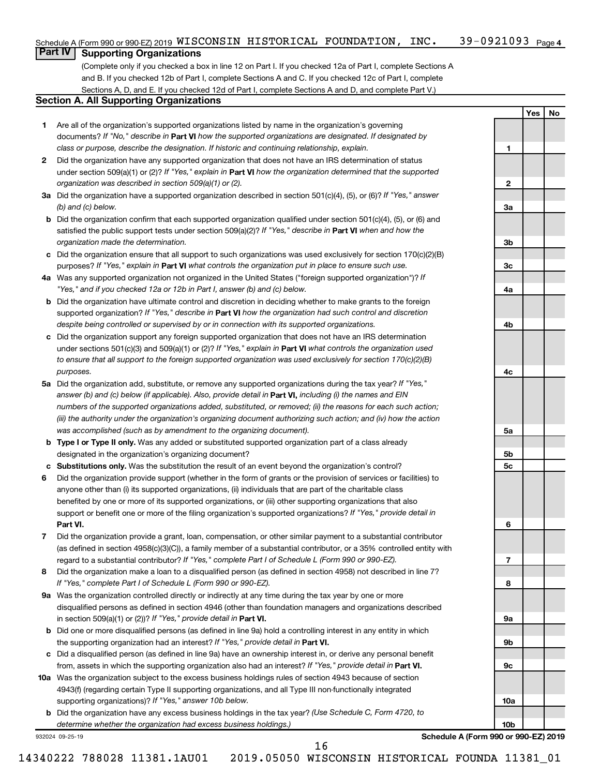|    | Schedule A (Form 990 or 990-EZ) 2019 WISCONSIN HISTORICAL FOUNDATION, |  | INC. | 39-0921093 $_{Page 4}$ |
|----|-----------------------------------------------------------------------|--|------|------------------------|
| __ |                                                                       |  |      |                        |

## **Part IV Supporting Organizations**

(Complete only if you checked a box in line 12 on Part I. If you checked 12a of Part I, complete Sections A and B. If you checked 12b of Part I, complete Sections A and C. If you checked 12c of Part I, complete Sections A, D, and E. If you checked 12d of Part I, complete Sections A and D, and complete Part V.)

### **Section A. All Supporting Organizations**

- **1** Are all of the organization's supported organizations listed by name in the organization's governing documents? If "No," describe in Part VI how the supported organizations are designated. If designated by *class or purpose, describe the designation. If historic and continuing relationship, explain.*
- **2** Did the organization have any supported organization that does not have an IRS determination of status under section 509(a)(1) or (2)? If "Yes," explain in Part **VI** how the organization determined that the supported *organization was described in section 509(a)(1) or (2).*
- **3a** Did the organization have a supported organization described in section 501(c)(4), (5), or (6)? If "Yes," answer *(b) and (c) below.*
- **b** Did the organization confirm that each supported organization qualified under section 501(c)(4), (5), or (6) and satisfied the public support tests under section 509(a)(2)? If "Yes," describe in Part VI when and how the *organization made the determination.*
- **c** Did the organization ensure that all support to such organizations was used exclusively for section 170(c)(2)(B) purposes? If "Yes," explain in Part VI what controls the organization put in place to ensure such use.
- **4 a** *If* Was any supported organization not organized in the United States ("foreign supported organization")? *"Yes," and if you checked 12a or 12b in Part I, answer (b) and (c) below.*
- **b** Did the organization have ultimate control and discretion in deciding whether to make grants to the foreign supported organization? If "Yes," describe in Part VI how the organization had such control and discretion *despite being controlled or supervised by or in connection with its supported organizations.*
- **c** Did the organization support any foreign supported organization that does not have an IRS determination under sections 501(c)(3) and 509(a)(1) or (2)? If "Yes," explain in Part VI what controls the organization used *to ensure that all support to the foreign supported organization was used exclusively for section 170(c)(2)(B) purposes.*
- **5a** Did the organization add, substitute, or remove any supported organizations during the tax year? If "Yes," answer (b) and (c) below (if applicable). Also, provide detail in **Part VI,** including (i) the names and EIN *numbers of the supported organizations added, substituted, or removed; (ii) the reasons for each such action; (iii) the authority under the organization's organizing document authorizing such action; and (iv) how the action was accomplished (such as by amendment to the organizing document).*
- **b Type I or Type II only.** Was any added or substituted supported organization part of a class already designated in the organization's organizing document?
- **c Substitutions only.**  Was the substitution the result of an event beyond the organization's control?
- **6** Did the organization provide support (whether in the form of grants or the provision of services or facilities) to **Part VI.** support or benefit one or more of the filing organization's supported organizations? If "Yes," provide detail in anyone other than (i) its supported organizations, (ii) individuals that are part of the charitable class benefited by one or more of its supported organizations, or (iii) other supporting organizations that also
- **7** Did the organization provide a grant, loan, compensation, or other similar payment to a substantial contributor regard to a substantial contributor? If "Yes," complete Part I of Schedule L (Form 990 or 990-EZ). (as defined in section 4958(c)(3)(C)), a family member of a substantial contributor, or a 35% controlled entity with
- **8** Did the organization make a loan to a disqualified person (as defined in section 4958) not described in line 7? *If "Yes," complete Part I of Schedule L (Form 990 or 990-EZ).*
- **9 a** Was the organization controlled directly or indirectly at any time during the tax year by one or more in section 509(a)(1) or (2))? If "Yes," provide detail in **Part VI.** disqualified persons as defined in section 4946 (other than foundation managers and organizations described
- **b** Did one or more disqualified persons (as defined in line 9a) hold a controlling interest in any entity in which the supporting organization had an interest? If "Yes," provide detail in Part VI.
- **c** Did a disqualified person (as defined in line 9a) have an ownership interest in, or derive any personal benefit from, assets in which the supporting organization also had an interest? If "Yes," provide detail in Part VI.
- **10 a** Was the organization subject to the excess business holdings rules of section 4943 because of section supporting organizations)? If "Yes," answer 10b below. 4943(f) (regarding certain Type II supporting organizations, and all Type III non-functionally integrated
	- **b** Did the organization have any excess business holdings in the tax year? (Use Schedule C, Form 4720, to *determine whether the organization had excess business holdings.)*

932024 09-25-19

**Schedule A (Form 990 or 990-EZ) 2019**

**Yes No**

**1**

**2**

**3a**

**3b**

**3c**

**4a**

**4b**

**4c**

**5a**

**5b 5c**

**6**

**7**

**8**

**9a**

**9b**

**9c**

**10a**

**10b**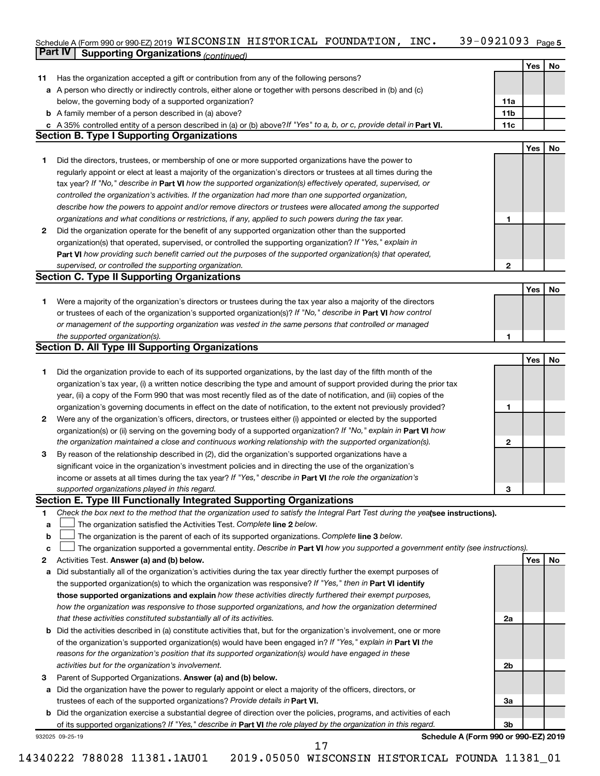#### 39-0921093 Page 5  $S$ chedule A (Form 990 or 990-EZ) 2019 WISCONSIN HISTORICAL FOUNDATION, INC  $\bullet$  39-0921093  $P_{\text{age}}$ **Part IV Supporting Organizations** *(continued)* WISCONSIN HISTORICAL FOUNDATION, INC. 39-0921093

|    |                                                                                                                                 |              | Yes | No |
|----|---------------------------------------------------------------------------------------------------------------------------------|--------------|-----|----|
| 11 | Has the organization accepted a gift or contribution from any of the following persons?                                         |              |     |    |
| а  | A person who directly or indirectly controls, either alone or together with persons described in (b) and (c)                    |              |     |    |
|    | below, the governing body of a supported organization?                                                                          | 11a          |     |    |
|    | <b>b</b> A family member of a person described in (a) above?                                                                    | 11b          |     |    |
|    | c A 35% controlled entity of a person described in (a) or (b) above? If "Yes" to a, b, or c, provide detail in Part VI.         | 11c          |     |    |
|    | <b>Section B. Type I Supporting Organizations</b>                                                                               |              |     |    |
|    |                                                                                                                                 |              | Yes | No |
| 1  | Did the directors, trustees, or membership of one or more supported organizations have the power to                             |              |     |    |
|    | regularly appoint or elect at least a majority of the organization's directors or trustees at all times during the              |              |     |    |
|    | tax year? If "No," describe in Part VI how the supported organization(s) effectively operated, supervised, or                   |              |     |    |
|    | controlled the organization's activities. If the organization had more than one supported organization,                         |              |     |    |
|    | describe how the powers to appoint and/or remove directors or trustees were allocated among the supported                       |              |     |    |
|    | organizations and what conditions or restrictions, if any, applied to such powers during the tax year.                          | 1            |     |    |
| 2  | Did the organization operate for the benefit of any supported organization other than the supported                             |              |     |    |
|    | organization(s) that operated, supervised, or controlled the supporting organization? If "Yes," explain in                      |              |     |    |
|    | Part VI how providing such benefit carried out the purposes of the supported organization(s) that operated,                     |              |     |    |
|    | supervised, or controlled the supporting organization.                                                                          | $\mathbf{2}$ |     |    |
|    | <b>Section C. Type II Supporting Organizations</b>                                                                              |              |     |    |
|    |                                                                                                                                 |              | Yes | No |
| 1. | Were a majority of the organization's directors or trustees during the tax year also a majority of the directors                |              |     |    |
|    | or trustees of each of the organization's supported organization(s)? If "No," describe in Part VI how control                   |              |     |    |
|    | or management of the supporting organization was vested in the same persons that controlled or managed                          |              |     |    |
|    | the supported organization(s).                                                                                                  | 1            |     |    |
|    | <b>Section D. All Type III Supporting Organizations</b>                                                                         |              |     |    |
|    |                                                                                                                                 |              | Yes | No |
| 1  | Did the organization provide to each of its supported organizations, by the last day of the fifth month of the                  |              |     |    |
|    | organization's tax year, (i) a written notice describing the type and amount of support provided during the prior tax           |              |     |    |
|    | year, (ii) a copy of the Form 990 that was most recently filed as of the date of notification, and (iii) copies of the          |              |     |    |
|    | organization's governing documents in effect on the date of notification, to the extent not previously provided?                | 1            |     |    |
| 2  | Were any of the organization's officers, directors, or trustees either (i) appointed or elected by the supported                |              |     |    |
|    | organization(s) or (ii) serving on the governing body of a supported organization? If "No," explain in <b>Part VI</b> how       |              |     |    |
|    | the organization maintained a close and continuous working relationship with the supported organization(s).                     | 2            |     |    |
| 3  | By reason of the relationship described in (2), did the organization's supported organizations have a                           |              |     |    |
|    | significant voice in the organization's investment policies and in directing the use of the organization's                      |              |     |    |
|    | income or assets at all times during the tax year? If "Yes," describe in Part VI the role the organization's                    |              |     |    |
|    | supported organizations played in this regard.                                                                                  | 3            |     |    |
|    | Section E. Type III Functionally Integrated Supporting Organizations                                                            |              |     |    |
| 1  | Check the box next to the method that the organization used to satisfy the Integral Part Test during the yealsee instructions). |              |     |    |
| a  | The organization satisfied the Activities Test. Complete line 2 below.                                                          |              |     |    |
| b  | The organization is the parent of each of its supported organizations. Complete line 3 below.                                   |              |     |    |
| c  | The organization supported a governmental entity. Describe in Part VI how you supported a government entity (see instructions). |              |     |    |
| 2  | Activities Test. Answer (a) and (b) below.                                                                                      |              | Yes | No |
| a  | Did substantially all of the organization's activities during the tax year directly further the exempt purposes of              |              |     |    |
|    | the supported organization(s) to which the organization was responsive? If "Yes," then in Part VI identify                      |              |     |    |
|    | those supported organizations and explain how these activities directly furthered their exempt purposes,                        |              |     |    |
|    | how the organization was responsive to those supported organizations, and how the organization determined                       |              |     |    |
|    | that these activities constituted substantially all of its activities.                                                          | 2a           |     |    |
|    | <b>b</b> Did the activities described in (a) constitute activities that, but for the organization's involvement, one or more    |              |     |    |
|    | of the organization's supported organization(s) would have been engaged in? If "Yes," explain in Part VI the                    |              |     |    |
|    | reasons for the organization's position that its supported organization(s) would have engaged in these                          |              |     |    |
|    | activities but for the organization's involvement.                                                                              | 2b           |     |    |
| 3  | Parent of Supported Organizations. Answer (a) and (b) below.                                                                    |              |     |    |
| а  | Did the organization have the power to regularly appoint or elect a majority of the officers, directors, or                     |              |     |    |
|    | trustees of each of the supported organizations? Provide details in Part VI.                                                    | За           |     |    |
|    | <b>b</b> Did the organization exercise a substantial degree of direction over the policies, programs, and activities of each    |              |     |    |
|    | of its supported organizations? If "Yes," describe in Part VI the role played by the organization in this regard.               | 3b           |     |    |
|    | Schedule A (Form 990 or 990-EZ) 2019<br>932025 09-25-19                                                                         |              |     |    |
|    | 17                                                                                                                              |              |     |    |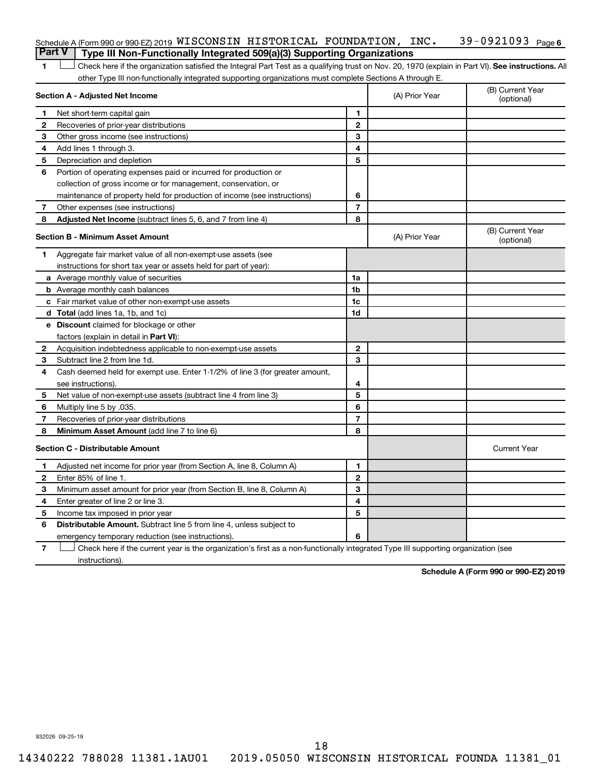| Schedule A (Form 990 or 990-EZ) 2019 WISCONSIN HISTORICAL FOUNDATION, INC.            |  |  | 39-0921093 <sub>Page 6</sub> |  |
|---------------------------------------------------------------------------------------|--|--|------------------------------|--|
| <b>Part V</b> Type III Non-Functionally Integrated 509(a)(3) Supporting Organizations |  |  |                              |  |

1 **Letter See instructions.** All Check here if the organization satisfied the Integral Part Test as a qualifying trust on Nov. 20, 1970 (explain in Part VI). See instructions. All other Type III non-functionally integrated supporting organizations must complete Sections A through E.

|              | Section A - Adjusted Net Income                                              |                | (A) Prior Year | (B) Current Year<br>(optional) |
|--------------|------------------------------------------------------------------------------|----------------|----------------|--------------------------------|
| 1            | Net short-term capital gain                                                  | 1              |                |                                |
| 2            | Recoveries of prior-year distributions                                       | $\mathbf{2}$   |                |                                |
| 3            | Other gross income (see instructions)                                        | 3              |                |                                |
| 4            | Add lines 1 through 3.                                                       | 4              |                |                                |
| 5            | Depreciation and depletion                                                   | 5              |                |                                |
| 6            | Portion of operating expenses paid or incurred for production or             |                |                |                                |
|              | collection of gross income or for management, conservation, or               |                |                |                                |
|              | maintenance of property held for production of income (see instructions)     | 6              |                |                                |
| 7            | Other expenses (see instructions)                                            | $\overline{7}$ |                |                                |
| 8            | <b>Adjusted Net Income</b> (subtract lines 5, 6, and 7 from line 4)          | 8              |                |                                |
|              | <b>Section B - Minimum Asset Amount</b>                                      |                | (A) Prior Year | (B) Current Year<br>(optional) |
| 1.           | Aggregate fair market value of all non-exempt-use assets (see                |                |                |                                |
|              | instructions for short tax year or assets held for part of year):            |                |                |                                |
|              | <b>a</b> Average monthly value of securities                                 | 1a             |                |                                |
|              | <b>b</b> Average monthly cash balances                                       | 1 <sub>b</sub> |                |                                |
|              | c Fair market value of other non-exempt-use assets                           | 1c             |                |                                |
|              | d Total (add lines 1a, 1b, and 1c)                                           | 1d             |                |                                |
|              | e Discount claimed for blockage or other                                     |                |                |                                |
|              | factors (explain in detail in <b>Part VI</b> ):                              |                |                |                                |
| $\mathbf{2}$ | Acquisition indebtedness applicable to non-exempt-use assets                 | $\mathbf{2}$   |                |                                |
| 3            | Subtract line 2 from line 1d.                                                | 3              |                |                                |
| 4            | Cash deemed held for exempt use. Enter 1-1/2% of line 3 (for greater amount, |                |                |                                |
|              | see instructions).                                                           | 4              |                |                                |
| 5            | Net value of non-exempt-use assets (subtract line 4 from line 3)             | 5              |                |                                |
| 6            | Multiply line 5 by .035.                                                     | 6              |                |                                |
| 7            | Recoveries of prior-year distributions                                       | $\overline{7}$ |                |                                |
| 8            | Minimum Asset Amount (add line 7 to line 6)                                  | 8              |                |                                |
|              | <b>Section C - Distributable Amount</b>                                      |                |                | <b>Current Year</b>            |
| 1            | Adjusted net income for prior year (from Section A, line 8, Column A)        | 1              |                |                                |
| 2            | Enter 85% of line 1.                                                         | $\mathbf{2}$   |                |                                |
| З            | Minimum asset amount for prior year (from Section B, line 8, Column A)       | 3              |                |                                |
| 4            | Enter greater of line 2 or line 3.                                           | 4              |                |                                |
| 5            | Income tax imposed in prior year                                             | 5              |                |                                |
| 6            | <b>Distributable Amount.</b> Subtract line 5 from line 4, unless subject to  |                |                |                                |
|              | emergency temporary reduction (see instructions).                            | 6              |                |                                |
|              |                                                                              |                |                |                                |

**7** Check here if the current year is the organization's first as a non-functionally integrated Type III supporting organization (see † instructions).

**Schedule A (Form 990 or 990-EZ) 2019**

932026 09-25-19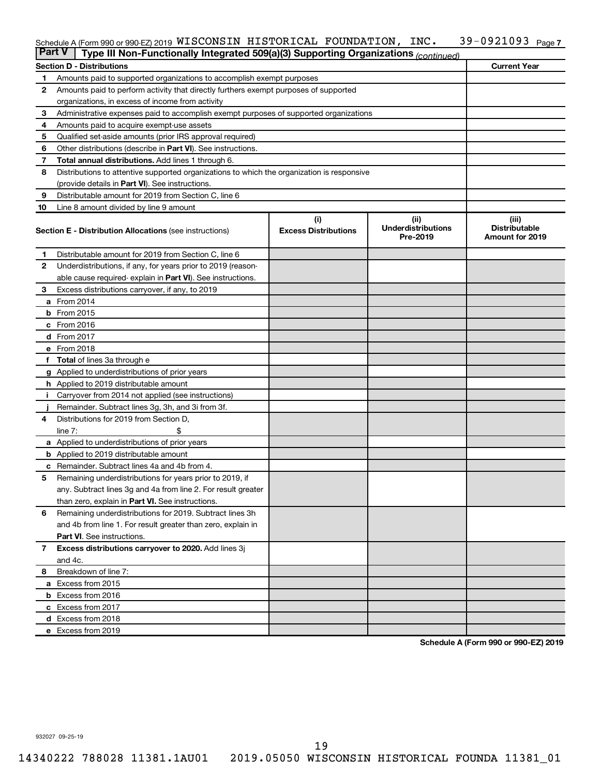#### 39-0921093 Page 7  $S$ chedule A (Form 990 or 990-EZ) 2019 WISCONSIN HISTORICAL FOUNDATION, INC  $\bullet$  39-0921093  $P_{\text{age}}$ WISCONSIN HISTORICAL FOUNDATION, INC. 39-0921093

| <b>Part V</b> | Type III Non-Functionally Integrated 509(a)(3) Supporting Organizations (continued)        |                                    |                                               |                                                         |
|---------------|--------------------------------------------------------------------------------------------|------------------------------------|-----------------------------------------------|---------------------------------------------------------|
|               | <b>Section D - Distributions</b>                                                           |                                    |                                               | <b>Current Year</b>                                     |
| 1             | Amounts paid to supported organizations to accomplish exempt purposes                      |                                    |                                               |                                                         |
| 2             | Amounts paid to perform activity that directly furthers exempt purposes of supported       |                                    |                                               |                                                         |
|               | organizations, in excess of income from activity                                           |                                    |                                               |                                                         |
| 3             | Administrative expenses paid to accomplish exempt purposes of supported organizations      |                                    |                                               |                                                         |
| 4             | Amounts paid to acquire exempt-use assets                                                  |                                    |                                               |                                                         |
| 5             | Qualified set-aside amounts (prior IRS approval required)                                  |                                    |                                               |                                                         |
| 6             | Other distributions (describe in <b>Part VI</b> ). See instructions.                       |                                    |                                               |                                                         |
| 7             | Total annual distributions. Add lines 1 through 6.                                         |                                    |                                               |                                                         |
| 8             | Distributions to attentive supported organizations to which the organization is responsive |                                    |                                               |                                                         |
|               | (provide details in Part VI). See instructions.                                            |                                    |                                               |                                                         |
| 9             | Distributable amount for 2019 from Section C, line 6                                       |                                    |                                               |                                                         |
| 10            | Line 8 amount divided by line 9 amount                                                     |                                    |                                               |                                                         |
|               | <b>Section E - Distribution Allocations (see instructions)</b>                             | (i)<br><b>Excess Distributions</b> | (ii)<br><b>Underdistributions</b><br>Pre-2019 | (iii)<br><b>Distributable</b><br><b>Amount for 2019</b> |
| 1.            | Distributable amount for 2019 from Section C, line 6                                       |                                    |                                               |                                                         |
| $\mathbf{2}$  | Underdistributions, if any, for years prior to 2019 (reason-                               |                                    |                                               |                                                         |
|               | able cause required- explain in Part VI). See instructions.                                |                                    |                                               |                                                         |
| 3             | Excess distributions carryover, if any, to 2019                                            |                                    |                                               |                                                         |
|               | a From 2014                                                                                |                                    |                                               |                                                         |
|               | <b>b</b> From 2015                                                                         |                                    |                                               |                                                         |
|               | c From 2016                                                                                |                                    |                                               |                                                         |
|               | d From 2017                                                                                |                                    |                                               |                                                         |
|               | e From 2018                                                                                |                                    |                                               |                                                         |
|               | f Total of lines 3a through e                                                              |                                    |                                               |                                                         |
|               | <b>g</b> Applied to underdistributions of prior years                                      |                                    |                                               |                                                         |
|               | <b>h</b> Applied to 2019 distributable amount                                              |                                    |                                               |                                                         |
|               | Carryover from 2014 not applied (see instructions)                                         |                                    |                                               |                                                         |
|               | Remainder. Subtract lines 3g, 3h, and 3i from 3f.                                          |                                    |                                               |                                                         |
| 4             | Distributions for 2019 from Section D,                                                     |                                    |                                               |                                                         |
|               | line $7:$                                                                                  |                                    |                                               |                                                         |
|               | <b>a</b> Applied to underdistributions of prior years                                      |                                    |                                               |                                                         |
|               | <b>b</b> Applied to 2019 distributable amount                                              |                                    |                                               |                                                         |
| с             | Remainder. Subtract lines 4a and 4b from 4.                                                |                                    |                                               |                                                         |
| 5             | Remaining underdistributions for years prior to 2019, if                                   |                                    |                                               |                                                         |
|               | any. Subtract lines 3g and 4a from line 2. For result greater                              |                                    |                                               |                                                         |
|               | than zero, explain in Part VI. See instructions.                                           |                                    |                                               |                                                         |
| 6             | Remaining underdistributions for 2019. Subtract lines 3h                                   |                                    |                                               |                                                         |
|               | and 4b from line 1. For result greater than zero, explain in                               |                                    |                                               |                                                         |
|               | <b>Part VI.</b> See instructions.                                                          |                                    |                                               |                                                         |
| $\mathbf{7}$  | Excess distributions carryover to 2020. Add lines 3j                                       |                                    |                                               |                                                         |
|               | and 4c.                                                                                    |                                    |                                               |                                                         |
| 8             | Breakdown of line 7:                                                                       |                                    |                                               |                                                         |
|               | a Excess from 2015                                                                         |                                    |                                               |                                                         |
|               | <b>b</b> Excess from 2016                                                                  |                                    |                                               |                                                         |
|               | c Excess from 2017                                                                         |                                    |                                               |                                                         |
|               | d Excess from 2018                                                                         |                                    |                                               |                                                         |
|               | e Excess from 2019                                                                         |                                    |                                               |                                                         |

**Schedule A (Form 990 or 990-EZ) 2019**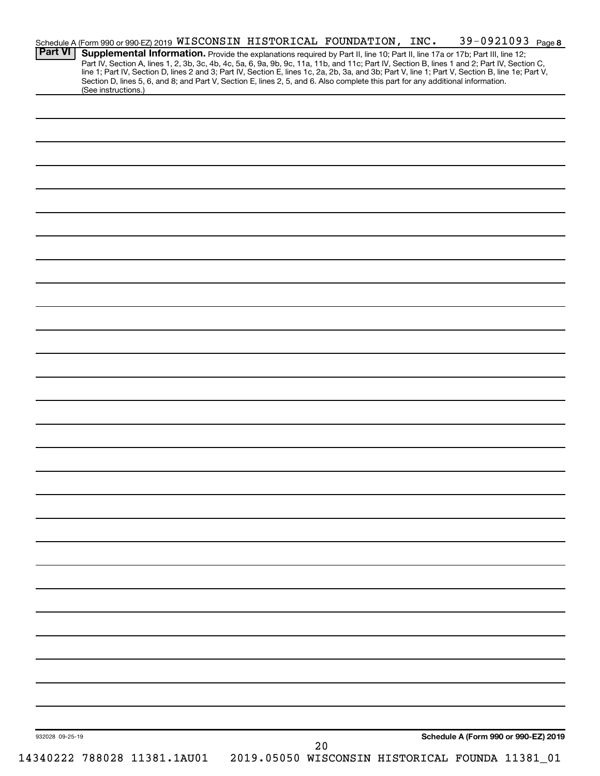| <b>Part VI</b>  | Supplemental Information. Provide the explanations required by Part II, line 10; Part II, line 17a or 17b; Part III, line 12;<br>Part IV, Section A, lines 1, 2, 3b, 3c, 4b, 4c, 5a, 6, 9a, 9b, 9c, 11a, 11b, and 11c; Part IV, Section B, lines 1 and 2; Part IV, Section C,<br>line 1; Part IV, Section D, lines 2 and 3; Part IV, Section E, lines 1c, 2a, 2b,<br>Section D, lines 5, 6, and 8; and Part V, Section E, lines 2, 5, and 6. Also complete this part for any additional information. |  |    | Schedule A (Form 990 or 990-EZ) 2019 WISCONSIN HISTORICAL FOUNDATION, INC. |  | 39-0921093 Page 8                    |  |
|-----------------|------------------------------------------------------------------------------------------------------------------------------------------------------------------------------------------------------------------------------------------------------------------------------------------------------------------------------------------------------------------------------------------------------------------------------------------------------------------------------------------------------|--|----|----------------------------------------------------------------------------|--|--------------------------------------|--|
|                 | (See instructions.)                                                                                                                                                                                                                                                                                                                                                                                                                                                                                  |  |    |                                                                            |  |                                      |  |
|                 |                                                                                                                                                                                                                                                                                                                                                                                                                                                                                                      |  |    |                                                                            |  |                                      |  |
|                 |                                                                                                                                                                                                                                                                                                                                                                                                                                                                                                      |  |    |                                                                            |  |                                      |  |
|                 |                                                                                                                                                                                                                                                                                                                                                                                                                                                                                                      |  |    |                                                                            |  |                                      |  |
|                 |                                                                                                                                                                                                                                                                                                                                                                                                                                                                                                      |  |    |                                                                            |  |                                      |  |
|                 |                                                                                                                                                                                                                                                                                                                                                                                                                                                                                                      |  |    |                                                                            |  |                                      |  |
|                 |                                                                                                                                                                                                                                                                                                                                                                                                                                                                                                      |  |    |                                                                            |  |                                      |  |
|                 |                                                                                                                                                                                                                                                                                                                                                                                                                                                                                                      |  |    |                                                                            |  |                                      |  |
|                 |                                                                                                                                                                                                                                                                                                                                                                                                                                                                                                      |  |    |                                                                            |  |                                      |  |
|                 |                                                                                                                                                                                                                                                                                                                                                                                                                                                                                                      |  |    |                                                                            |  |                                      |  |
|                 |                                                                                                                                                                                                                                                                                                                                                                                                                                                                                                      |  |    |                                                                            |  |                                      |  |
|                 |                                                                                                                                                                                                                                                                                                                                                                                                                                                                                                      |  |    |                                                                            |  |                                      |  |
|                 |                                                                                                                                                                                                                                                                                                                                                                                                                                                                                                      |  |    |                                                                            |  |                                      |  |
|                 |                                                                                                                                                                                                                                                                                                                                                                                                                                                                                                      |  |    |                                                                            |  |                                      |  |
|                 |                                                                                                                                                                                                                                                                                                                                                                                                                                                                                                      |  |    |                                                                            |  |                                      |  |
|                 |                                                                                                                                                                                                                                                                                                                                                                                                                                                                                                      |  |    |                                                                            |  |                                      |  |
|                 |                                                                                                                                                                                                                                                                                                                                                                                                                                                                                                      |  |    |                                                                            |  |                                      |  |
|                 |                                                                                                                                                                                                                                                                                                                                                                                                                                                                                                      |  |    |                                                                            |  |                                      |  |
|                 |                                                                                                                                                                                                                                                                                                                                                                                                                                                                                                      |  |    |                                                                            |  |                                      |  |
|                 |                                                                                                                                                                                                                                                                                                                                                                                                                                                                                                      |  |    |                                                                            |  |                                      |  |
|                 |                                                                                                                                                                                                                                                                                                                                                                                                                                                                                                      |  |    |                                                                            |  |                                      |  |
|                 |                                                                                                                                                                                                                                                                                                                                                                                                                                                                                                      |  |    |                                                                            |  |                                      |  |
|                 |                                                                                                                                                                                                                                                                                                                                                                                                                                                                                                      |  |    |                                                                            |  |                                      |  |
|                 |                                                                                                                                                                                                                                                                                                                                                                                                                                                                                                      |  |    |                                                                            |  |                                      |  |
|                 |                                                                                                                                                                                                                                                                                                                                                                                                                                                                                                      |  |    |                                                                            |  |                                      |  |
|                 |                                                                                                                                                                                                                                                                                                                                                                                                                                                                                                      |  |    |                                                                            |  |                                      |  |
|                 |                                                                                                                                                                                                                                                                                                                                                                                                                                                                                                      |  |    |                                                                            |  |                                      |  |
|                 |                                                                                                                                                                                                                                                                                                                                                                                                                                                                                                      |  |    |                                                                            |  |                                      |  |
|                 |                                                                                                                                                                                                                                                                                                                                                                                                                                                                                                      |  |    |                                                                            |  |                                      |  |
|                 |                                                                                                                                                                                                                                                                                                                                                                                                                                                                                                      |  |    |                                                                            |  |                                      |  |
|                 |                                                                                                                                                                                                                                                                                                                                                                                                                                                                                                      |  |    |                                                                            |  |                                      |  |
|                 |                                                                                                                                                                                                                                                                                                                                                                                                                                                                                                      |  |    |                                                                            |  |                                      |  |
|                 |                                                                                                                                                                                                                                                                                                                                                                                                                                                                                                      |  |    |                                                                            |  |                                      |  |
|                 |                                                                                                                                                                                                                                                                                                                                                                                                                                                                                                      |  |    |                                                                            |  |                                      |  |
|                 |                                                                                                                                                                                                                                                                                                                                                                                                                                                                                                      |  |    |                                                                            |  |                                      |  |
|                 |                                                                                                                                                                                                                                                                                                                                                                                                                                                                                                      |  |    |                                                                            |  |                                      |  |
|                 |                                                                                                                                                                                                                                                                                                                                                                                                                                                                                                      |  |    |                                                                            |  |                                      |  |
|                 |                                                                                                                                                                                                                                                                                                                                                                                                                                                                                                      |  |    |                                                                            |  |                                      |  |
|                 |                                                                                                                                                                                                                                                                                                                                                                                                                                                                                                      |  |    |                                                                            |  |                                      |  |
|                 |                                                                                                                                                                                                                                                                                                                                                                                                                                                                                                      |  |    |                                                                            |  |                                      |  |
|                 |                                                                                                                                                                                                                                                                                                                                                                                                                                                                                                      |  |    |                                                                            |  |                                      |  |
| 932028 09-25-19 |                                                                                                                                                                                                                                                                                                                                                                                                                                                                                                      |  | 20 |                                                                            |  | Schedule A (Form 990 or 990-EZ) 2019 |  |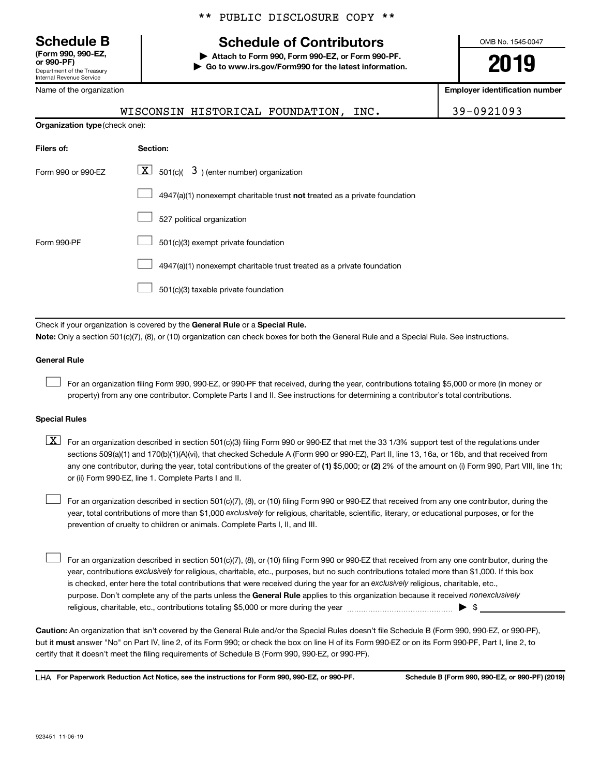**(Form 990, 990-EZ,**

Department of the Treasury Internal Revenue Service

Name of the organization

### \*\* PUBLIC DISCLOSURE COPY \*\*

# **Schedule B Schedule of Contributors**

**or 990-PF) | Attach to Form 990, Form 990-EZ, or Form 990-PF. | Go to www.irs.gov/Form990 for the latest information.** OMB No. 1545-0047

**2019**

**Employer identification number**

|                                       | WISCONSIN HISTORICAL FOUNDATION,<br>INC.                                           | 39-0921093 |
|---------------------------------------|------------------------------------------------------------------------------------|------------|
| <b>Organization type (check one):</b> |                                                                                    |            |
| Filers of:                            | Section:                                                                           |            |
| Form 990 or 990-EZ                    | $\boxed{\textbf{X}}$ 501(c)( 3) (enter number) organization                        |            |
|                                       | $4947(a)(1)$ nonexempt charitable trust <b>not</b> treated as a private foundation |            |
|                                       | 527 political organization                                                         |            |
| Form 990-PF                           | 501(c)(3) exempt private foundation                                                |            |
|                                       |                                                                                    |            |

4947(a)(1) nonexempt charitable trust treated as a private foundation  $\Box$ 

501(c)(3) taxable private foundation  $\Box$ 

Check if your organization is covered by the General Rule or a Special Rule.

**Note:**  Only a section 501(c)(7), (8), or (10) organization can check boxes for both the General Rule and a Special Rule. See instructions.

#### **General Rule**

 $\Box$ 

For an organization filing Form 990, 990-EZ, or 990-PF that received, during the year, contributions totaling \$5,000 or more (in money or property) from any one contributor. Complete Parts I and II. See instructions for determining a contributor's total contributions.

#### **Special Rules**

any one contributor, during the year, total contributions of the greater of (1) \$5,000; or (2) 2% of the amount on (i) Form 990, Part VIII, line 1h;  $\boxed{\text{X}}$  For an organization described in section 501(c)(3) filing Form 990 or 990-EZ that met the 33 1/3% support test of the regulations under sections 509(a)(1) and 170(b)(1)(A)(vi), that checked Schedule A (Form 990 or 990-EZ), Part II, line 13, 16a, or 16b, and that received from or (ii) Form 990-EZ, line 1. Complete Parts I and II.

year, total contributions of more than \$1,000 *exclusively* for religious, charitable, scientific, literary, or educational purposes, or for the For an organization described in section 501(c)(7), (8), or (10) filing Form 990 or 990-EZ that received from any one contributor, during the prevention of cruelty to children or animals. Complete Parts I, II, and III.  $\Box$ 

purpose. Don't complete any of the parts unless the General Rule applies to this organization because it received nonexclusively year, contributions exclusively for religious, charitable, etc., purposes, but no such contributions totaled more than \$1,000. If this box is checked, enter here the total contributions that were received during the year for an exclusively religious, charitable, etc., For an organization described in section 501(c)(7), (8), or (10) filing Form 990 or 990-EZ that received from any one contributor, during the religious, charitable, etc., contributions totaling \$5,000 or more during the year  $\ldots$  $\ldots$  $\ldots$  $\ldots$  $\ldots$  $\ldots$  $\Box$ 

**Caution:**  An organization that isn't covered by the General Rule and/or the Special Rules doesn't file Schedule B (Form 990, 990-EZ, or 990-PF),  **must** but it answer "No" on Part IV, line 2, of its Form 990; or check the box on line H of its Form 990-EZ or on its Form 990-PF, Part I, line 2, to certify that it doesn't meet the filing requirements of Schedule B (Form 990, 990-EZ, or 990-PF).

**For Paperwork Reduction Act Notice, see the instructions for Form 990, 990-EZ, or 990-PF. Schedule B (Form 990, 990-EZ, or 990-PF) (2019)** LHA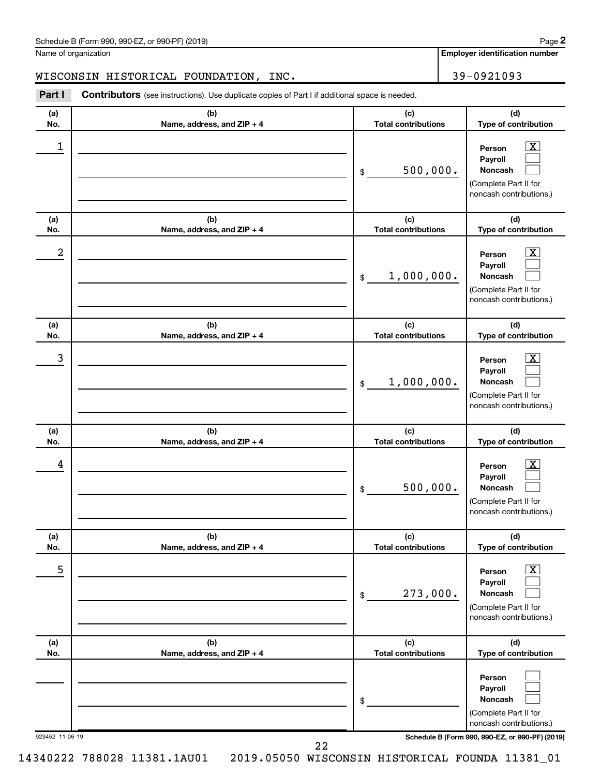| Schedule B (Form 990, 990-EZ, or 990-PF) (2019) | Page |
|-------------------------------------------------|------|
|-------------------------------------------------|------|

Name of organization

**Employer identification number**

## WISCONSIN HISTORICAL FOUNDATION, INC. 39-0921093

**Part I** Contributors (see instructions). Use duplicate copies of Part I if additional space is needed.

| (a)<br>No.      | (b)<br>Name, address, and ZIP + 4 | (c)<br><b>Total contributions</b>            | (d)<br>Type of contribution                                                                                                                |
|-----------------|-----------------------------------|----------------------------------------------|--------------------------------------------------------------------------------------------------------------------------------------------|
| 1               |                                   | 500,000.<br>\$                               | $\overline{\mathbf{X}}$<br>Person<br>Payroll<br>Noncash<br>(Complete Part II for<br>noncash contributions.)                                |
| (a)<br>No.      | (b)<br>Name, address, and ZIP + 4 | (c)<br><b>Total contributions</b>            | (d)<br>Type of contribution                                                                                                                |
| 2               |                                   | 1,000,000.<br>\$                             | $\overline{\text{X}}$<br>Person<br>Payroll<br>Noncash<br>(Complete Part II for<br>noncash contributions.)                                  |
| (a)<br>No.      | (b)<br>Name, address, and ZIP + 4 | (c)<br><b>Total contributions</b>            | (d)<br>Type of contribution                                                                                                                |
| 3               |                                   | 1,000,000.<br>\$                             | $\overline{\mathbf{X}}$<br>Person<br>Payroll<br>Noncash<br>(Complete Part II for<br>noncash contributions.)                                |
| (a)             | (b)                               | (c)                                          | (d)                                                                                                                                        |
| No.<br>4        | Name, address, and ZIP + 4        | <b>Total contributions</b><br>500,000.<br>\$ | Type of contribution<br>$\overline{\textbf{X}}$<br>Person<br>Payroll<br><b>Noncash</b><br>(Complete Part II for<br>noncash contributions.) |
| (a)<br>No.      | (b)<br>Name, address, and ZIP + 4 | (c)<br><b>Total contributions</b>            | (d)<br>Type of contribution                                                                                                                |
| 5               |                                   | 273,000.<br>$\$$                             | $\vert X \vert$<br>Person<br>Payroll<br>Noncash<br>(Complete Part II for<br>noncash contributions.)                                        |
| (a)<br>No.      | (b)<br>Name, address, and ZIP + 4 | (c)<br><b>Total contributions</b>            | (d)<br>Type of contribution                                                                                                                |
| 923452 11-06-19 |                                   | \$                                           | Person<br>Payroll<br>Noncash<br>(Complete Part II for<br>noncash contributions.)<br>Schedule B (Form 990, 990-EZ, or 990-PF) (2019)        |

14340222 788028 11381.1AU01 2019.05050 WISCONSIN HISTORICAL FOUNDA 11381\_01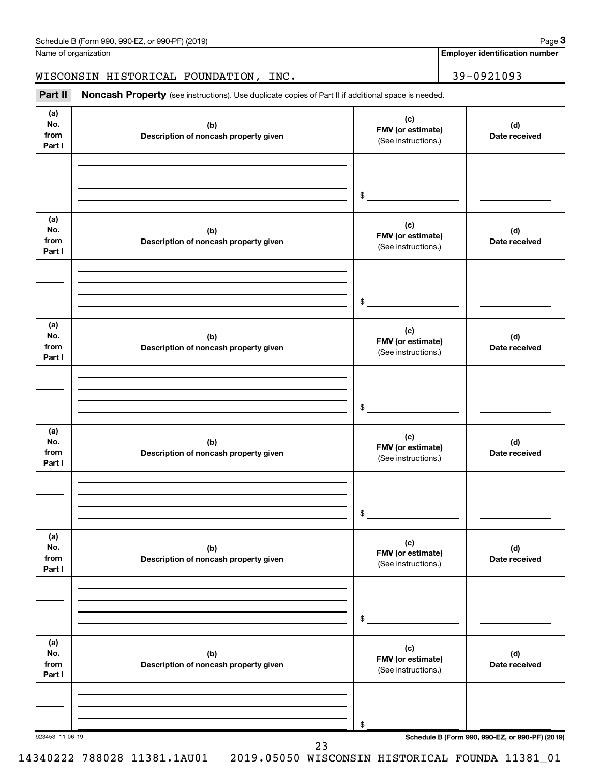| Schedule B (Form 990, 990-EZ, or 990-PF) (2019) | Page |
|-------------------------------------------------|------|
|-------------------------------------------------|------|

Name of organization

**Employer identification number**

## WISCONSIN HISTORICAL FOUNDATION, INC. 39-0921093

Part II Noncash Property (see instructions). Use duplicate copies of Part II if additional space is needed.

| (a)<br>No.<br>from<br>Part I | (b)<br>Description of noncash property given | (c)<br>FMV (or estimate)<br>(See instructions.) | (d)<br>Date received                            |
|------------------------------|----------------------------------------------|-------------------------------------------------|-------------------------------------------------|
|                              |                                              | $\qquad \qquad \bullet$                         |                                                 |
| (a)<br>No.<br>from<br>Part I | (b)<br>Description of noncash property given | (c)<br>FMV (or estimate)<br>(See instructions.) | (d)<br>Date received                            |
|                              |                                              | $\frac{1}{2}$                                   |                                                 |
| (a)<br>No.<br>from<br>Part I | (b)<br>Description of noncash property given | (c)<br>FMV (or estimate)<br>(See instructions.) | (d)<br>Date received                            |
|                              |                                              | $\frac{1}{2}$                                   |                                                 |
| (a)<br>No.<br>from<br>Part I | (b)<br>Description of noncash property given | (c)<br>FMV (or estimate)<br>(See instructions.) | (d)<br>Date received                            |
|                              |                                              | $\frac{1}{2}$                                   |                                                 |
| (a)<br>No.<br>from<br>Part I | (b)<br>Description of noncash property given | (c)<br>FMV (or estimate)<br>(See instructions.) | (d)<br>Date received                            |
|                              |                                              | \$                                              |                                                 |
| (a)<br>No.<br>from<br>Part I | (b)<br>Description of noncash property given | (c)<br>FMV (or estimate)<br>(See instructions.) | (d)<br>Date received                            |
| 923453 11-06-19              |                                              | \$                                              | Schedule B (Form 990, 990-EZ, or 990-PF) (2019) |

14340222 788028 11381.1AU01 2019.05050 WISCONSIN HISTORICAL FOUNDA 11381\_01

د ک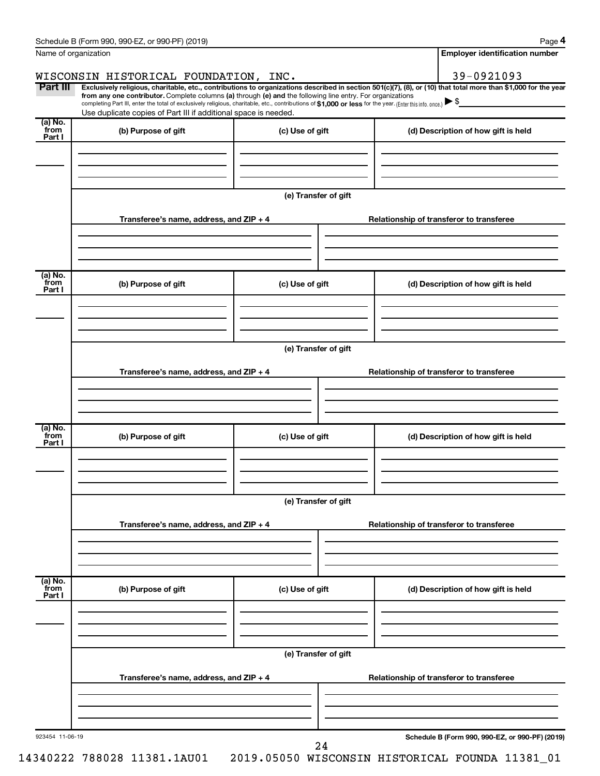| Name of organization       |                                                                                                                                                                                                                                                                                                                                                                                                                                                                                                             |                      | <b>Employer identification number</b>           |
|----------------------------|-------------------------------------------------------------------------------------------------------------------------------------------------------------------------------------------------------------------------------------------------------------------------------------------------------------------------------------------------------------------------------------------------------------------------------------------------------------------------------------------------------------|----------------------|-------------------------------------------------|
|                            | WISCONSIN HISTORICAL FOUNDATION, INC.                                                                                                                                                                                                                                                                                                                                                                                                                                                                       |                      | 39-0921093                                      |
| Part III                   | Exclusively religious, charitable, etc., contributions to organizations described in section 501(c)(7), (8), or (10) that total more than \$1,000 for the year<br>from any one contributor. Complete columns (a) through (e) and the following line entry. For organizations<br>completing Part III, enter the total of exclusively religious, charitable, etc., contributions of \$1,000 or less for the year. [Enter this info. once.]<br>Use duplicate copies of Part III if additional space is needed. |                      |                                                 |
| (a) No.<br>from<br>Part I  | (b) Purpose of gift                                                                                                                                                                                                                                                                                                                                                                                                                                                                                         | (c) Use of gift      | (d) Description of how gift is held             |
|                            |                                                                                                                                                                                                                                                                                                                                                                                                                                                                                                             |                      |                                                 |
|                            | Transferee's name, address, and ZIP + 4                                                                                                                                                                                                                                                                                                                                                                                                                                                                     | (e) Transfer of gift | Relationship of transferor to transferee        |
|                            |                                                                                                                                                                                                                                                                                                                                                                                                                                                                                                             |                      |                                                 |
| (a) No.<br>`from<br>Part I | (b) Purpose of gift                                                                                                                                                                                                                                                                                                                                                                                                                                                                                         | (c) Use of gift      | (d) Description of how gift is held             |
|                            |                                                                                                                                                                                                                                                                                                                                                                                                                                                                                                             | (e) Transfer of gift |                                                 |
|                            | Transferee's name, address, and ZIP + 4                                                                                                                                                                                                                                                                                                                                                                                                                                                                     |                      | Relationship of transferor to transferee        |
| (a) No.<br>from<br>Part I  | (b) Purpose of gift                                                                                                                                                                                                                                                                                                                                                                                                                                                                                         | (c) Use of gift      | (d) Description of how gift is held             |
|                            |                                                                                                                                                                                                                                                                                                                                                                                                                                                                                                             | (e) Transfer of gift |                                                 |
|                            | Transferee's name, address, and ZIP + 4                                                                                                                                                                                                                                                                                                                                                                                                                                                                     |                      | Relationship of transferor to transferee        |
| (a) No.<br>from            | (b) Purpose of gift                                                                                                                                                                                                                                                                                                                                                                                                                                                                                         | (c) Use of gift      | (d) Description of how gift is held             |
| Part I                     |                                                                                                                                                                                                                                                                                                                                                                                                                                                                                                             |                      |                                                 |
|                            |                                                                                                                                                                                                                                                                                                                                                                                                                                                                                                             | (e) Transfer of gift |                                                 |
|                            | Transferee's name, address, and ZIP + 4                                                                                                                                                                                                                                                                                                                                                                                                                                                                     |                      | Relationship of transferor to transferee        |
| 923454 11-06-19            |                                                                                                                                                                                                                                                                                                                                                                                                                                                                                                             |                      | Schedule B (Form 990, 990-EZ, or 990-PF) (2019) |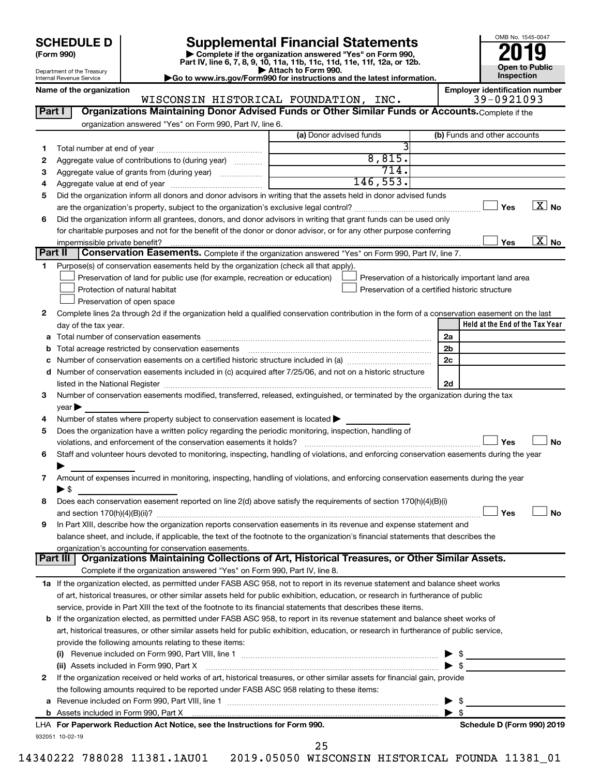| <b>SCHEDULE D</b> |  |
|-------------------|--|
|-------------------|--|

| (Form 990) |  |
|------------|--|
|------------|--|

# Supplemental Financial Statements<br> **2019** Complete if the organization answered "Yes" on Form 990.

**(Form 990) | Complete if the organization answered "Yes" on Form 990, Part IV, line 6, 7, 8, 9, 10, 11a, 11b, 11c, 11d, 11e, 11f, 12a, or 12b.**<br>■ Attach to Form 990.



Department of the Treasury Internal Revenue Service

**| Attach to Form 990. |Go to www.irs.gov/Form990 for instructions and the latest information.**

932051 10-02-19 **Held at the End of the Tax Year Name of the organization Employer identification number** (a) Donor advised funds **1 2 3 4 5 6**  $\boxed{\square}$  Yes  $\boxed{\text{X}}$  No  $\boxed{\phantom{1}}$  Yes  $\boxed{\phantom{1}}$  No **1 2** Complete lines 2a through 2d if the organization held a qualified conservation contribution in the form of a conservation easement on the last **3 4 5** Does the organization have a written policy regarding the periodic monitoring, inspection, handling of **6 7 8 9 a** Total number of conservation easements ~~~~~~~~~~~~~~~~~~~~~~~~~~~~~~~~ **b** Total acreage restricted by conservation easements ~~~~~~~~~~~~~~~~~~~~~~~~~~ **c** Number of conservation easements on a certified historic structure included in (a)  $\ldots$  $\ldots$  $\ldots$  $\ldots$  $\ldots$  $\ldots$ **d** Number of conservation easements included in (c) acquired after 7/25/06, and not on a historic structure **2a 2b 2c 2d Yes No Yes No** † † **1 a** If the organization elected, as permitted under FASB ASC 958, not to report in its revenue statement and balance sheet works **2** If the organization received or held works of art, historical treasures, or other similar assets for financial gain, provide **b** If the organization elected, as permitted under FASB ASC 958, to report in its revenue statement and balance sheet works of **(i)** Revenue included on Form 990, Part VIII, line 1 ~~~~~~~~~~~~~~~~~~~~~~~~~~~~ | \$ **(ii)** Assets included in Form 990, Part X ~~~~~~~~~~~~~~~~~~~~~~~~~~~~~~~~~ | \$ **a** Revenue included on Form 990, Part VIII, line 1 ~~~~~~~~~~~~~~~~~~~~~~~~~~~~~~ | \$ **b For Paperwork Reduction Act Notice, see the Instructions for Form 990. Schedule D (Form 990) 2019** LHA **Part I** | Organizations Maintaining Donor Advised Funds or Other Similar Funds or Accounts. Complete if the organization answered "Yes" on Form 990, Part IV, line 6. (b) Funds and other accounts Total number at end of year ~~~~~~~~~~~~~~~ Aggregate value of contributions to (during year)  $\quad \quad \ldots \ldots \ldots$ Aggregate value of grants from (during year) will contain the Aggregate value of grants from (during year) Aggregate value at end of year ~~~~~~~~~~~~~ Did the organization inform all donors and donor advisors in writing that the assets held in donor advised funds are the organization's property, subject to the organization's exclusive legal control?~~~~~~~~~~~~~~~~~~ Did the organization inform all grantees, donors, and donor advisors in writing that grant funds can be used only for charitable purposes and not for the benefit of the donor or donor advisor, or for any other purpose conferring impermissible private benefit? **Part II** Conservation Easements. Complete if the organization answered "Yes" on Form 990, Part IV, line 7. Purpose(s) of conservation easements held by the organization (check all that apply). **Preservation of land for public use (for example, recreation or education) Protection of natural habitat Fig. 1.1 The state of the state of the state of the state of the state of the state of the state of the state of the state of the state of the state of the state of the state of the state o** Preservation of open space Preservation of a historically important land area Preservation of a certified historic structure day of the tax year. listed in the National Register ~~~~~~~~~~~~~~~~~~~~~~~~~~~~~~~~~~~~~~ Number of conservation easements modified, transferred, released, extinguished, or terminated by the organization during the tax  $year$ Number of states where property subject to conservation easement is located  $\blacktriangleright$ violations, and enforcement of the conservation easements it holds? ~~~~~~~~~~~~~~~~~~~~~~~~~ Staff and volunteer hours devoted to monitoring, inspecting, handling of violations, and enforcing conservation easements during the year  $\blacktriangleright$ Amount of expenses incurred in monitoring, inspecting, handling of violations, and enforcing conservation easements during the year  $\triangleright$  \$ Does each conservation easement reported on line 2(d) above satisfy the requirements of section 170(h)(4)(B)(i) and section 170(h)(4)(B)(ii)? ~~~~~~~~~~~~~~~~~~~~~~~~~~~~~~~~~~~~~~~~~~~~~~ In Part XIII, describe how the organization reports conservation easements in its revenue and expense statement and balance sheet, and include, if applicable, the text of the footnote to the organization's financial statements that describes the organization's accounting for conservation easements. Complete if the organization answered "Yes" on Form 990, Part IV, line 8. of art, historical treasures, or other similar assets held for public exhibition, education, or research in furtherance of public service, provide in Part XIII the text of the footnote to its financial statements that describes these items. art, historical treasures, or other similar assets held for public exhibition, education, or research in furtherance of public service, provide the following amounts relating to these items: the following amounts required to be reported under FASB ASC 958 relating to these items: Assets included in Form 990, Part X | \$ **Part III Organizations Maintaining Collections of Art, Historical Treasures, or Other Similar Assets.**  $\Box$  $|$  Yes WISCONSIN HISTORICAL FOUNDATION, INC. 39-0921093 3 8,815. 714. 146,553. 25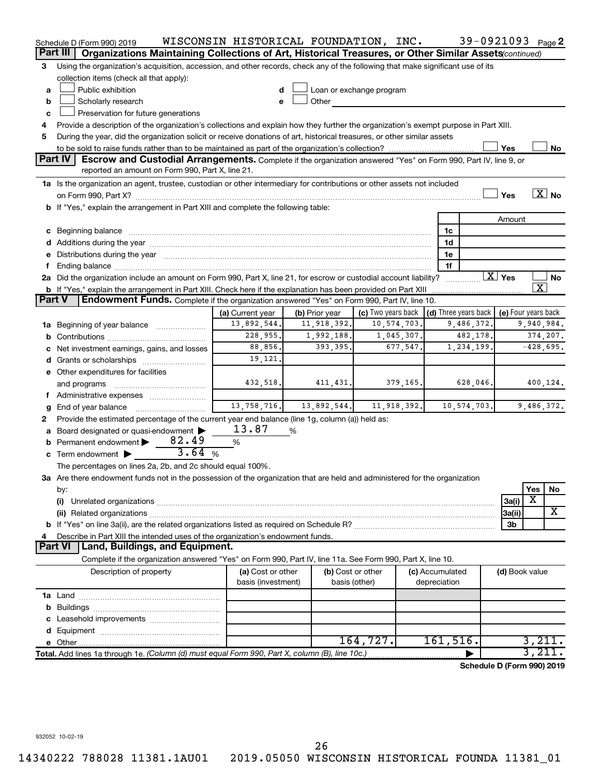|               | Schedule D (Form 990) 2019                                                                                                                                                                                                     | WISCONSIN HISTORICAL FOUNDATION, INC. |                |                          |             |                                                          |          | 39-0921093 Page 2          |                         |                          |
|---------------|--------------------------------------------------------------------------------------------------------------------------------------------------------------------------------------------------------------------------------|---------------------------------------|----------------|--------------------------|-------------|----------------------------------------------------------|----------|----------------------------|-------------------------|--------------------------|
|               | Organizations Maintaining Collections of Art, Historical Treasures, or Other Similar Assets(continued)<br>Part III                                                                                                             |                                       |                |                          |             |                                                          |          |                            |                         |                          |
| 3             | Using the organization's acquisition, accession, and other records, check any of the following that make significant use of its                                                                                                |                                       |                |                          |             |                                                          |          |                            |                         |                          |
|               | collection items (check all that apply):                                                                                                                                                                                       |                                       |                |                          |             |                                                          |          |                            |                         |                          |
| a             | Public exhibition                                                                                                                                                                                                              |                                       |                | Loan or exchange program |             |                                                          |          |                            |                         |                          |
| b             | Scholarly research                                                                                                                                                                                                             | e                                     | Other          |                          |             |                                                          |          |                            |                         |                          |
| c             | Preservation for future generations                                                                                                                                                                                            |                                       |                |                          |             |                                                          |          |                            |                         |                          |
| 4             | Provide a description of the organization's collections and explain how they further the organization's exempt purpose in Part XIII.                                                                                           |                                       |                |                          |             |                                                          |          |                            |                         |                          |
| 5             | During the year, did the organization solicit or receive donations of art, historical treasures, or other similar assets                                                                                                       |                                       |                |                          |             |                                                          |          |                            |                         |                          |
|               |                                                                                                                                                                                                                                |                                       |                |                          |             |                                                          |          | Yes                        |                         | No                       |
|               | <b>Part IV</b><br>Escrow and Custodial Arrangements. Complete if the organization answered "Yes" on Form 990, Part IV, line 9, or                                                                                              |                                       |                |                          |             |                                                          |          |                            |                         |                          |
|               | reported an amount on Form 990, Part X, line 21.                                                                                                                                                                               |                                       |                |                          |             |                                                          |          |                            |                         |                          |
|               | 1a Is the organization an agent, trustee, custodian or other intermediary for contributions or other assets not included                                                                                                       |                                       |                |                          |             |                                                          |          |                            |                         |                          |
|               |                                                                                                                                                                                                                                |                                       |                |                          |             |                                                          |          | Yes                        |                         | $\overline{\text{X}}$ No |
|               | <b>b</b> If "Yes," explain the arrangement in Part XIII and complete the following table:                                                                                                                                      |                                       |                |                          |             |                                                          |          |                            |                         |                          |
|               |                                                                                                                                                                                                                                |                                       |                |                          |             |                                                          |          | Amount                     |                         |                          |
|               | c Beginning balance                                                                                                                                                                                                            |                                       |                |                          |             | 1c                                                       |          |                            |                         |                          |
|               |                                                                                                                                                                                                                                |                                       |                |                          |             | 1d                                                       |          |                            |                         |                          |
|               | e Distributions during the year manufactured and continuum and contained and the year manufactured and contained and the year manufactured and contained and contained and contained and contained and contained and contained |                                       |                |                          |             | 1е                                                       |          |                            |                         |                          |
|               |                                                                                                                                                                                                                                |                                       |                |                          |             | 1f                                                       |          |                            |                         |                          |
|               | 2a Did the organization include an amount on Form 990, Part X, line 21, for escrow or custodial account liability?                                                                                                             |                                       |                |                          |             |                                                          |          | $\overline{X}$ Yes         |                         | No                       |
|               | <b>b</b> If "Yes," explain the arrangement in Part XIII. Check here if the explanation has been provided on Part XIII                                                                                                          |                                       |                |                          |             |                                                          |          |                            | $\overline{\texttt{x}}$ |                          |
| <b>Part V</b> | Endowment Funds. Complete if the organization answered "Yes" on Form 990, Part IV, line 10.                                                                                                                                    |                                       |                |                          |             |                                                          |          |                            |                         |                          |
|               |                                                                                                                                                                                                                                | (a) Current year                      | (b) Prior year | (c) Two years back       |             | $\vert$ (d) Three years back $\vert$ (e) Four years back |          |                            |                         |                          |
|               | 1a Beginning of year balance                                                                                                                                                                                                   | 13,892,544.                           | 11,918,392.    |                          | 10,574,703. | 9,486,372.                                               |          |                            | 9,940,984.              |                          |
| b             |                                                                                                                                                                                                                                | 228,955.                              | 1,992,188.     |                          | 1,045,307.  |                                                          | 482,178. |                            |                         | 374,207.                 |
|               | Net investment earnings, gains, and losses                                                                                                                                                                                     | 88,856.                               | 393,395.       |                          | 677,547.    | 1,234,199                                                |          |                            |                         | $-428,695.$              |
|               | <b>d</b> Grants or scholarships                                                                                                                                                                                                | 19,121.                               |                |                          |             |                                                          |          |                            |                         |                          |
|               | e Other expenditures for facilities                                                                                                                                                                                            |                                       |                |                          |             |                                                          |          |                            |                         |                          |
|               | and programs                                                                                                                                                                                                                   | 432,518.                              | 411, 431.      |                          | 379,165.    |                                                          | 628,046. |                            |                         | 400,124.                 |
|               | f Administrative expenses                                                                                                                                                                                                      |                                       |                |                          |             |                                                          |          |                            |                         |                          |
|               | End of year balance                                                                                                                                                                                                            | 13,758,716.                           | 13,892,544.    |                          | 11,918,392. | 10,574,703.                                              |          |                            |                         | 9,486,372.               |
| 2             | Provide the estimated percentage of the current year end balance (line 1g, column (a)) held as:                                                                                                                                |                                       |                |                          |             |                                                          |          |                            |                         |                          |
|               | Board designated or quasi-endowment                                                                                                                                                                                            | 13.87                                 | %              |                          |             |                                                          |          |                            |                         |                          |
| b             | 82.49<br>Permanent endowment                                                                                                                                                                                                   | %                                     |                |                          |             |                                                          |          |                            |                         |                          |
|               | 3.64%<br>c Term endowment $\blacktriangleright$                                                                                                                                                                                |                                       |                |                          |             |                                                          |          |                            |                         |                          |
|               | The percentages on lines 2a, 2b, and 2c should equal 100%.                                                                                                                                                                     |                                       |                |                          |             |                                                          |          |                            |                         |                          |
|               | ${\bf 3a}$ Are there endowment funds not in the possession of the organization that are held and administered for the organization                                                                                             |                                       |                |                          |             |                                                          |          |                            |                         |                          |
|               | by:                                                                                                                                                                                                                            |                                       |                |                          |             |                                                          |          |                            | Yes                     | No                       |
|               | (i)                                                                                                                                                                                                                            |                                       |                |                          |             |                                                          |          | 3a(i)                      | х                       |                          |
|               |                                                                                                                                                                                                                                |                                       |                |                          |             |                                                          |          | 3a(ii)                     |                         | х                        |
|               |                                                                                                                                                                                                                                |                                       |                |                          |             |                                                          |          | 3b                         |                         |                          |
|               | Describe in Part XIII the intended uses of the organization's endowment funds.                                                                                                                                                 |                                       |                |                          |             |                                                          |          |                            |                         |                          |
|               | Land, Buildings, and Equipment.<br>Part VI                                                                                                                                                                                     |                                       |                |                          |             |                                                          |          |                            |                         |                          |
|               | Complete if the organization answered "Yes" on Form 990, Part IV, line 11a. See Form 990, Part X, line 10.                                                                                                                     |                                       |                |                          |             |                                                          |          |                            |                         |                          |
|               | Description of property                                                                                                                                                                                                        | (a) Cost or other                     |                | (b) Cost or other        |             | (c) Accumulated                                          |          | (d) Book value             |                         |                          |
|               |                                                                                                                                                                                                                                | basis (investment)                    |                | basis (other)            |             | depreciation                                             |          |                            |                         |                          |
|               |                                                                                                                                                                                                                                |                                       |                |                          |             |                                                          |          |                            |                         |                          |
| b             |                                                                                                                                                                                                                                |                                       |                |                          |             |                                                          |          |                            |                         |                          |
|               |                                                                                                                                                                                                                                |                                       |                |                          |             |                                                          |          |                            |                         |                          |
|               |                                                                                                                                                                                                                                |                                       |                |                          |             |                                                          |          |                            |                         |                          |
|               |                                                                                                                                                                                                                                |                                       |                | 164,727.                 |             | 161,516.                                                 |          |                            | 3,211.                  |                          |
|               | Total. Add lines 1a through 1e. (Column (d) must equal Form 990, Part X, column (B), line 10c.)                                                                                                                                |                                       |                |                          |             |                                                          |          |                            | 3,211.                  |                          |
|               |                                                                                                                                                                                                                                |                                       |                |                          |             |                                                          |          | Schedule D (Form 990) 2019 |                         |                          |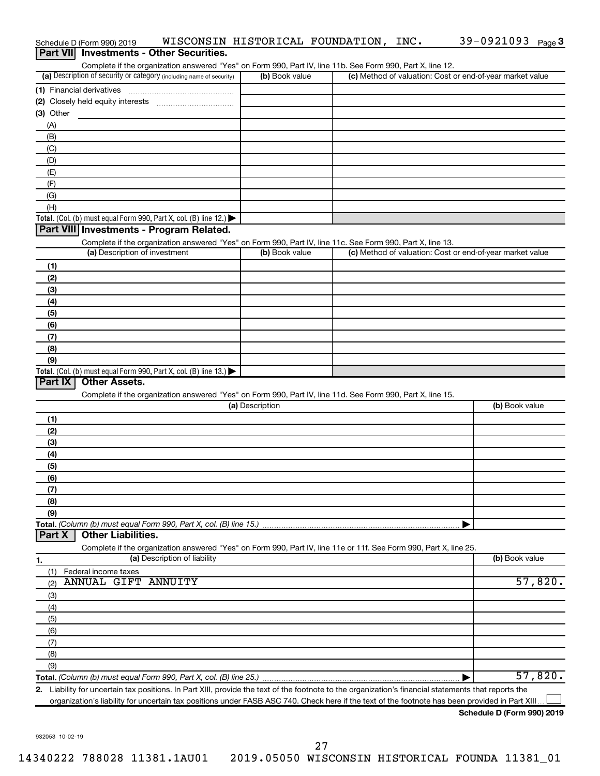| Part VII Investments - Other Securities.                                                                                                                                           |                 |                                                           |                |
|------------------------------------------------------------------------------------------------------------------------------------------------------------------------------------|-----------------|-----------------------------------------------------------|----------------|
| Complete if the organization answered "Yes" on Form 990, Part IV, line 11b. See Form 990, Part X, line 12.<br>(a) Description of security or category (including name of security) | (b) Book value  | (c) Method of valuation: Cost or end-of-year market value |                |
| (1) Financial derivatives                                                                                                                                                          |                 |                                                           |                |
|                                                                                                                                                                                    |                 |                                                           |                |
| $(3)$ Other                                                                                                                                                                        |                 |                                                           |                |
| (A)                                                                                                                                                                                |                 |                                                           |                |
| (B)                                                                                                                                                                                |                 |                                                           |                |
| (C)                                                                                                                                                                                |                 |                                                           |                |
| (D)                                                                                                                                                                                |                 |                                                           |                |
| (E)                                                                                                                                                                                |                 |                                                           |                |
| (F)                                                                                                                                                                                |                 |                                                           |                |
| (G)                                                                                                                                                                                |                 |                                                           |                |
| (H)                                                                                                                                                                                |                 |                                                           |                |
| Total. (Col. (b) must equal Form 990, Part X, col. (B) line 12.) $\blacktriangleright$                                                                                             |                 |                                                           |                |
| Part VIII Investments - Program Related.                                                                                                                                           |                 |                                                           |                |
| Complete if the organization answered "Yes" on Form 990, Part IV, line 11c. See Form 990, Part X, line 13.                                                                         |                 |                                                           |                |
| (a) Description of investment                                                                                                                                                      | (b) Book value  | (c) Method of valuation: Cost or end-of-year market value |                |
| (1)                                                                                                                                                                                |                 |                                                           |                |
| (2)                                                                                                                                                                                |                 |                                                           |                |
| (3)                                                                                                                                                                                |                 |                                                           |                |
| (4)                                                                                                                                                                                |                 |                                                           |                |
| (5)                                                                                                                                                                                |                 |                                                           |                |
| (6)                                                                                                                                                                                |                 |                                                           |                |
| (7)                                                                                                                                                                                |                 |                                                           |                |
| (8)                                                                                                                                                                                |                 |                                                           |                |
| (9)                                                                                                                                                                                |                 |                                                           |                |
| Total. (Col. (b) must equal Form 990, Part X, col. (B) line 13.) $\blacktriangleright$                                                                                             |                 |                                                           |                |
| Part IX<br><b>Other Assets.</b>                                                                                                                                                    |                 |                                                           |                |
| Complete if the organization answered "Yes" on Form 990, Part IV, line 11d. See Form 990, Part X, line 15.                                                                         |                 |                                                           |                |
|                                                                                                                                                                                    | (a) Description |                                                           | (b) Book value |
| (1)                                                                                                                                                                                |                 |                                                           |                |
| (2)                                                                                                                                                                                |                 |                                                           |                |
| (3)                                                                                                                                                                                |                 |                                                           |                |
| (4)                                                                                                                                                                                |                 |                                                           |                |
| (5)                                                                                                                                                                                |                 |                                                           |                |
| (6)                                                                                                                                                                                |                 |                                                           |                |
| (7)                                                                                                                                                                                |                 |                                                           |                |
| (8)                                                                                                                                                                                |                 |                                                           |                |
| (9)                                                                                                                                                                                |                 |                                                           |                |
| Total. (Column (b) must equal Form 990, Part X, col. (B) line 15.)<br><b>Other Liabilities.</b><br>Part X                                                                          |                 |                                                           |                |
| Complete if the organization answered "Yes" on Form 990, Part IV, line 11e or 11f. See Form 990, Part X, line 25.                                                                  |                 |                                                           |                |
| (a) Description of liability                                                                                                                                                       |                 |                                                           | (b) Book value |
| 1.<br>Federal income taxes<br>(1)                                                                                                                                                  |                 |                                                           |                |
| <b>ANNUAL GIFT ANNUITY</b><br>(2)                                                                                                                                                  |                 |                                                           | 57,820.        |
| (3)                                                                                                                                                                                |                 |                                                           |                |
| (4)                                                                                                                                                                                |                 |                                                           |                |
| (5)                                                                                                                                                                                |                 |                                                           |                |
| (6)                                                                                                                                                                                |                 |                                                           |                |
| (7)                                                                                                                                                                                |                 |                                                           |                |
| (8)                                                                                                                                                                                |                 |                                                           |                |
| (9)                                                                                                                                                                                |                 |                                                           |                |
|                                                                                                                                                                                    |                 |                                                           | 57,820.        |
| 2. Liability for uncertain tax positions. In Part XIII, provide the text of the footnote to the organization's financial statements that reports the                               |                 |                                                           |                |
| organization's liability for uncertain tax positions under FASB ASC 740. Check here if the text of the footnote has been provided in Part XIII.                                    |                 |                                                           |                |
|                                                                                                                                                                                    |                 |                                                           |                |

Schedule D (Form 990) 2019 WISCONSIN HISTORICAL FOUNDATION, INC. 39-0921093 Page

**Schedule D (Form 990) 2019**

39-0921093 Page 3

932053 10-02-19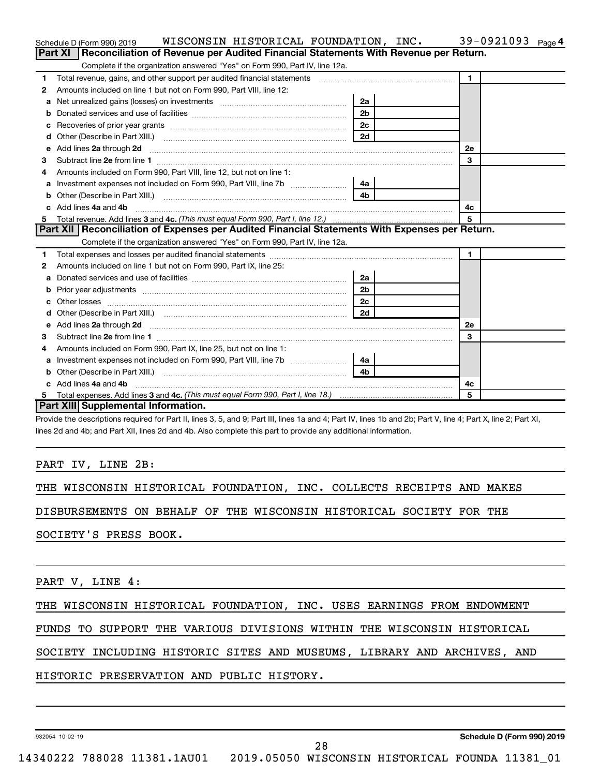|   | WISCONSIN HISTORICAL FOUNDATION, INC.<br>Schedule D (Form 990) 2019                                             |                |  |              | 39-0921093 $_{Page 4}$ |  |  |
|---|-----------------------------------------------------------------------------------------------------------------|----------------|--|--------------|------------------------|--|--|
|   | Part XI   Reconciliation of Revenue per Audited Financial Statements With Revenue per Return.                   |                |  |              |                        |  |  |
|   | Complete if the organization answered "Yes" on Form 990, Part IV, line 12a.                                     |                |  |              |                        |  |  |
| 1 | Total revenue, gains, and other support per audited financial statements                                        |                |  | $\mathbf{1}$ |                        |  |  |
| 2 | Amounts included on line 1 but not on Form 990, Part VIII, line 12:                                             |                |  |              |                        |  |  |
| a |                                                                                                                 | 2a             |  |              |                        |  |  |
|   |                                                                                                                 | 2 <sub>b</sub> |  |              |                        |  |  |
|   | 2c                                                                                                              |                |  |              |                        |  |  |
| d | Other (Describe in Part XIII.) (2000) (2000) (2000) (2010) (2010) (2010) (2010) (2010) (2010) (2010) (2010) (20 | 2d             |  |              |                        |  |  |
| е | Add lines 2a through 2d                                                                                         |                |  | 2е           |                        |  |  |
| З |                                                                                                                 |                |  | 3            |                        |  |  |
| 4 | Amounts included on Form 990, Part VIII, line 12, but not on line 1:                                            |                |  |              |                        |  |  |
|   |                                                                                                                 |                |  |              |                        |  |  |
|   |                                                                                                                 | 4 <sub>b</sub> |  |              |                        |  |  |
|   | Add lines 4a and 4b<br>c.<br>4c                                                                                 |                |  |              |                        |  |  |
| 5 |                                                                                                                 |                |  | 5            |                        |  |  |
|   | Part XII   Reconciliation of Expenses per Audited Financial Statements With Expenses per Return.                |                |  |              |                        |  |  |
|   | Complete if the organization answered "Yes" on Form 990, Part IV, line 12a.                                     |                |  |              |                        |  |  |
| 1 |                                                                                                                 |                |  | $\mathbf 1$  |                        |  |  |
| 2 | Amounts included on line 1 but not on Form 990, Part IX, line 25:                                               |                |  |              |                        |  |  |
| а |                                                                                                                 | 2a             |  |              |                        |  |  |
| b |                                                                                                                 | 2 <sub>b</sub> |  |              |                        |  |  |
|   | Other losses                                                                                                    | 2c             |  |              |                        |  |  |
| d |                                                                                                                 | 2d             |  |              |                        |  |  |
| е |                                                                                                                 |                |  | <b>2e</b>    |                        |  |  |
| з |                                                                                                                 |                |  | 3            |                        |  |  |
| 4 | Amounts included on Form 990, Part IX, line 25, but not on line 1:                                              |                |  |              |                        |  |  |
| a |                                                                                                                 | 4a             |  |              |                        |  |  |
| b |                                                                                                                 | 4 <sub>h</sub> |  |              |                        |  |  |
|   | c Add lines 4a and 4b                                                                                           |                |  | 4c           |                        |  |  |
| 5 |                                                                                                                 |                |  | 5            |                        |  |  |
|   | Part XIII Supplemental Information.                                                                             |                |  |              |                        |  |  |
|   |                                                                                                                 |                |  |              |                        |  |  |

Provide the descriptions required for Part II, lines 3, 5, and 9; Part III, lines 1a and 4; Part IV, lines 1b and 2b; Part V, line 4; Part X, line 2; Part XI, lines 2d and 4b; and Part XII, lines 2d and 4b. Also complete this part to provide any additional information.

#### PART IV, LINE 2B:

|  |  |  | THE WISCONSIN HISTORICAL FOUNDATION, INC. COLLECTS RECEIPTS AND MAKES |  |  |  |  |  |
|--|--|--|-----------------------------------------------------------------------|--|--|--|--|--|
|--|--|--|-----------------------------------------------------------------------|--|--|--|--|--|

DISBURSEMENTS ON BEHALF OF THE WISCONSIN HISTORICAL SOCIETY FOR THE

SOCIETY'S PRESS BOOK.

PART V, LINE 4:

THE WISCONSIN HISTORICAL FOUNDATION, INC. USES EARNINGS FROM ENDOWMENT

### FUNDS TO SUPPORT THE VARIOUS DIVISIONS WITHIN THE WISCONSIN HISTORICAL

SOCIETY INCLUDING HISTORIC SITES AND MUSEUMS, LIBRARY AND ARCHIVES, AND

### HISTORIC PRESERVATION AND PUBLIC HISTORY.

932054 10-02-19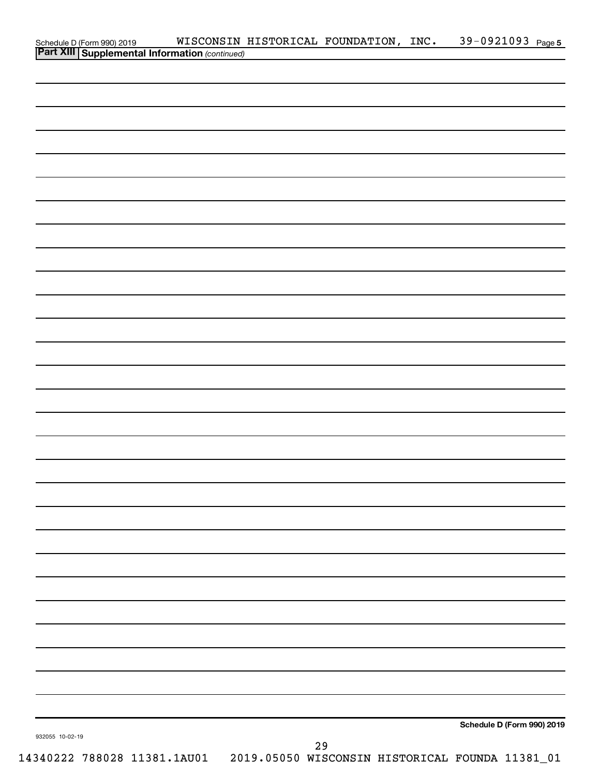| Schedule D (Form 990) 2019 WISCONSIN<br><b>Part XIII   Supplemental Information</b> (continued) |  | WISCONSIN HISTORICAL FOUNDATION, INC. | 39-0921093 Page 5          |  |
|-------------------------------------------------------------------------------------------------|--|---------------------------------------|----------------------------|--|
|                                                                                                 |  |                                       |                            |  |
|                                                                                                 |  |                                       |                            |  |
|                                                                                                 |  |                                       |                            |  |
|                                                                                                 |  |                                       |                            |  |
|                                                                                                 |  |                                       |                            |  |
|                                                                                                 |  |                                       |                            |  |
|                                                                                                 |  |                                       |                            |  |
|                                                                                                 |  |                                       |                            |  |
|                                                                                                 |  |                                       |                            |  |
|                                                                                                 |  |                                       |                            |  |
|                                                                                                 |  |                                       |                            |  |
|                                                                                                 |  |                                       |                            |  |
|                                                                                                 |  |                                       |                            |  |
|                                                                                                 |  |                                       |                            |  |
|                                                                                                 |  |                                       |                            |  |
|                                                                                                 |  |                                       |                            |  |
|                                                                                                 |  |                                       |                            |  |
|                                                                                                 |  |                                       |                            |  |
|                                                                                                 |  |                                       |                            |  |
|                                                                                                 |  |                                       |                            |  |
|                                                                                                 |  |                                       |                            |  |
|                                                                                                 |  |                                       |                            |  |
|                                                                                                 |  |                                       |                            |  |
|                                                                                                 |  |                                       |                            |  |
|                                                                                                 |  |                                       |                            |  |
|                                                                                                 |  |                                       |                            |  |
|                                                                                                 |  |                                       |                            |  |
|                                                                                                 |  |                                       |                            |  |
|                                                                                                 |  |                                       |                            |  |
|                                                                                                 |  |                                       |                            |  |
|                                                                                                 |  |                                       |                            |  |
|                                                                                                 |  |                                       |                            |  |
|                                                                                                 |  |                                       |                            |  |
|                                                                                                 |  |                                       |                            |  |
|                                                                                                 |  |                                       |                            |  |
|                                                                                                 |  |                                       |                            |  |
|                                                                                                 |  |                                       |                            |  |
|                                                                                                 |  |                                       |                            |  |
|                                                                                                 |  |                                       |                            |  |
|                                                                                                 |  |                                       |                            |  |
|                                                                                                 |  |                                       |                            |  |
|                                                                                                 |  |                                       |                            |  |
|                                                                                                 |  |                                       |                            |  |
|                                                                                                 |  |                                       |                            |  |
|                                                                                                 |  |                                       |                            |  |
|                                                                                                 |  |                                       |                            |  |
|                                                                                                 |  |                                       | Schedule D (Form 990) 2019 |  |
| 932055 10-02-19                                                                                 |  |                                       |                            |  |
|                                                                                                 |  | 29                                    |                            |  |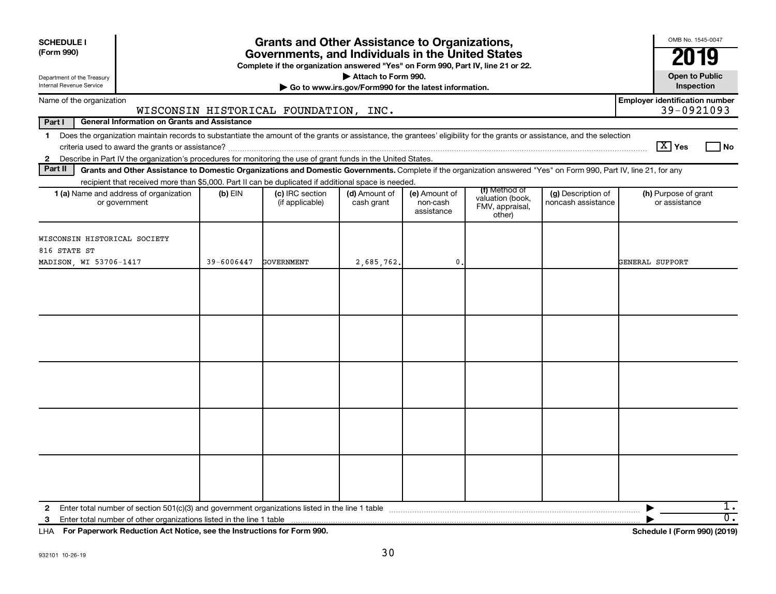| <b>SCHEDULE I</b><br>(Form 990)                        |                                                                                                                                                                                                                                                                                           |            | <b>Grants and Other Assistance to Organizations,</b><br>Governments, and Individuals in the United States<br>Complete if the organization answered "Yes" on Form 990, Part IV, line 21 or 22. |                                                                              |                                         |                                                                |                                          | OMB No. 1545-0047<br>19                             |
|--------------------------------------------------------|-------------------------------------------------------------------------------------------------------------------------------------------------------------------------------------------------------------------------------------------------------------------------------------------|------------|-----------------------------------------------------------------------------------------------------------------------------------------------------------------------------------------------|------------------------------------------------------------------------------|-----------------------------------------|----------------------------------------------------------------|------------------------------------------|-----------------------------------------------------|
| Department of the Treasury<br>Internal Revenue Service |                                                                                                                                                                                                                                                                                           |            |                                                                                                                                                                                               | Attach to Form 990.<br>Go to www.irs.gov/Form990 for the latest information. |                                         |                                                                |                                          | <b>Open to Public</b><br>Inspection                 |
|                                                        | Name of the organization                                                                                                                                                                                                                                                                  |            | WISCONSIN HISTORICAL FOUNDATION, INC.                                                                                                                                                         |                                                                              |                                         |                                                                |                                          | <b>Employer identification number</b><br>39-0921093 |
| Part I                                                 | <b>General Information on Grants and Assistance</b>                                                                                                                                                                                                                                       |            |                                                                                                                                                                                               |                                                                              |                                         |                                                                |                                          |                                                     |
| $\mathbf 1$<br>$\mathbf{2}$                            | Does the organization maintain records to substantiate the amount of the grants or assistance, the grantees' eligibility for the grants or assistance, and the selection<br>Describe in Part IV the organization's procedures for monitoring the use of grant funds in the United States. |            |                                                                                                                                                                                               |                                                                              |                                         |                                                                |                                          | $\boxed{\text{X}}$ Yes<br>l No                      |
| Part II                                                | Grants and Other Assistance to Domestic Organizations and Domestic Governments. Complete if the organization answered "Yes" on Form 990, Part IV, line 21, for any                                                                                                                        |            |                                                                                                                                                                                               |                                                                              |                                         |                                                                |                                          |                                                     |
|                                                        | recipient that received more than \$5,000. Part II can be duplicated if additional space is needed.                                                                                                                                                                                       |            |                                                                                                                                                                                               |                                                                              |                                         |                                                                |                                          |                                                     |
|                                                        | 1 (a) Name and address of organization<br>or government                                                                                                                                                                                                                                   | $(b)$ EIN  | (c) IRC section<br>(if applicable)                                                                                                                                                            | (d) Amount of<br>cash grant                                                  | (e) Amount of<br>non-cash<br>assistance | (f) Method of<br>valuation (book,<br>FMV, appraisal,<br>other) | (g) Description of<br>noncash assistance | (h) Purpose of grant<br>or assistance               |
| 816 STATE ST                                           | WISCONSIN HISTORICAL SOCIETY                                                                                                                                                                                                                                                              |            |                                                                                                                                                                                               |                                                                              |                                         |                                                                |                                          |                                                     |
|                                                        | MADISON, WI 53706-1417                                                                                                                                                                                                                                                                    | 39-6006447 | GOVERNMENT                                                                                                                                                                                    | 2,685,762.                                                                   | $\mathbf{0}$ .                          |                                                                |                                          | GENERAL SUPPORT                                     |
|                                                        |                                                                                                                                                                                                                                                                                           |            |                                                                                                                                                                                               |                                                                              |                                         |                                                                |                                          |                                                     |
| $\mathbf{2}$<br>3                                      |                                                                                                                                                                                                                                                                                           |            |                                                                                                                                                                                               |                                                                              |                                         |                                                                |                                          | ı.<br>$\overline{0}$ .                              |

**For Paperwork Reduction Act Notice, see the Instructions for Form 990. Schedule I (Form 990) (2019)** LHA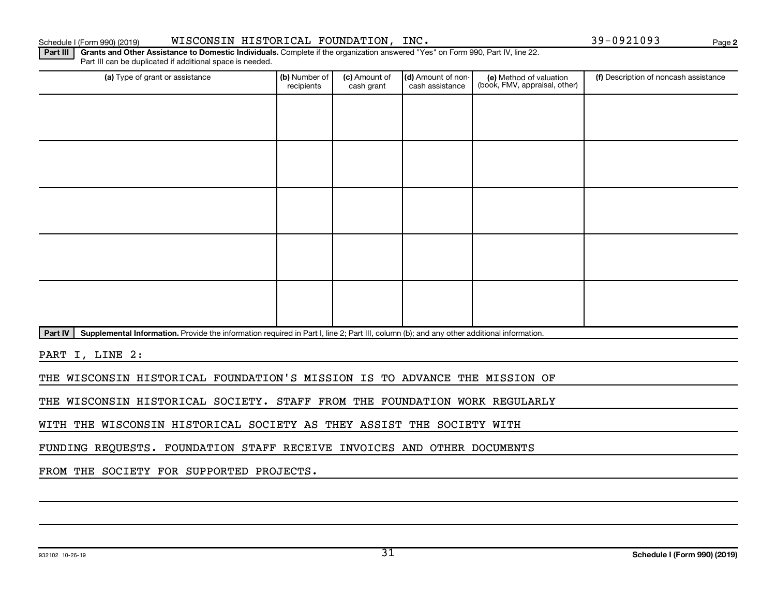Schedule I (Form 990) (2019) WISCONSIN HISTORICAL FOUNDATION, INC. 39-0921093 Page

**2**

Part III | Grants and Other Assistance to Domestic Individuals. Complete if the organization answered "Yes" on Form 990, Part IV, line 22. Part III can be duplicated if additional space is needed.

| (a) Type of grant or assistance | (b) Number of<br>recipients | (c) Amount of<br>cash grant | (d) Amount of non-<br>cash assistance | (e) Method of valuation<br>(book, FMV, appraisal, other) | (f) Description of noncash assistance |
|---------------------------------|-----------------------------|-----------------------------|---------------------------------------|----------------------------------------------------------|---------------------------------------|
|                                 |                             |                             |                                       |                                                          |                                       |
|                                 |                             |                             |                                       |                                                          |                                       |
|                                 |                             |                             |                                       |                                                          |                                       |
|                                 |                             |                             |                                       |                                                          |                                       |
|                                 |                             |                             |                                       |                                                          |                                       |
|                                 |                             |                             |                                       |                                                          |                                       |
|                                 |                             |                             |                                       |                                                          |                                       |
|                                 |                             |                             |                                       |                                                          |                                       |
|                                 |                             |                             |                                       |                                                          |                                       |
|                                 |                             |                             |                                       |                                                          |                                       |

Part IV | Supplemental Information. Provide the information required in Part I, line 2; Part III, column (b); and any other additional information.

PART I, LINE 2:

THE WISCONSIN HISTORICAL FOUNDATION'S MISSION IS TO ADVANCE THE MISSION OF

THE WISCONSIN HISTORICAL SOCIETY. STAFF FROM THE FOUNDATION WORK REGULARLY

WITH THE WISCONSIN HISTORICAL SOCIETY AS THEY ASSIST THE SOCIETY WITH

FUNDING REQUESTS. FOUNDATION STAFF RECEIVE INVOICES AND OTHER DOCUMENTS

FROM THE SOCIETY FOR SUPPORTED PROJECTS.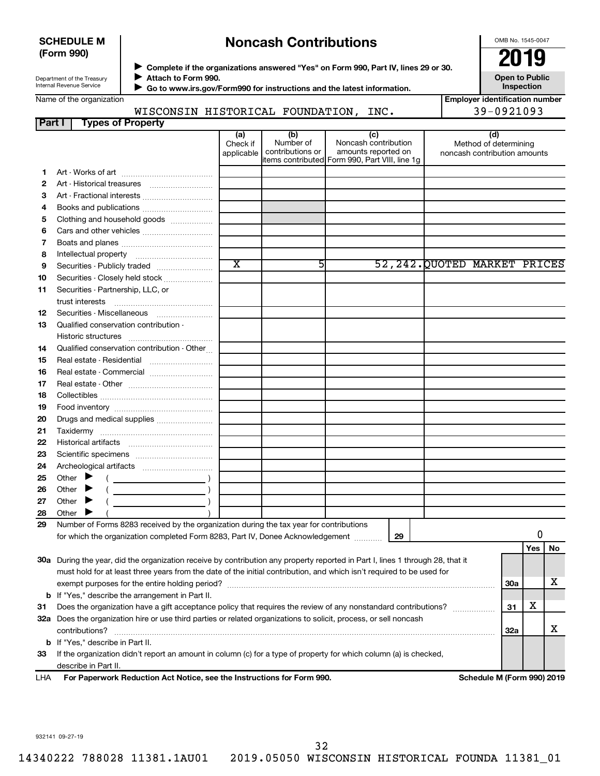### **SCHEDULE M (Form 990)**

# **Noncash Contributions**

OMB No. 1545-0047

| Department of the Treasury |
|----------------------------|
|                            |
| Internal Revenue Service   |

◆ Complete if the organizations answered "Yes" on Form 990, Part IV, lines 29 or 30.<br>▶ Complete if the organizations answered "Yes" on Form 990, Part IV, lines 29 or 30. **Attach to Form 990.**  $\blacktriangleright$ 

 **Go to www.irs.gov/Form990 for instructions and the latest information.** J

**Open to Public Inspection**

| Name of the organization |
|--------------------------|
|--------------------------|

| <b>Employer identification number</b> |
|---------------------------------------|
| $39 - 0921093$                        |

|                               | WISCONSIN HISTORICAL | <b>FOUNDATION,</b> | INC. | 39-0921093 |
|-------------------------------|----------------------|--------------------|------|------------|
| l Part I<br>Tynes of Pronerty |                      |                    |      |            |

|     | i jihad ah ili dipang                                                                                                          |                               |                                      |                                                                                                      |                                                              |     |     |    |  |  |  |  |
|-----|--------------------------------------------------------------------------------------------------------------------------------|-------------------------------|--------------------------------------|------------------------------------------------------------------------------------------------------|--------------------------------------------------------------|-----|-----|----|--|--|--|--|
|     |                                                                                                                                | (a)<br>Check if<br>applicable | (b)<br>Number of<br>contributions or | (c)<br>Noncash contribution<br>amounts reported on<br>items contributed Form 990, Part VIII, line 1g | (d)<br>Method of determining<br>noncash contribution amounts |     |     |    |  |  |  |  |
| 1.  |                                                                                                                                |                               |                                      |                                                                                                      |                                                              |     |     |    |  |  |  |  |
| 2   |                                                                                                                                |                               |                                      |                                                                                                      |                                                              |     |     |    |  |  |  |  |
| З   |                                                                                                                                |                               |                                      |                                                                                                      |                                                              |     |     |    |  |  |  |  |
| 4   | Books and publications                                                                                                         |                               |                                      |                                                                                                      |                                                              |     |     |    |  |  |  |  |
| 5   | Clothing and household goods                                                                                                   |                               |                                      |                                                                                                      |                                                              |     |     |    |  |  |  |  |
| 6   |                                                                                                                                |                               |                                      |                                                                                                      |                                                              |     |     |    |  |  |  |  |
| 7   |                                                                                                                                |                               |                                      |                                                                                                      |                                                              |     |     |    |  |  |  |  |
|     |                                                                                                                                |                               |                                      |                                                                                                      |                                                              |     |     |    |  |  |  |  |
| 8   |                                                                                                                                | $\overline{\text{x}}$         | 51                                   |                                                                                                      | 52, 242. QUOTED MARKET PRICES                                |     |     |    |  |  |  |  |
| 9   | Securities - Publicly traded                                                                                                   |                               |                                      |                                                                                                      |                                                              |     |     |    |  |  |  |  |
| 10  | Securities - Closely held stock                                                                                                |                               |                                      |                                                                                                      |                                                              |     |     |    |  |  |  |  |
| 11  | Securities - Partnership, LLC, or                                                                                              |                               |                                      |                                                                                                      |                                                              |     |     |    |  |  |  |  |
|     | trust interests                                                                                                                |                               |                                      |                                                                                                      |                                                              |     |     |    |  |  |  |  |
| 12  | Securities - Miscellaneous                                                                                                     |                               |                                      |                                                                                                      |                                                              |     |     |    |  |  |  |  |
| 13  | Qualified conservation contribution -                                                                                          |                               |                                      |                                                                                                      |                                                              |     |     |    |  |  |  |  |
|     | Historic structures<br>Qualified conservation contribution - Other                                                             |                               |                                      |                                                                                                      |                                                              |     |     |    |  |  |  |  |
| 14  |                                                                                                                                |                               |                                      |                                                                                                      |                                                              |     |     |    |  |  |  |  |
| 15  | Real estate - Residential                                                                                                      |                               |                                      |                                                                                                      |                                                              |     |     |    |  |  |  |  |
| 16  | Real estate - Commercial                                                                                                       |                               |                                      |                                                                                                      |                                                              |     |     |    |  |  |  |  |
| 17  |                                                                                                                                |                               |                                      |                                                                                                      |                                                              |     |     |    |  |  |  |  |
| 18  |                                                                                                                                |                               |                                      |                                                                                                      |                                                              |     |     |    |  |  |  |  |
| 19  |                                                                                                                                |                               |                                      |                                                                                                      |                                                              |     |     |    |  |  |  |  |
| 20  | Drugs and medical supplies                                                                                                     |                               |                                      |                                                                                                      |                                                              |     |     |    |  |  |  |  |
| 21  |                                                                                                                                |                               |                                      |                                                                                                      |                                                              |     |     |    |  |  |  |  |
| 22  |                                                                                                                                |                               |                                      |                                                                                                      |                                                              |     |     |    |  |  |  |  |
| 23  |                                                                                                                                |                               |                                      |                                                                                                      |                                                              |     |     |    |  |  |  |  |
| 24  |                                                                                                                                |                               |                                      |                                                                                                      |                                                              |     |     |    |  |  |  |  |
| 25  | Other $\blacktriangleright$                                                                                                    |                               |                                      |                                                                                                      |                                                              |     |     |    |  |  |  |  |
| 26  | Other $\blacktriangleright$                                                                                                    |                               |                                      |                                                                                                      |                                                              |     |     |    |  |  |  |  |
| 27  | Other $\blacktriangleright$                                                                                                    |                               |                                      |                                                                                                      |                                                              |     |     |    |  |  |  |  |
| 28  | Other                                                                                                                          |                               |                                      |                                                                                                      |                                                              |     |     |    |  |  |  |  |
| 29  | Number of Forms 8283 received by the organization during the tax year for contributions                                        |                               |                                      |                                                                                                      |                                                              |     |     |    |  |  |  |  |
|     | for which the organization completed Form 8283, Part IV, Donee Acknowledgement                                                 |                               |                                      | 29                                                                                                   |                                                              |     | 0   |    |  |  |  |  |
|     |                                                                                                                                |                               |                                      |                                                                                                      |                                                              |     | Yes | No |  |  |  |  |
|     | 30a During the year, did the organization receive by contribution any property reported in Part I, lines 1 through 28, that it |                               |                                      |                                                                                                      |                                                              |     |     |    |  |  |  |  |
|     | must hold for at least three years from the date of the initial contribution, and which isn't required to be used for          |                               |                                      |                                                                                                      |                                                              |     |     |    |  |  |  |  |
|     | <b>30a</b>                                                                                                                     |                               |                                      |                                                                                                      |                                                              |     |     |    |  |  |  |  |
|     | <b>b</b> If "Yes," describe the arrangement in Part II.                                                                        |                               |                                      |                                                                                                      |                                                              |     |     |    |  |  |  |  |
| 31  | Does the organization have a gift acceptance policy that requires the review of any nonstandard contributions?                 |                               |                                      |                                                                                                      |                                                              | 31  | х   |    |  |  |  |  |
|     | 32a Does the organization hire or use third parties or related organizations to solicit, process, or sell noncash              |                               |                                      |                                                                                                      |                                                              |     |     |    |  |  |  |  |
|     | contributions?                                                                                                                 |                               |                                      |                                                                                                      |                                                              | 32a |     | x  |  |  |  |  |
|     | <b>b</b> If "Yes," describe in Part II.                                                                                        |                               |                                      |                                                                                                      |                                                              |     |     |    |  |  |  |  |
| 33  | If the organization didn't report an amount in column (c) for a type of property for which column (a) is checked,              |                               |                                      |                                                                                                      |                                                              |     |     |    |  |  |  |  |
|     | describe in Part II.                                                                                                           |                               |                                      |                                                                                                      |                                                              |     |     |    |  |  |  |  |
| LHA | For Paperwork Reduction Act Notice, see the Instructions for Form 990.<br>Schedule M (Form 990) 2019                           |                               |                                      |                                                                                                      |                                                              |     |     |    |  |  |  |  |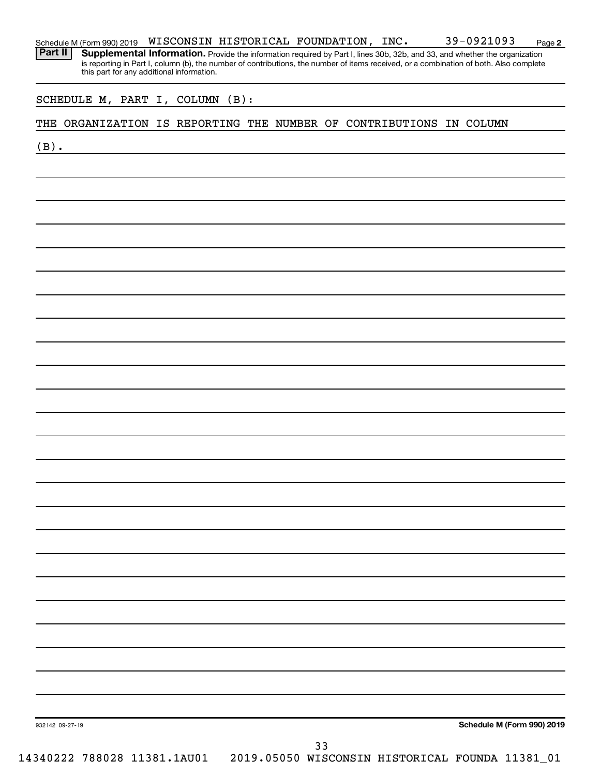|         |                 |  |  | this part for any additional information. |  |  |                                                                     |  |                            |
|---------|-----------------|--|--|-------------------------------------------|--|--|---------------------------------------------------------------------|--|----------------------------|
|         |                 |  |  | SCHEDULE M, PART I, COLUMN (B):           |  |  |                                                                     |  |                            |
|         |                 |  |  |                                           |  |  | THE ORGANIZATION IS REPORTING THE NUMBER OF CONTRIBUTIONS IN COLUMN |  |                            |
| $(B)$ . |                 |  |  |                                           |  |  |                                                                     |  |                            |
|         |                 |  |  |                                           |  |  |                                                                     |  |                            |
|         |                 |  |  |                                           |  |  |                                                                     |  |                            |
|         |                 |  |  |                                           |  |  |                                                                     |  |                            |
|         |                 |  |  |                                           |  |  |                                                                     |  |                            |
|         |                 |  |  |                                           |  |  |                                                                     |  |                            |
|         |                 |  |  |                                           |  |  |                                                                     |  |                            |
|         |                 |  |  |                                           |  |  |                                                                     |  |                            |
|         |                 |  |  |                                           |  |  |                                                                     |  |                            |
|         |                 |  |  |                                           |  |  |                                                                     |  |                            |
|         |                 |  |  |                                           |  |  |                                                                     |  |                            |
|         |                 |  |  |                                           |  |  |                                                                     |  |                            |
|         |                 |  |  |                                           |  |  |                                                                     |  |                            |
|         |                 |  |  |                                           |  |  |                                                                     |  |                            |
|         |                 |  |  |                                           |  |  |                                                                     |  |                            |
|         |                 |  |  |                                           |  |  |                                                                     |  |                            |
|         |                 |  |  |                                           |  |  |                                                                     |  |                            |
|         |                 |  |  |                                           |  |  |                                                                     |  |                            |
|         |                 |  |  |                                           |  |  |                                                                     |  |                            |
|         |                 |  |  |                                           |  |  |                                                                     |  |                            |
|         |                 |  |  |                                           |  |  |                                                                     |  |                            |
|         |                 |  |  |                                           |  |  |                                                                     |  |                            |
|         |                 |  |  |                                           |  |  |                                                                     |  |                            |
|         |                 |  |  |                                           |  |  |                                                                     |  |                            |
|         |                 |  |  |                                           |  |  |                                                                     |  |                            |
|         |                 |  |  |                                           |  |  |                                                                     |  |                            |
|         |                 |  |  |                                           |  |  |                                                                     |  |                            |
|         |                 |  |  |                                           |  |  |                                                                     |  |                            |
|         |                 |  |  |                                           |  |  |                                                                     |  |                            |
|         |                 |  |  |                                           |  |  |                                                                     |  |                            |
|         |                 |  |  |                                           |  |  |                                                                     |  |                            |
|         | 932142 09-27-19 |  |  |                                           |  |  |                                                                     |  | Schedule M (Form 990) 2019 |

Schedule M (Form 990) 2019  $\,$  <code>WISCONSIN</code> <code>HISTORICAL FOUNDATION</code> , <code>INC</code> .  $\,$   $\,$  <code>39–0921093</code>  $\,$  <code>Page</code>

14340222 788028 11381.1AU01 2019.05050 WISCONSIN HISTORICAL FOUNDA 11381\_01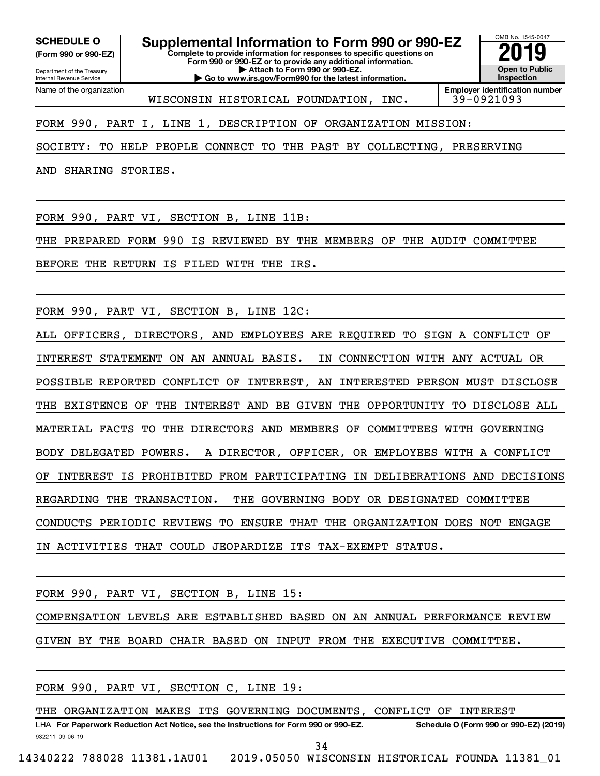Department of the Treasury **(Form 990 or 990-EZ)**

Name of the organization

Internal Revenue Service

**Complete to provide information for responses to specific questions on Form 990 or 990-EZ or to provide any additional information. | Attach to Form 990 or 990-EZ. | Go to www.irs.gov/Form990 for the latest information. SCHEDULE O Supplemental Information to Form 990 or 990-EZ 2019** 



WISCONSIN HISTORICAL FOUNDATION, INC. 39-0921093

FORM 990, PART I, LINE 1, DESCRIPTION OF ORGANIZATION MISSION:

SOCIETY: TO HELP PEOPLE CONNECT TO THE PAST BY COLLECTING, PRESERVING

AND SHARING STORIES.

FORM 990, PART VI, SECTION B, LINE 11B:

THE PREPARED FORM 990 IS REVIEWED BY THE MEMBERS OF THE AUDIT COMMITTEE

BEFORE THE RETURN IS FILED WITH THE IRS.

FORM 990, PART VI, SECTION B, LINE 12C:

ALL OFFICERS, DIRECTORS, AND EMPLOYEES ARE REQUIRED TO SIGN A CONFLICT OF INTEREST STATEMENT ON AN ANNUAL BASIS. IN CONNECTION WITH ANY ACTUAL OR POSSIBLE REPORTED CONFLICT OF INTEREST, AN INTERESTED PERSON MUST DISCLOSE THE EXISTENCE OF THE INTEREST AND BE GIVEN THE OPPORTUNITY TO DISCLOSE ALL MATERIAL FACTS TO THE DIRECTORS AND MEMBERS OF COMMITTEES WITH GOVERNING BODY DELEGATED POWERS. A DIRECTOR, OFFICER, OR EMPLOYEES WITH A CONFLICT OF INTEREST IS PROHIBITED FROM PARTICIPATING IN DELIBERATIONS AND DECISIONS REGARDING THE TRANSACTION. THE GOVERNING BODY OR DESIGNATED COMMITTEE CONDUCTS PERIODIC REVIEWS TO ENSURE THAT THE ORGANIZATION DOES NOT ENGAGE IN ACTIVITIES THAT COULD JEOPARDIZE ITS TAX-EXEMPT STATUS.

FORM 990, PART VI, SECTION B, LINE 15:

COMPENSATION LEVELS ARE ESTABLISHED BASED ON AN ANNUAL PERFORMANCE REVIEW GIVEN BY THE BOARD CHAIR BASED ON INPUT FROM THE EXECUTIVE COMMITTEE.

FORM 990, PART VI, SECTION C, LINE 19:

932211 09-06-19 LHA For Paperwork Reduction Act Notice, see the Instructions for Form 990 or 990-EZ. Schedule O (Form 990 or 990-EZ) (2019) THE ORGANIZATION MAKES ITS GOVERNING DOCUMENTS, CONFLICT OF INTEREST 34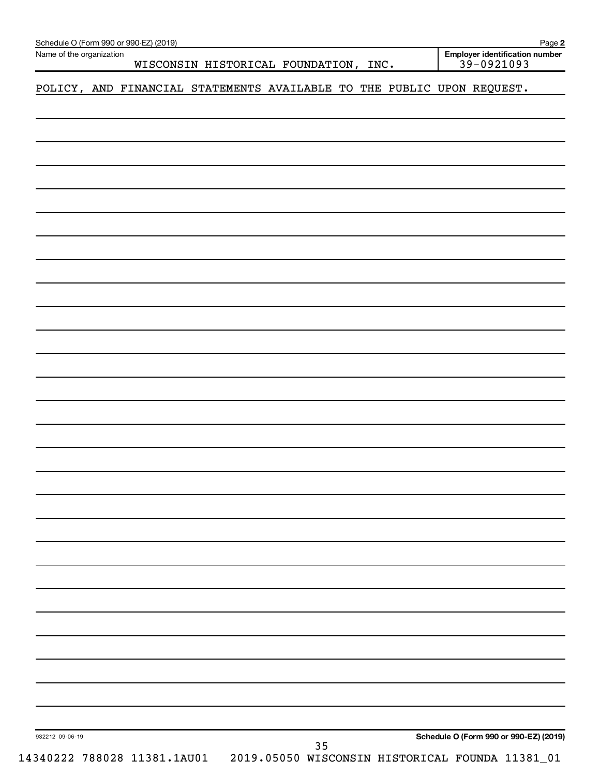| Name of the organization | Schedule O (Form 990 or 990-EZ) (2019) |                                                                              |    |  |  |                                                  | Page 2 |
|--------------------------|----------------------------------------|------------------------------------------------------------------------------|----|--|--|--------------------------------------------------|--------|
|                          |                                        | WISCONSIN HISTORICAL FOUNDATION, INC.                                        |    |  |  | Employer identification number<br>$39 - 0921093$ |        |
|                          |                                        | POLICY, AND FINANCIAL STATEMENTS AVAILABLE TO THE PUBLIC UPON REQUEST.       |    |  |  |                                                  |        |
|                          |                                        |                                                                              |    |  |  |                                                  |        |
|                          |                                        |                                                                              |    |  |  |                                                  |        |
|                          |                                        |                                                                              |    |  |  |                                                  |        |
|                          |                                        |                                                                              |    |  |  |                                                  |        |
|                          |                                        |                                                                              |    |  |  |                                                  |        |
|                          |                                        |                                                                              |    |  |  |                                                  |        |
|                          |                                        |                                                                              |    |  |  |                                                  |        |
|                          |                                        |                                                                              |    |  |  |                                                  |        |
|                          |                                        |                                                                              |    |  |  |                                                  |        |
|                          |                                        |                                                                              |    |  |  |                                                  |        |
|                          |                                        |                                                                              |    |  |  |                                                  |        |
|                          |                                        |                                                                              |    |  |  |                                                  |        |
|                          |                                        |                                                                              |    |  |  |                                                  |        |
|                          |                                        |                                                                              |    |  |  |                                                  |        |
|                          |                                        |                                                                              |    |  |  |                                                  |        |
|                          |                                        |                                                                              |    |  |  |                                                  |        |
|                          |                                        |                                                                              |    |  |  |                                                  |        |
|                          |                                        |                                                                              |    |  |  |                                                  |        |
|                          |                                        |                                                                              |    |  |  |                                                  |        |
|                          |                                        |                                                                              |    |  |  |                                                  |        |
|                          |                                        |                                                                              |    |  |  |                                                  |        |
|                          |                                        |                                                                              |    |  |  |                                                  |        |
|                          |                                        |                                                                              |    |  |  |                                                  |        |
|                          |                                        |                                                                              |    |  |  |                                                  |        |
|                          |                                        |                                                                              |    |  |  |                                                  |        |
|                          |                                        |                                                                              |    |  |  |                                                  |        |
|                          |                                        |                                                                              |    |  |  |                                                  |        |
|                          |                                        |                                                                              |    |  |  |                                                  |        |
|                          |                                        |                                                                              |    |  |  |                                                  |        |
|                          |                                        |                                                                              |    |  |  |                                                  |        |
| 932212 09-06-19          |                                        |                                                                              | 35 |  |  | Schedule O (Form 990 or 990-EZ) (2019)           |        |
|                          |                                        | 14340222 788028 11381.1AU01  2019.05050 WISCONSIN HISTORICAL FOUNDA 11381_01 |    |  |  |                                                  |        |

**<sup>2</sup>**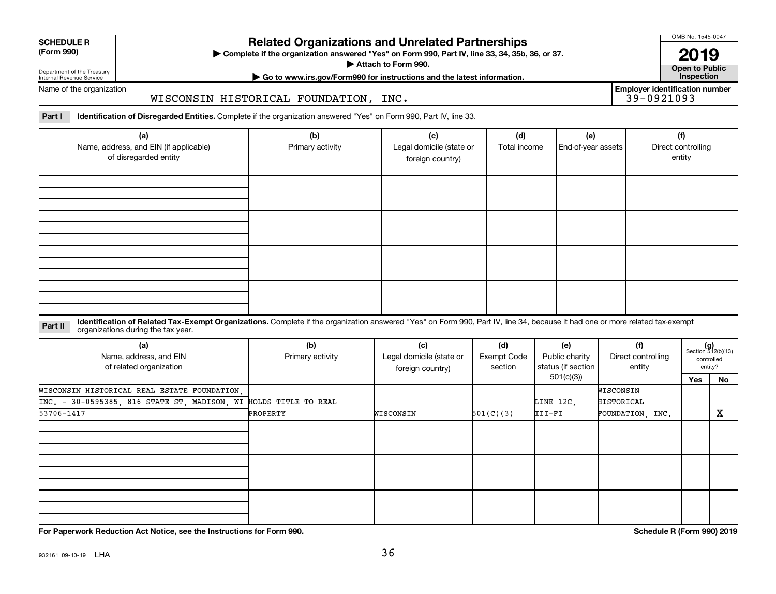| <b>SCHEDULE R</b> |
|-------------------|
|                   |

Department of the Treasury

## **Related Organizations and Unrelated Partnerships**

**(Form 990) Complete if the organization answered "Yes" on Form 990, Part IV, line 33, 34, 35b, 36, or 37.** |

**Attach to Form 990. Contract to Form 990. Contract to Public** 

OMB No. 1545-0047

**| Go to www.irs.gov/Form990 for instructions and the latest information. Inspection 2019**<br>Open to Public

**Employer identification number**

Internal Revenue Service Name of the organization

#### WISCONSIN HISTORICAL FOUNDATION, INC.

Part I ldentification of Disregarded Entities. Complete if the organization answered "Yes" on Form 990, Part IV, line 33.

| (a)<br>Name, address, and EIN (if applicable)<br>of disregarded entity | (b)<br>Primary activity | (c)<br>Legal domicile (state or<br>foreign country) | (d)<br>Total income | (e)<br>End-of-year assets | (f)<br>Direct controlling<br>entity |
|------------------------------------------------------------------------|-------------------------|-----------------------------------------------------|---------------------|---------------------------|-------------------------------------|
|                                                                        |                         |                                                     |                     |                           |                                     |
|                                                                        |                         |                                                     |                     |                           |                                     |
|                                                                        |                         |                                                     |                     |                           |                                     |
|                                                                        |                         |                                                     |                     |                           |                                     |

#### **Part II** Identification of Related Tax-Exempt Organizations. Complete if the organization answered "Yes" on Form 990, Part IV, line 34, because it had one or more related tax-exempt<br>Part II acconizations during the tax ye organizations during the tax year.

| (a)<br>Name, address, and EIN<br>of related organization         | (b)<br>Primary activity | (d)<br>(c)<br>(f)<br>(e)<br>Legal domicile (state or<br><b>Exempt Code</b><br>Public charity<br>Direct controlling<br>status (if section<br>section<br>entity<br>foreign country) |           |            |                  | $(g)$<br>Section 512(b)(13) | controlled<br>entity? |
|------------------------------------------------------------------|-------------------------|-----------------------------------------------------------------------------------------------------------------------------------------------------------------------------------|-----------|------------|------------------|-----------------------------|-----------------------|
|                                                                  |                         |                                                                                                                                                                                   |           | 501(c)(3)) |                  | Yes                         | No                    |
| WISCONSIN HISTORICAL REAL ESTATE FOUNDATION.                     |                         |                                                                                                                                                                                   |           |            | WISCONSIN        |                             |                       |
| INC. - 30-0595385, 816 STATE ST, MADISON, WI HOLDS TITLE TO REAL |                         |                                                                                                                                                                                   |           | LINE 12C,  | HISTORICAL       |                             |                       |
| 53706-1417                                                       | PROPERTY                | WISCONSIN                                                                                                                                                                         | 501(C)(3) | III-FI     | FOUNDATION, INC. |                             | X                     |
|                                                                  |                         |                                                                                                                                                                                   |           |            |                  |                             |                       |
|                                                                  |                         |                                                                                                                                                                                   |           |            |                  |                             |                       |
|                                                                  |                         |                                                                                                                                                                                   |           |            |                  |                             |                       |
|                                                                  |                         |                                                                                                                                                                                   |           |            |                  |                             |                       |
|                                                                  |                         |                                                                                                                                                                                   |           |            |                  |                             |                       |
|                                                                  |                         |                                                                                                                                                                                   |           |            |                  |                             |                       |

**For Paperwork Reduction Act Notice, see the Instructions for Form 990. Schedule R (Form 990) 2019**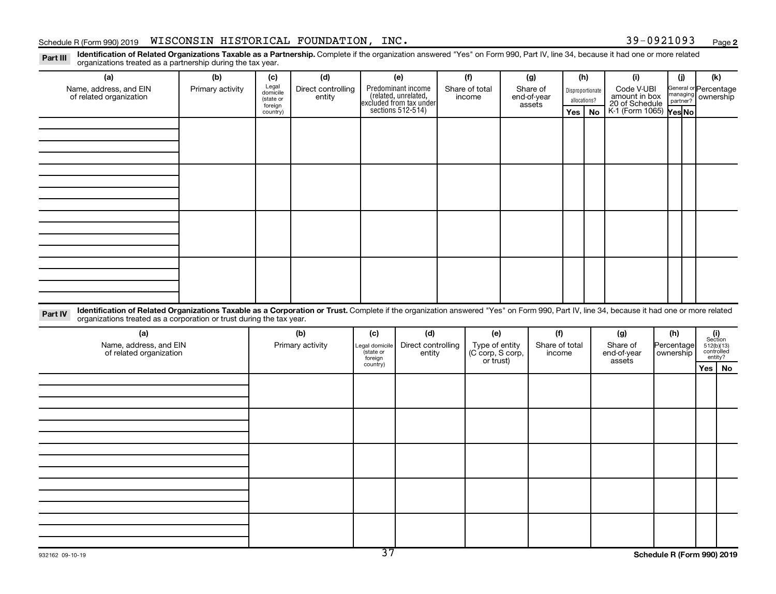#### Schedule R (Form 990) 2019  $\,$  <code>WISCONSIN</code> <code>HISTORICAL FOUNDATION</code> , <code>INC</code> .  $\,$  <code> Sechedule R (Form 990) 2019  $\,$  <code>Page</code></code>

**2**

Part III Identification of Related Organizations Taxable as a Partnership. Complete if the organization answered "Yes" on Form 990, Part IV, line 34, because it had one or more related<br>Read to the organizations tracted as organizations treated as a partnership during the tax year.

| ייטיי<br>extracted that we can extend the coming and tax your.<br>(a)                                                                                                                                                                                                       | (b)              | (c)                                                   | (d)                          |                                                    | (e)                                                                                       | (f)                           | (g)                                             | (h) |                                        | (i)                                                                     |  | (i)                                         | (k)                                                 |  |
|-----------------------------------------------------------------------------------------------------------------------------------------------------------------------------------------------------------------------------------------------------------------------------|------------------|-------------------------------------------------------|------------------------------|----------------------------------------------------|-------------------------------------------------------------------------------------------|-------------------------------|-------------------------------------------------|-----|----------------------------------------|-------------------------------------------------------------------------|--|---------------------------------------------|-----------------------------------------------------|--|
| Name, address, and EIN<br>of related organization                                                                                                                                                                                                                           | Primary activity | Legal<br>domicile<br>(state or<br>foreign<br>country) | Direct controlling<br>entity |                                                    | Predominant income<br>related, unrelated,<br>excluded from tax under<br>sections 512-514) | Share of total<br>income      | Share of<br>end-of-year<br>assets<br><b>Yes</b> |     | Disproportionate<br>allocations?<br>No | Code V-UBI<br>amount in box<br>20 of Schedule<br>K-1 (Form 1065) Yes No |  | General or Percentage<br>managing ownership |                                                     |  |
|                                                                                                                                                                                                                                                                             |                  |                                                       |                              |                                                    |                                                                                           |                               |                                                 |     |                                        |                                                                         |  |                                             |                                                     |  |
|                                                                                                                                                                                                                                                                             |                  |                                                       |                              |                                                    |                                                                                           |                               |                                                 |     |                                        |                                                                         |  |                                             |                                                     |  |
|                                                                                                                                                                                                                                                                             |                  |                                                       |                              |                                                    |                                                                                           |                               |                                                 |     |                                        |                                                                         |  |                                             |                                                     |  |
|                                                                                                                                                                                                                                                                             |                  |                                                       |                              |                                                    |                                                                                           |                               |                                                 |     |                                        |                                                                         |  |                                             |                                                     |  |
|                                                                                                                                                                                                                                                                             |                  |                                                       |                              |                                                    |                                                                                           |                               |                                                 |     |                                        |                                                                         |  |                                             |                                                     |  |
|                                                                                                                                                                                                                                                                             |                  |                                                       |                              |                                                    |                                                                                           |                               |                                                 |     |                                        |                                                                         |  |                                             |                                                     |  |
|                                                                                                                                                                                                                                                                             |                  |                                                       |                              |                                                    |                                                                                           |                               |                                                 |     |                                        |                                                                         |  |                                             |                                                     |  |
|                                                                                                                                                                                                                                                                             |                  |                                                       |                              |                                                    |                                                                                           |                               |                                                 |     |                                        |                                                                         |  |                                             |                                                     |  |
| Identification of Related Organizations Taxable as a Corporation or Trust. Complete if the organization answered "Yes" on Form 990, Part IV, line 34, because it had one or more related<br>Part IV<br>organizations treated as a corporation or trust during the tax year. |                  |                                                       |                              |                                                    |                                                                                           |                               |                                                 |     |                                        |                                                                         |  |                                             |                                                     |  |
| (a)<br>Name, address, and EIN                                                                                                                                                                                                                                               |                  |                                                       | (b)<br>Primary activity      | (c)                                                | (d)<br>Direct controlling                                                                 | (e)<br>Type of entity         | (f)<br>Share of total                           |     |                                        | (g)<br>Share of                                                         |  | (h)<br>Percentage                           | (i)<br>Section                                      |  |
| of related organization                                                                                                                                                                                                                                                     |                  |                                                       |                              | Legal domicile<br>(state or<br>foreign<br>country) | entity                                                                                    | (C corp, S corp,<br>or trust) | income                                          |     |                                        | end-of-year<br>assets                                                   |  | ownership                                   | $512(b)(13)$ controlled<br>entity?<br>$Yes \mid No$ |  |
|                                                                                                                                                                                                                                                                             |                  |                                                       |                              |                                                    |                                                                                           |                               |                                                 |     |                                        |                                                                         |  |                                             |                                                     |  |
|                                                                                                                                                                                                                                                                             |                  |                                                       |                              |                                                    |                                                                                           |                               |                                                 |     |                                        |                                                                         |  |                                             |                                                     |  |
|                                                                                                                                                                                                                                                                             |                  |                                                       |                              |                                                    |                                                                                           |                               |                                                 |     |                                        |                                                                         |  |                                             |                                                     |  |
|                                                                                                                                                                                                                                                                             |                  |                                                       |                              |                                                    |                                                                                           |                               |                                                 |     |                                        |                                                                         |  |                                             |                                                     |  |
|                                                                                                                                                                                                                                                                             |                  |                                                       |                              |                                                    |                                                                                           |                               |                                                 |     |                                        |                                                                         |  |                                             |                                                     |  |
|                                                                                                                                                                                                                                                                             |                  |                                                       |                              |                                                    |                                                                                           |                               |                                                 |     |                                        |                                                                         |  |                                             |                                                     |  |
|                                                                                                                                                                                                                                                                             |                  |                                                       |                              |                                                    |                                                                                           |                               |                                                 |     |                                        |                                                                         |  |                                             |                                                     |  |
|                                                                                                                                                                                                                                                                             |                  |                                                       |                              |                                                    |                                                                                           |                               |                                                 |     |                                        |                                                                         |  |                                             |                                                     |  |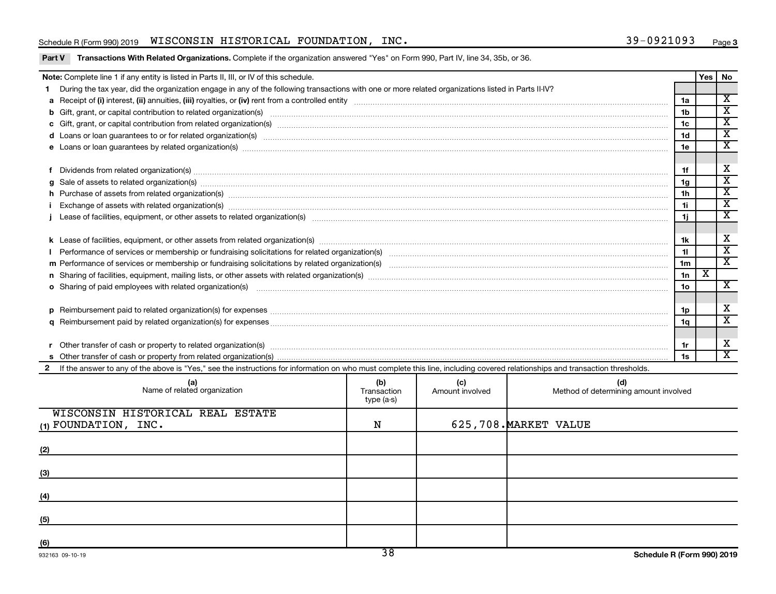### Schedule R (Form 990) 2019  $\,$  <code>WISCONSIN</code> <code>HISTORICAL FOUNDATION</code> , <code>INC</code> .  $\,$  <code> Sechedule R (Form 990) 2019  $\,$  <code>Page</code></code>

|  |  |  |  | Part V Transactions With Related Organizations. Complete if the organization answered "Yes" on Form 990, Part IV, line 34, 35b, or 36. |
|--|--|--|--|----------------------------------------------------------------------------------------------------------------------------------------|
|--|--|--|--|----------------------------------------------------------------------------------------------------------------------------------------|

|   | Note: Complete line 1 if any entity is listed in Parts II, III, or IV of this schedule.                                                                                                                                                          |  |  |  |                | Yes   No |                              |  |  |
|---|--------------------------------------------------------------------------------------------------------------------------------------------------------------------------------------------------------------------------------------------------|--|--|--|----------------|----------|------------------------------|--|--|
|   | During the tax year, did the organization engage in any of the following transactions with one or more related organizations listed in Parts II-IV?                                                                                              |  |  |  |                |          |                              |  |  |
|   |                                                                                                                                                                                                                                                  |  |  |  | 1a             |          | $\overline{\mathbf{x}}$      |  |  |
|   | b Gift, grant, or capital contribution to related organization(s) manufaction content and content and contribution to related organization(s) manufaction content and content and contribution to related organization(s) manu                   |  |  |  | 1 <sub>b</sub> |          | $\overline{\mathbf{x}}$      |  |  |
|   |                                                                                                                                                                                                                                                  |  |  |  | 1 <sub>c</sub> |          | $\overline{\texttt{x}}$      |  |  |
|   | d Loans or loan guarantees to or for related organization(s) www.communities.com/www.communities.com/www.communities.com/www.communities.com/www.communities.com/www.communities.com/www.communities.com/www.communities.com/w                   |  |  |  | 1 <sub>d</sub> |          | $\overline{\mathbf{x}}$      |  |  |
|   |                                                                                                                                                                                                                                                  |  |  |  | 1e             |          | $\overline{\texttt{x}}$      |  |  |
|   |                                                                                                                                                                                                                                                  |  |  |  |                |          |                              |  |  |
|   | Dividends from related organization(s) www.andron.com/www.andron.com/www.andron.com/www.andron.com/www.andron.com/www.andron.com/www.andron.com/www.andron.com/www.andron.com/www.andron.com/www.andron.com/www.andron.com/www                   |  |  |  | 1f             |          | X<br>$\overline{\texttt{x}}$ |  |  |
| g | Sale of assets to related organization(s) www.communically.com/www.communically.com/www.communically.com/www.communically.com/www.communically.com/www.communically.com/www.communically.com/www.communically.com/www.communic<br>1 <sub>q</sub> |  |  |  |                |          |                              |  |  |
|   | h Purchase of assets from related organization(s) manufactured content to content the content of the content of the content of the content of the content of the content of the content of the content of the content of the c<br>1 <sub>h</sub> |  |  |  |                |          |                              |  |  |
|   | 1i.<br>Exchange of assets with related organization(s) www.walescommunity.com/walescommunity/walescommunity/walescommunity/walescommunity/walescommunity/walescommunity/walescommunity/walescommunity/walescommunity/walescommunity/w            |  |  |  |                |          |                              |  |  |
|   | 1j                                                                                                                                                                                                                                               |  |  |  |                |          |                              |  |  |
|   |                                                                                                                                                                                                                                                  |  |  |  |                |          |                              |  |  |
|   | 1k                                                                                                                                                                                                                                               |  |  |  |                |          |                              |  |  |
|   |                                                                                                                                                                                                                                                  |  |  |  | 11             |          | $\overline{\texttt{x}}$      |  |  |
|   |                                                                                                                                                                                                                                                  |  |  |  | 1 <sub>m</sub> |          | $\overline{\mathbf{x}}$      |  |  |
|   |                                                                                                                                                                                                                                                  |  |  |  | 1n             | X        |                              |  |  |
|   | <b>o</b> Sharing of paid employees with related organization(s)                                                                                                                                                                                  |  |  |  | 1 <sub>0</sub> |          | $\overline{\mathbf{x}}$      |  |  |
|   |                                                                                                                                                                                                                                                  |  |  |  |                |          |                              |  |  |
|   |                                                                                                                                                                                                                                                  |  |  |  | 1p             |          | X                            |  |  |
| a |                                                                                                                                                                                                                                                  |  |  |  | 1q             |          | $\overline{\textbf{x}}$      |  |  |
|   |                                                                                                                                                                                                                                                  |  |  |  |                |          |                              |  |  |
|   | Other transfer of cash or property to related organization(s) with an examinary content to the transfer of cash or property to related organization(s)                                                                                           |  |  |  | 1r             |          | X                            |  |  |
|   |                                                                                                                                                                                                                                                  |  |  |  | 1s             |          | $\overline{\mathbf{x}}$      |  |  |
|   | 2 If the answer to any of the above is "Yes," see the instructions for information on who must complete this line, including covered relationships and transaction thresholds.                                                                   |  |  |  |                |          |                              |  |  |
|   | (b)<br>(d)<br>(c)<br>(a)<br>Name of related organization<br>Amount involved<br>Method of determining amount involved<br>Transaction<br>type (a-s)                                                                                                |  |  |  |                |          |                              |  |  |

|                                  | type (a-s) |                       |
|----------------------------------|------------|-----------------------|
| WISCONSIN HISTORICAL REAL ESTATE |            |                       |
| $(1)$ FOUNDATION, INC.           | N          | 625,708. MARKET VALUE |
|                                  |            |                       |
| (2)                              |            |                       |
| (3)                              |            |                       |
| (4)                              |            |                       |
| (5)                              |            |                       |
|                                  |            |                       |
| (6)                              |            |                       |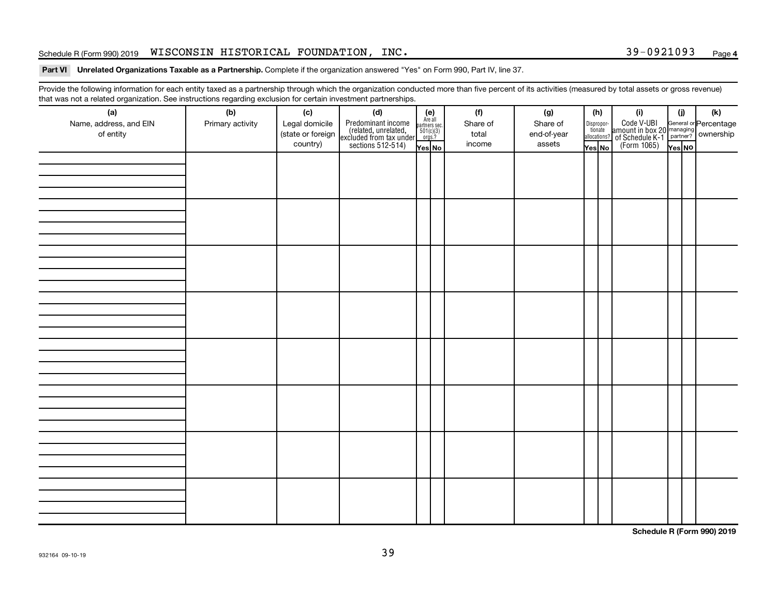### Schedule R (Form 990) 2019  $\,$  <code>WISCONSIN</code> <code>HISTORICAL FOUNDATION</code> , <code>INC</code> .  $\,$  <code> Sechedule R (Form 990) 2019  $\,$  <code>Page</code></code>

#### Part VI Unrelated Organizations Taxable as a Partnership. Complete if the organization answered "Yes" on Form 990, Part IV, line 37.

Provide the following information for each entity taxed as a partnership through which the organization conducted more than five percent of its activities (measured by total assets or gross revenue) that was not a related organization. See instructions regarding exclusion for certain investment partnerships.

| (a)<br>Name, address, and EIN<br>of entity | - - -<br>(b)<br>Primary activity | (c)<br>Legal domicile<br>(state or foreign<br>country) | - - - - <sub>1</sub> - - 1<br>(d)<br>Predominant income<br>(related, unrelated,<br>excluded from tax under<br>sections 512-514) | (e)<br>Are all<br>partners sec.<br>$\frac{501(c)(3)}{0rgs?}$<br>Yes No | (f)<br>Share of<br>total<br>income | (g)<br>Share of<br>end-of-year<br>assets | Dispropor-<br>tionate<br>allocations?<br>Yes No | (h) | (i)<br>Code V-UBI<br>amount in box 20 managing<br>of Schedule K-1<br>(Form 1065)<br>$\overline{Y_{\text{res}}}\overline{NQ}$ | (i)<br>Yes NO | (k) |
|--------------------------------------------|----------------------------------|--------------------------------------------------------|---------------------------------------------------------------------------------------------------------------------------------|------------------------------------------------------------------------|------------------------------------|------------------------------------------|-------------------------------------------------|-----|------------------------------------------------------------------------------------------------------------------------------|---------------|-----|
|                                            |                                  |                                                        |                                                                                                                                 |                                                                        |                                    |                                          |                                                 |     |                                                                                                                              |               |     |
|                                            |                                  |                                                        |                                                                                                                                 |                                                                        |                                    |                                          |                                                 |     |                                                                                                                              |               |     |
|                                            |                                  |                                                        |                                                                                                                                 |                                                                        |                                    |                                          |                                                 |     |                                                                                                                              |               |     |
|                                            |                                  |                                                        |                                                                                                                                 |                                                                        |                                    |                                          |                                                 |     |                                                                                                                              |               |     |
|                                            |                                  |                                                        |                                                                                                                                 |                                                                        |                                    |                                          |                                                 |     |                                                                                                                              |               |     |
|                                            |                                  |                                                        |                                                                                                                                 |                                                                        |                                    |                                          |                                                 |     |                                                                                                                              |               |     |
|                                            |                                  |                                                        |                                                                                                                                 |                                                                        |                                    |                                          |                                                 |     |                                                                                                                              |               |     |
|                                            |                                  |                                                        |                                                                                                                                 |                                                                        |                                    |                                          |                                                 |     |                                                                                                                              |               |     |

**Schedule R (Form 990) 2019**